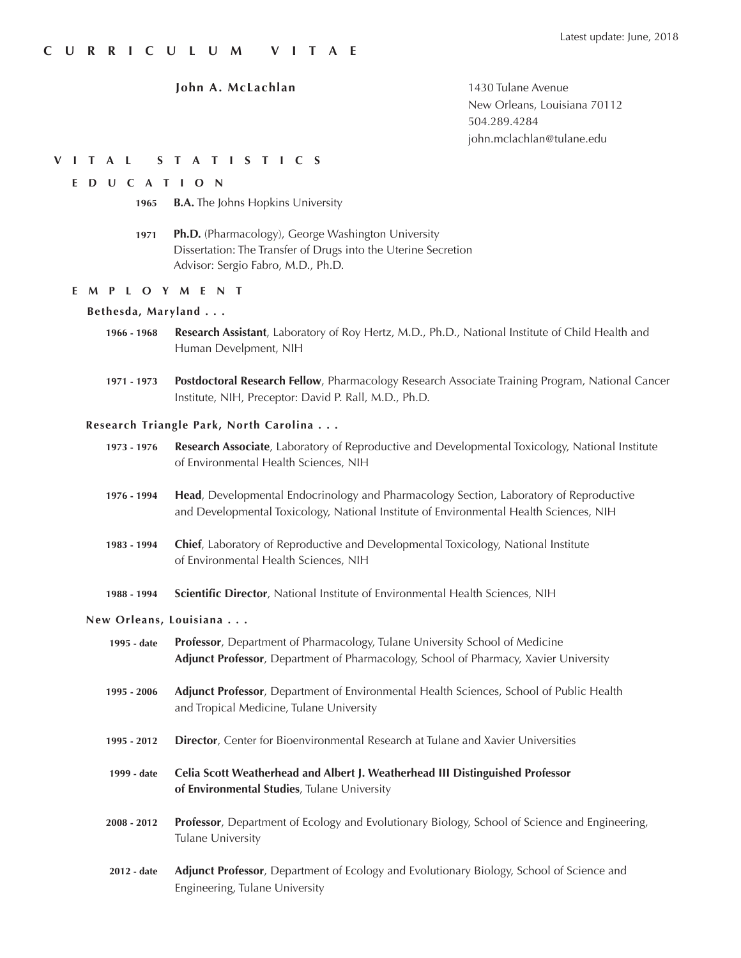1430 Tulane Avenue New Orleans, Louisiana 70112 504.289.4284 john.mclachlan@tulane.edu

### **VITAL STATISTICS**

### **EDUCATION**

- **B.A.** The Johns Hopkins University **1965**
- **Ph.D.** (Pharmacology), George Washington University Dissertation: The Transfer of Drugs into the Uterine Secretion Advisor: Sergio Fabro, M.D., Ph.D. **1971**

### **EMPLOYMENT**

### **Bethesda, Maryland . . .**

- **Research Assistant**, Laboratory of Roy Hertz, M.D., Ph.D., National Institute of Child Health and Human Develpment, NIH **1966 - 1968**
- **Postdoctoral Research Fellow**, Pharmacology Research Associate Training Program, National Cancer Institute, NIH, Preceptor: David P. Rall, M.D., Ph.D. **1971 - 1973**

### **Research Triangle Park, North Carolina . . .**

- **Research Associate**, Laboratory of Reproductive and Developmental Toxicology, National Institute of Environmental Health Sciences, NIH **1973 - 1976**
- **Head**, Developmental Endocrinology and Pharmacology Section, Laboratory of Reproductive and Developmental Toxicology, National Institute of Environmental Health Sciences, NIH **1976 - 1994**
- **Chief**, Laboratory of Reproductive and Developmental Toxicology, National Institute of Environmental Health Sciences, NIH **1983 - 1994**
- **Scientific Director**, National Institute of Environmental Health Sciences, NIH **1988 - 1994**

### **New Orleans, Louisiana . . .**

- **Professor**, Department of Pharmacology, Tulane University School of Medicine **Adjunct Professor**, Department of Pharmacology, School of Pharmacy, Xavier University **1995 - date**
- **Adjunct Professor**, Department of Environmental Health Sciences, School of Public Health and Tropical Medicine, Tulane University **1995 - 2006**
- **Director**, Center for Bioenvironmental Research at Tulane and Xavier Universities **1995 - 2012**
- **Celia Scott Weatherhead and Albert J. Weatherhead III Distinguished Professor of Environmental Studies**, Tulane University **1999 - date**
- **Professor**, Department of Ecology and Evolutionary Biology, School of Science and Engineering, Tulane University **2008 - 2012**
- **Adjunct Professor**, Department of Ecology and Evolutionary Biology, School of Science and Engineering, Tulane University **2012 - date**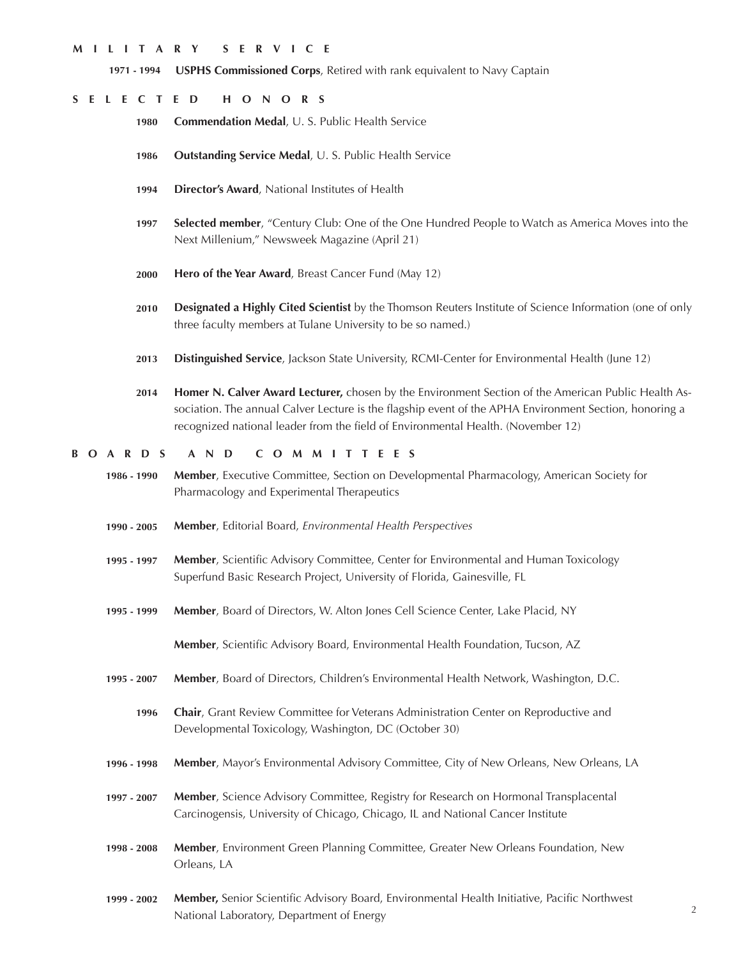### **MILITARY SERVICE**

**USPHS Commissioned Corps**, Retired with rank equivalent to Navy Captain **1971 - 1994**

### **SELECTED HONORS**

- **Commendation Medal**, U. S. Public Health Service **1980**
- **Outstanding Service Medal**, U. S. Public Health Service **1986**
- **Director's Award**, National Institutes of Health **1994**
- **Selected member**, "Century Club: One of the One Hundred People to Watch as America Moves into the Next Millenium," Newsweek Magazine (April 21) **1997**
- **Hero of the Year Award**, Breast Cancer Fund (May 12) **2000**
- **Designated a Highly Cited Scientist** by the Thomson Reuters Institute of Science Information (one of only three faculty members at Tulane University to be so named.) **2010**
- **Distinguished Service**, Jackson State University, RCMI-Center for Environmental Health (June 12) **2013**
- **Homer N. Calver Award Lecturer,** chosen by the Environment Section of the American Public Health Association. The annual Calver Lecture is the flagship event of the APHA Environment Section, honoring a recognized national leader from the field of Environmental Health. (November 12) **2014**

### **BOARDS AND COMMITTEES**

- **Member**, Executive Committee, Section on Developmental Pharmacology, American Society for Pharmacology and Experimental Therapeutics **1986 - 1990**
- **Member**, Editorial Board, *Environmental Health Perspectives* **1990 - 2005**
- **Member**, Scientific Advisory Committee, Center for Environmental and Human Toxicology Superfund Basic Research Project, University of Florida, Gainesville, FL **1995 - 1997**
- **Member**, Board of Directors, W. Alton Jones Cell Science Center, Lake Placid, NY **1995 - 1999**

**Member**, Scientific Advisory Board, Environmental Health Foundation, Tucson, AZ

- **Member**, Board of Directors, Children's Environmental Health Network, Washington, D.C. **1995 - 2007**
	- **Chair**, Grant Review Committee for Veterans Administration Center on Reproductive and Developmental Toxicology, Washington, DC (October 30) **1996**
- **Member**, Mayor's Environmental Advisory Committee, City of New Orleans, New Orleans, LA **1996 - 1998**
- **Member**, Science Advisory Committee, Registry for Research on Hormonal Transplacental Carcinogensis, University of Chicago, Chicago, IL and National Cancer Institute **1997 - 2007**
- **Member**, Environment Green Planning Committee, Greater New Orleans Foundation, New Orleans, LA **1998 - 2008**
- **Member,** Senior Scientific Advisory Board, Environmental Health Initiative, Pacific Northwest National Laboratory, Department of Energy **1999 - 2002**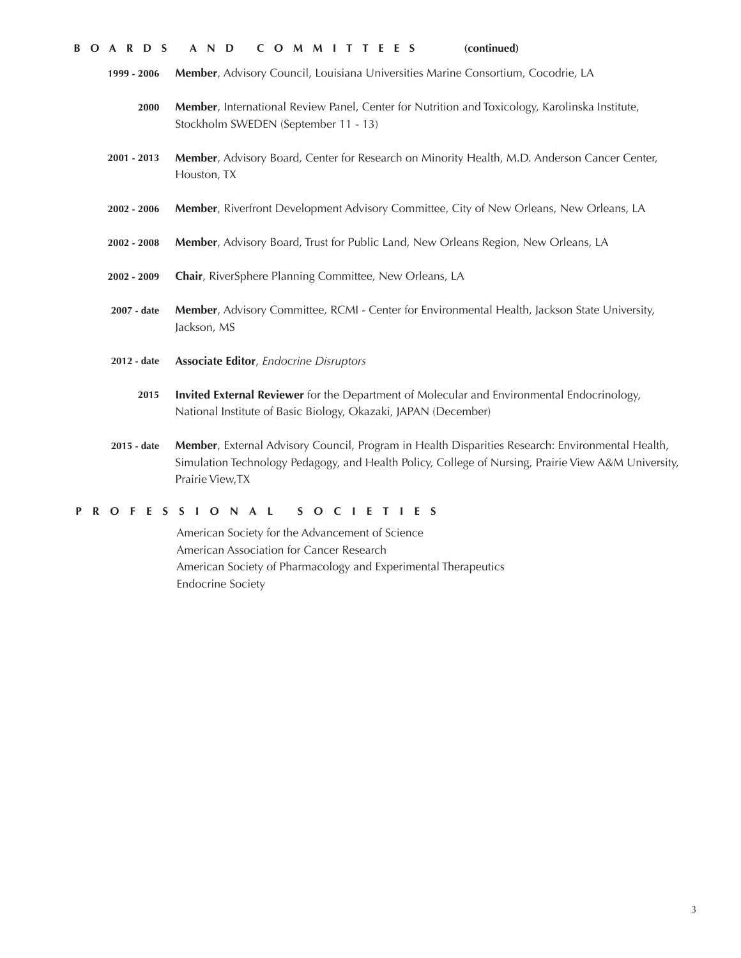- **Member**, Advisory Council, Louisiana Universities Marine Consortium, Cocodrie, LA **1999 - 2006**
	- **Member**, International Review Panel, Center for Nutrition and Toxicology, Karolinska Institute, Stockholm SWEDEN (September 11 - 13) **2000**
- **Member**, Advisory Board, Center for Research on Minority Health, M.D. Anderson Cancer Center, Houston, TX **2001 - 2013**
- **Member**, Riverfront Development Advisory Committee, City of New Orleans, New Orleans, LA **2002 - 2006**
- **Member**, Advisory Board, Trust for Public Land, New Orleans Region, New Orleans, LA **2002 - 2008**
- **Chair**, RiverSphere Planning Committee, New Orleans, LA **2002 - 2009**
- **Member**, Advisory Committee, RCMI Center for Environmental Health, Jackson State University, Jackson, MS **2007 - date**
- **Associate Editor**, *Endocrine Disruptors* **2012 - date**
	- **Invited External Reviewer** for the Department of Molecular and Environmental Endocrinology, National Institute of Basic Biology, Okazaki, JAPAN (December) **2015**
- **Member**, External Advisory Council, Program in Health Disparities Research: Environmental Health, Simulation Technology Pedagogy, and Health Policy, College of Nursing, Prairie View A&M University, Prairie View,TX **2015 - date**

### **PROFESSIONAL SOCIETIES**

American Society for the Advancement of Science American Association for Cancer Research American Society of Pharmacology and Experimental Therapeutics Endocrine Society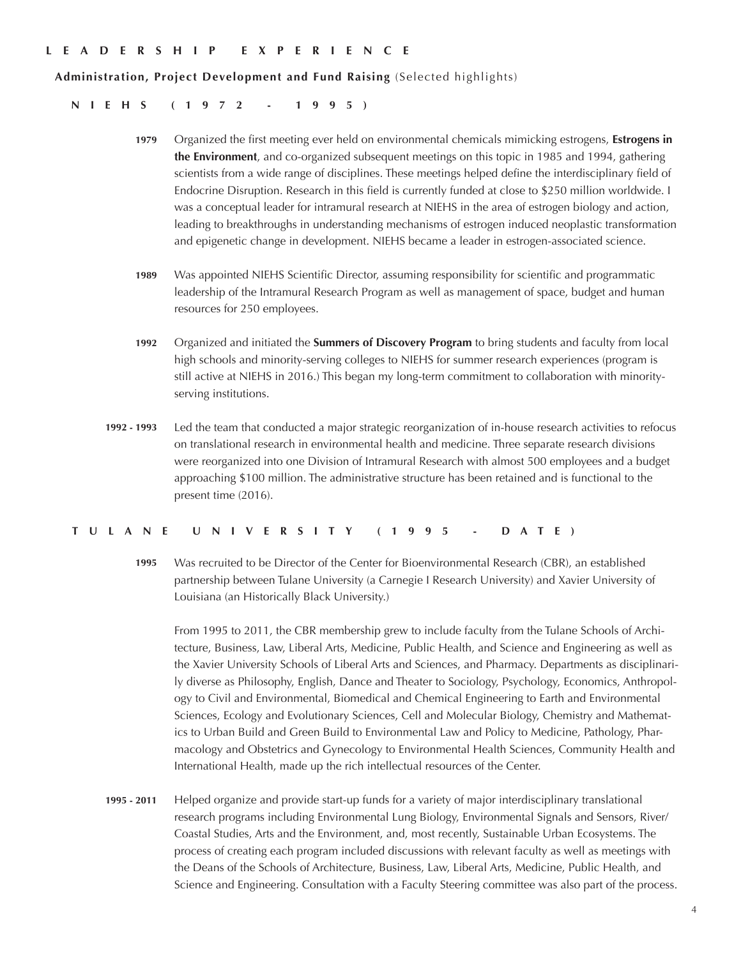### **LEADERSHIP EXPERIENCE**

**Administration, Project Development and Fund Raising** (Selected highlights)

**NIEHS (1972 - 1995)**

- **1979** Organized the first meeting ever held on environmental chemicals mimicking estrogens, **Estrogens in the Environment**, and co-organized subsequent meetings on this topic in 1985 and 1994, gathering scientists from a wide range of disciplines. These meetings helped define the interdisciplinary field of Endocrine Disruption. Research in this field is currently funded at close to \$250 million worldwide. I was a conceptual leader for intramural research at NIEHS in the area of estrogen biology and action, leading to breakthroughs in understanding mechanisms of estrogen induced neoplastic transformation and epigenetic change in development. NIEHS became a leader in estrogen-associated science.
- **1989** Was appointed NIEHS Scientific Director, assuming responsibility for scientific and programmatic leadership of the Intramural Research Program as well as management of space, budget and human resources for 250 employees.
- **1992** Organized and initiated the **Summers of Discovery Program** to bring students and faculty from local high schools and minority-serving colleges to NIEHS for summer research experiences (program is still active at NIEHS in 2016.) This began my long-term commitment to collaboration with minorityserving institutions.
- **1992 1993** Led the team that conducted a major strategic reorganization of in-house research activities to refocus on translational research in environmental health and medicine. Three separate research divisions were reorganized into one Division of Intramural Research with almost 500 employees and a budget approaching \$100 million. The administrative structure has been retained and is functional to the present time (2016).

### **TULANE UNIVERSITY (1995 - DATE)**

**1995** Was recruited to be Director of the Center for Bioenvironmental Research (CBR), an established partnership between Tulane University (a Carnegie I Research University) and Xavier University of Louisiana (an Historically Black University.)

From 1995 to 2011, the CBR membership grew to include faculty from the Tulane Schools of Architecture, Business, Law, Liberal Arts, Medicine, Public Health, and Science and Engineering as well as the Xavier University Schools of Liberal Arts and Sciences, and Pharmacy. Departments as disciplinarily diverse as Philosophy, English, Dance and Theater to Sociology, Psychology, Economics, Anthropology to Civil and Environmental, Biomedical and Chemical Engineering to Earth and Environmental Sciences, Ecology and Evolutionary Sciences, Cell and Molecular Biology, Chemistry and Mathematics to Urban Build and Green Build to Environmental Law and Policy to Medicine, Pathology, Pharmacology and Obstetrics and Gynecology to Environmental Health Sciences, Community Health and International Health, made up the rich intellectual resources of the Center.

**1995 - 2011** Helped organize and provide start-up funds for a variety of major interdisciplinary translational research programs including Environmental Lung Biology, Environmental Signals and Sensors, River/ Coastal Studies, Arts and the Environment, and, most recently, Sustainable Urban Ecosystems. The process of creating each program included discussions with relevant faculty as well as meetings with the Deans of the Schools of Architecture, Business, Law, Liberal Arts, Medicine, Public Health, and Science and Engineering. Consultation with a Faculty Steering committee was also part of the process.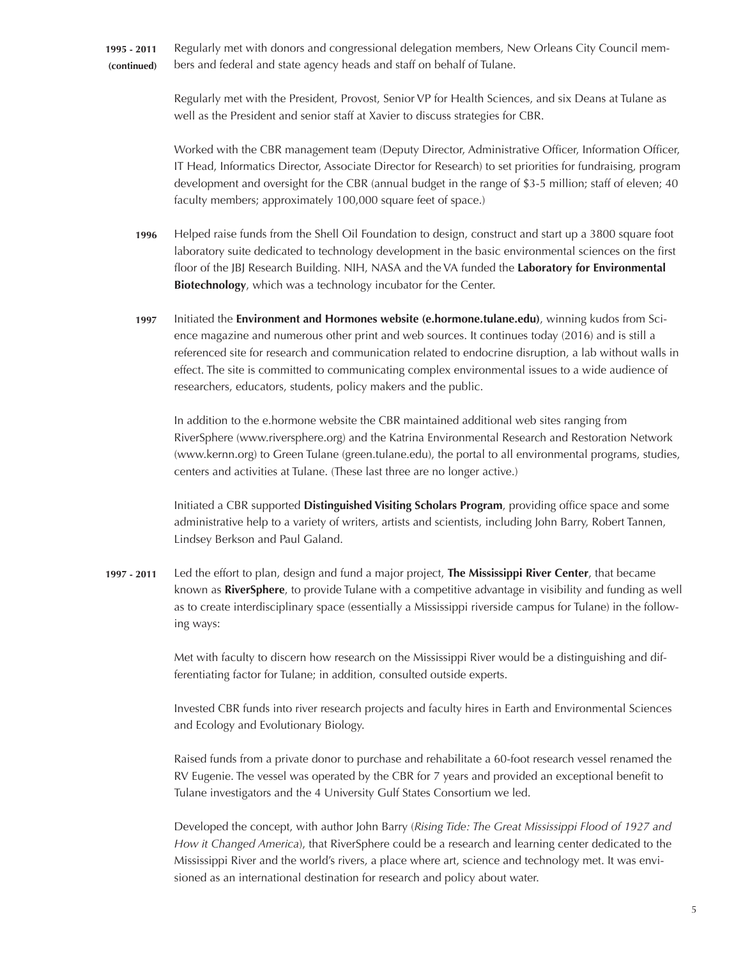Regularly met with donors and congressional delegation members, New Orleans City Council members and federal and state agency heads and staff on behalf of Tulane. **1995 - 2011 (continued)**

> Regularly met with the President, Provost, Senior VP for Health Sciences, and six Deans at Tulane as well as the President and senior staff at Xavier to discuss strategies for CBR.

Worked with the CBR management team (Deputy Director, Administrative Officer, Information Officer, IT Head, Informatics Director, Associate Director for Research) to set priorities for fundraising, program development and oversight for the CBR (annual budget in the range of \$3-5 million; staff of eleven; 40 faculty members; approximately 100,000 square feet of space.)

- Helped raise funds from the Shell Oil Foundation to design, construct and start up a 3800 square foot laboratory suite dedicated to technology development in the basic environmental sciences on the first floor of the JBJ Research Building. NIH, NASA and the VA funded the **Laboratory for Environmental Biotechnology**, which was a technology incubator for the Center. **1996**
- Initiated the **Environment and Hormones website (e.hormone.tulane.edu)**, winning kudos from Science magazine and numerous other print and web sources. It continues today (2016) and is still a referenced site for research and communication related to endocrine disruption, a lab without walls in effect. The site is committed to communicating complex environmental issues to a wide audience of researchers, educators, students, policy makers and the public. **1997**

In addition to the e.hormone website the CBR maintained additional web sites ranging from RiverSphere (www.riversphere.org) and the Katrina Environmental Research and Restoration Network (www.kernn.org) to Green Tulane (green.tulane.edu), the portal to all environmental programs, studies, centers and activities at Tulane. (These last three are no longer active.)

Initiated a CBR supported **Distinguished Visiting Scholars Program**, providing office space and some administrative help to a variety of writers, artists and scientists, including John Barry, Robert Tannen, Lindsey Berkson and Paul Galand.

Led the effort to plan, design and fund a major project, **The Mississippi River Center**, that became known as **RiverSphere**, to provide Tulane with a competitive advantage in visibility and funding as well as to create interdisciplinary space (essentially a Mississippi riverside campus for Tulane) in the following ways: **1997 - 2011**

> Met with faculty to discern how research on the Mississippi River would be a distinguishing and differentiating factor for Tulane; in addition, consulted outside experts.

Invested CBR funds into river research projects and faculty hires in Earth and Environmental Sciences and Ecology and Evolutionary Biology.

Raised funds from a private donor to purchase and rehabilitate a 60-foot research vessel renamed the RV Eugenie. The vessel was operated by the CBR for 7 years and provided an exceptional benefit to Tulane investigators and the 4 University Gulf States Consortium we led.

Developed the concept, with author John Barry (*Rising Tide: The Great Mississippi Flood of 1927 and How it Changed America*), that RiverSphere could be a research and learning center dedicated to the Mississippi River and the world's rivers, a place where art, science and technology met. It was envisioned as an international destination for research and policy about water.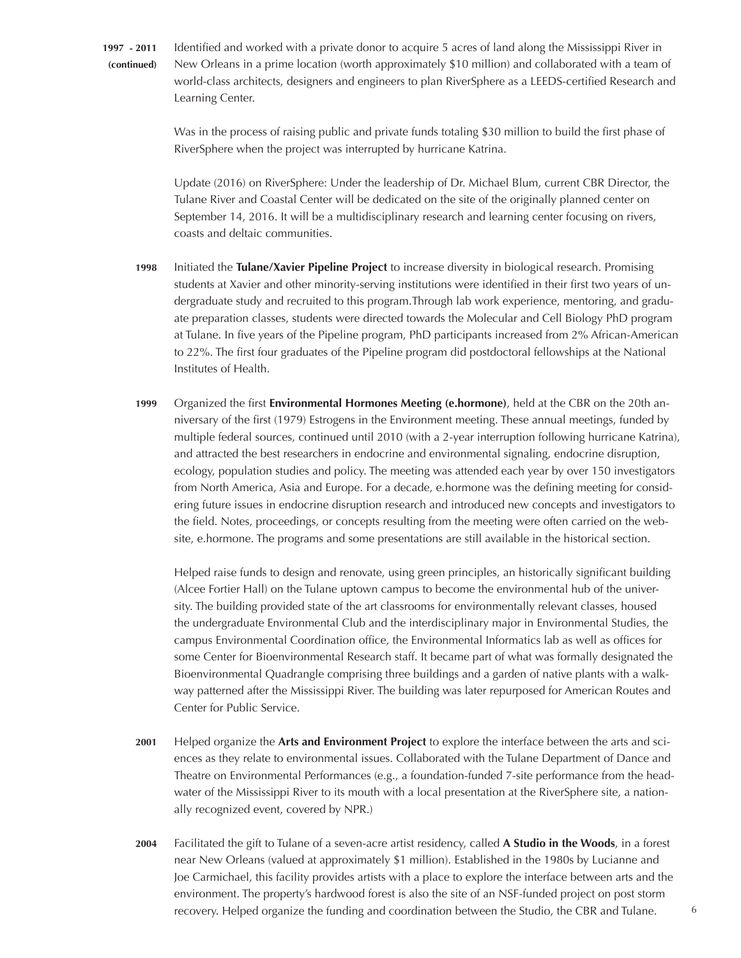**1997 - 2011 (continued)**

Identified and worked with a private donor to acquire 5 acres of land along the Mississippi River in New Orleans in a prime location (worth approximately \$10 million) and collaborated with a team of world-class architects, designers and engineers to plan RiverSphere as a LEEDS-certified Research and Learning Center.

Was in the process of raising public and private funds totaling \$30 million to build the first phase of RiverSphere when the project was interrupted by hurricane Katrina.

Update (2016) on RiverSphere: Under the leadership of Dr. Michael Blum, current CBR Director, the Tulane River and Coastal Center will be dedicated on the site of the originally planned center on September 14, 2016. It will be a multidisciplinary research and learning center focusing on rivers, coasts and deltaic communities.

- Initiated the **Tulane/Xavier Pipeline Project** to increase diversity in biological research. Promising students at Xavier and other minority-serving institutions were identified in their first two years of undergraduate study and recruited to this program.Through lab work experience, mentoring, and graduate preparation classes, students were directed towards the Molecular and Cell Biology PhD program at Tulane. In five years of the Pipeline program, PhD participants increased from 2% African-American to 22%. The first four graduates of the Pipeline program did postdoctoral fellowships at the National Institutes of Health. **1998**
- Organized the first **Environmental Hormones Meeting (e.hormone)**, held at the CBR on the 20th anniversary of the first (1979) Estrogens in the Environment meeting. These annual meetings, funded by multiple federal sources, continued until 2010 (with a 2-year interruption following hurricane Katrina), and attracted the best researchers in endocrine and environmental signaling, endocrine disruption, ecology, population studies and policy. The meeting was attended each year by over 150 investigators from North America, Asia and Europe. For a decade, e.hormone was the defining meeting for considering future issues in endocrine disruption research and introduced new concepts and investigators to the field. Notes, proceedings, or concepts resulting from the meeting were often carried on the website, e.hormone. The programs and some presentations are still available in the historical section. **1999**

Helped raise funds to design and renovate, using green principles, an historically significant building (Alcee Fortier Hall) on the Tulane uptown campus to become the environmental hub of the university. The building provided state of the art classrooms for environmentally relevant classes, housed the undergraduate Environmental Club and the interdisciplinary major in Environmental Studies, the campus Environmental Coordination office, the Environmental Informatics lab as well as offices for some Center for Bioenvironmental Research staff. It became part of what was formally designated the Bioenvironmental Quadrangle comprising three buildings and a garden of native plants with a walkway patterned after the Mississippi River. The building was later repurposed for American Routes and Center for Public Service.

- Helped organize the **Arts and Environment Project** to explore the interface between the arts and sciences as they relate to environmental issues. Collaborated with the Tulane Department of Dance and Theatre on Environmental Performances (e.g., a foundation-funded 7-site performance from the headwater of the Mississippi River to its mouth with a local presentation at the RiverSphere site, a nationally recognized event, covered by NPR.) **2001**
- Facilitated the gift to Tulane of a seven-acre artist residency, called **A Studio in the Woods**, in a forest near New Orleans (valued at approximately \$1 million). Established in the 1980s by Lucianne and Joe Carmichael, this facility provides artists with a place to explore the interface between arts and the environment. The property's hardwood forest is also the site of an NSF-funded project on post storm recovery. Helped organize the funding and coordination between the Studio, the CBR and Tulane. **2004**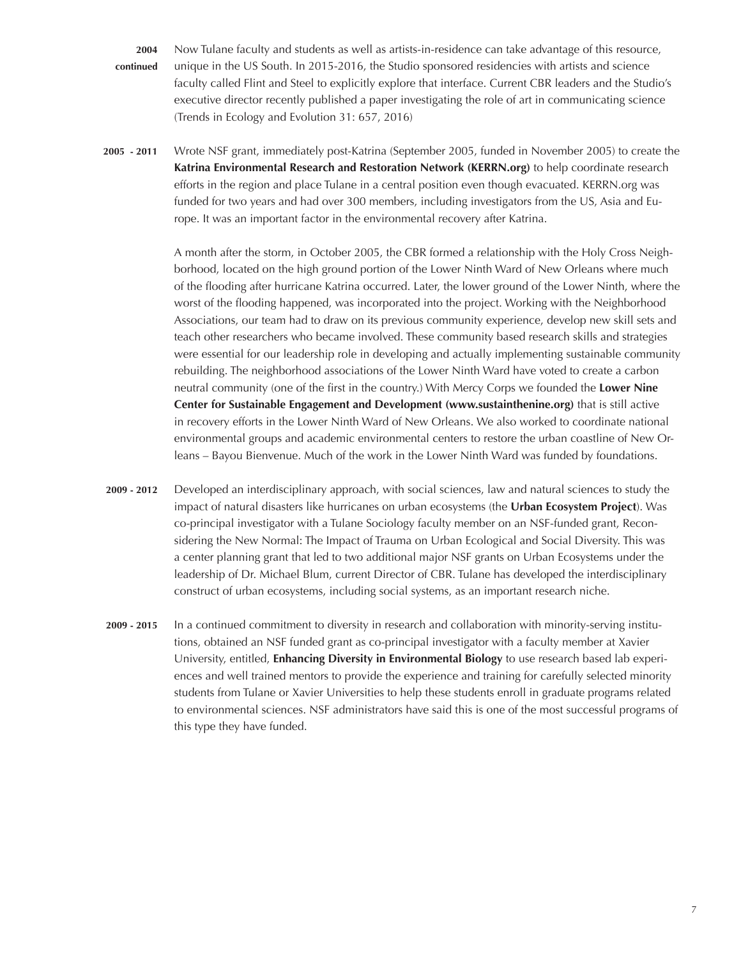Now Tulane faculty and students as well as artists-in-residence can take advantage of this resource, unique in the US South. In 2015-2016, the Studio sponsored residencies with artists and science faculty called Flint and Steel to explicitly explore that interface. Current CBR leaders and the Studio's executive director recently published a paper investigating the role of art in communicating science (Trends in Ecology and Evolution 31: 657, 2016) **2004 continued**

Wrote NSF grant, immediately post-Katrina (September 2005, funded in November 2005) to create the **Katrina Environmental Research and Restoration Network (KERRN.org)** to help coordinate research efforts in the region and place Tulane in a central position even though evacuated. KERRN.org was funded for two years and had over 300 members, including investigators from the US, Asia and Europe. It was an important factor in the environmental recovery after Katrina. **2005 - 2011**

> A month after the storm, in October 2005, the CBR formed a relationship with the Holy Cross Neighborhood, located on the high ground portion of the Lower Ninth Ward of New Orleans where much of the flooding after hurricane Katrina occurred. Later, the lower ground of the Lower Ninth, where the worst of the flooding happened, was incorporated into the project. Working with the Neighborhood Associations, our team had to draw on its previous community experience, develop new skill sets and teach other researchers who became involved. These community based research skills and strategies were essential for our leadership role in developing and actually implementing sustainable community rebuilding. The neighborhood associations of the Lower Ninth Ward have voted to create a carbon neutral community (one of the first in the country.) With Mercy Corps we founded the **Lower Nine Center for Sustainable Engagement and Development (www.sustainthenine.org)** that is still active in recovery efforts in the Lower Ninth Ward of New Orleans. We also worked to coordinate national environmental groups and academic environmental centers to restore the urban coastline of New Orleans – Bayou Bienvenue. Much of the work in the Lower Ninth Ward was funded by foundations.

- Developed an interdisciplinary approach, with social sciences, law and natural sciences to study the impact of natural disasters like hurricanes on urban ecosystems (the **Urban Ecosystem Project**). Was co-principal investigator with a Tulane Sociology faculty member on an NSF-funded grant, Reconsidering the New Normal: The Impact of Trauma on Urban Ecological and Social Diversity. This was a center planning grant that led to two additional major NSF grants on Urban Ecosystems under the leadership of Dr. Michael Blum, current Director of CBR. Tulane has developed the interdisciplinary construct of urban ecosystems, including social systems, as an important research niche. **2009 - 2012**
- In a continued commitment to diversity in research and collaboration with minority-serving institutions, obtained an NSF funded grant as co-principal investigator with a faculty member at Xavier University, entitled, **Enhancing Diversity in Environmental Biology** to use research based lab experiences and well trained mentors to provide the experience and training for carefully selected minority students from Tulane or Xavier Universities to help these students enroll in graduate programs related to environmental sciences. NSF administrators have said this is one of the most successful programs of this type they have funded. **2009 - 2015**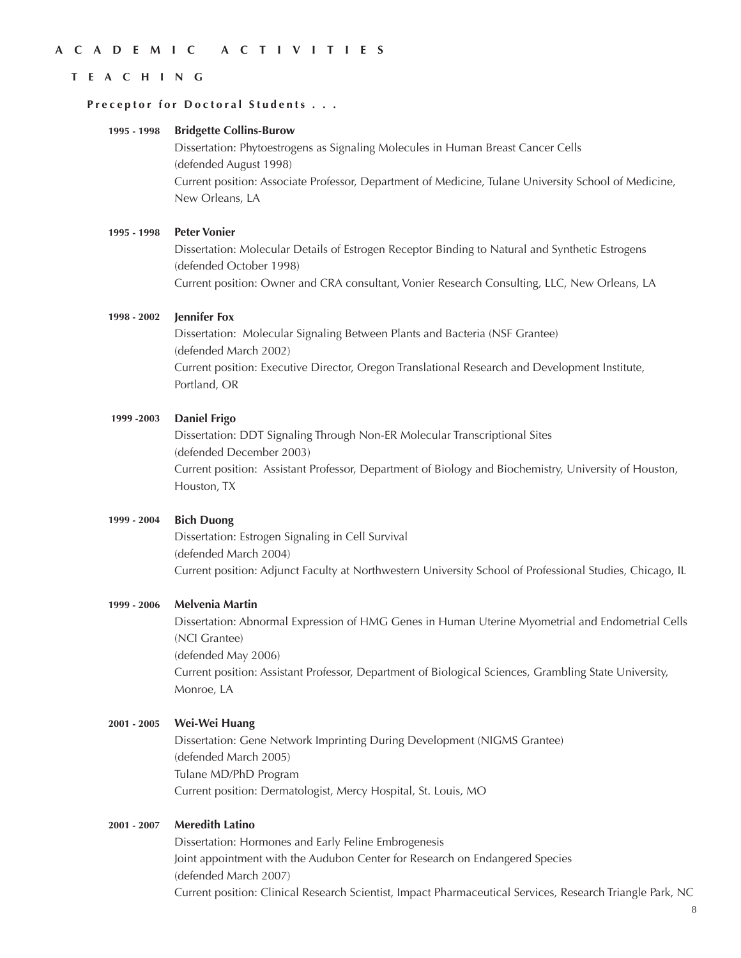## **ACADEMIC ACTIVITIES**

### **TEACHING**

### **Preceptor for Doctoral Students . . .**

#### **Bridgette Collins-Burow 1995 - 1998**

Dissertation: Phytoestrogens as Signaling Molecules in Human Breast Cancer Cells (defended August 1998) Current position: Associate Professor, Department of Medicine, Tulane University School of Medicine, New Orleans, LA

#### **Peter Vonier 1995 - 1998**

Dissertation: Molecular Details of Estrogen Receptor Binding to Natural and Synthetic Estrogens (defended October 1998) Current position: Owner and CRA consultant, Vonier Research Consulting, LLC, New Orleans, LA

#### **Jennifer Fox 1998 - 2002**

Dissertation: Molecular Signaling Between Plants and Bacteria (NSF Grantee) (defended March 2002) Current position: Executive Director, Oregon Translational Research and Development Institute, Portland, OR

#### **Daniel Frigo 1999 -2003**

Dissertation: DDT Signaling Through Non-ER Molecular Transcriptional Sites (defended December 2003) Current position: Assistant Professor, Department of Biology and Biochemistry, University of Houston, Houston, TX

#### **Bich Duong 1999 - 2004**

Dissertation: Estrogen Signaling in Cell Survival (defended March 2004) Current position: Adjunct Faculty at Northwestern University School of Professional Studies, Chicago, IL

#### **Melvenia Martin 1999 - 2006**

Dissertation: Abnormal Expression of HMG Genes in Human Uterine Myometrial and Endometrial Cells (NCI Grantee) (defended May 2006) Current position: Assistant Professor, Department of Biological Sciences, Grambling State University, Monroe, LA

#### **Wei-Wei Huang 2001 - 2005**

Dissertation: Gene Network Imprinting During Development (NIGMS Grantee) (defended March 2005) Tulane MD/PhD Program Current position: Dermatologist, Mercy Hospital, St. Louis, MO

#### **Meredith Latino 2001 - 2007**

Dissertation: Hormones and Early Feline Embrogenesis Joint appointment with the Audubon Center for Research on Endangered Species (defended March 2007) Current position: Clinical Research Scientist, Impact Pharmaceutical Services, Research Triangle Park, NC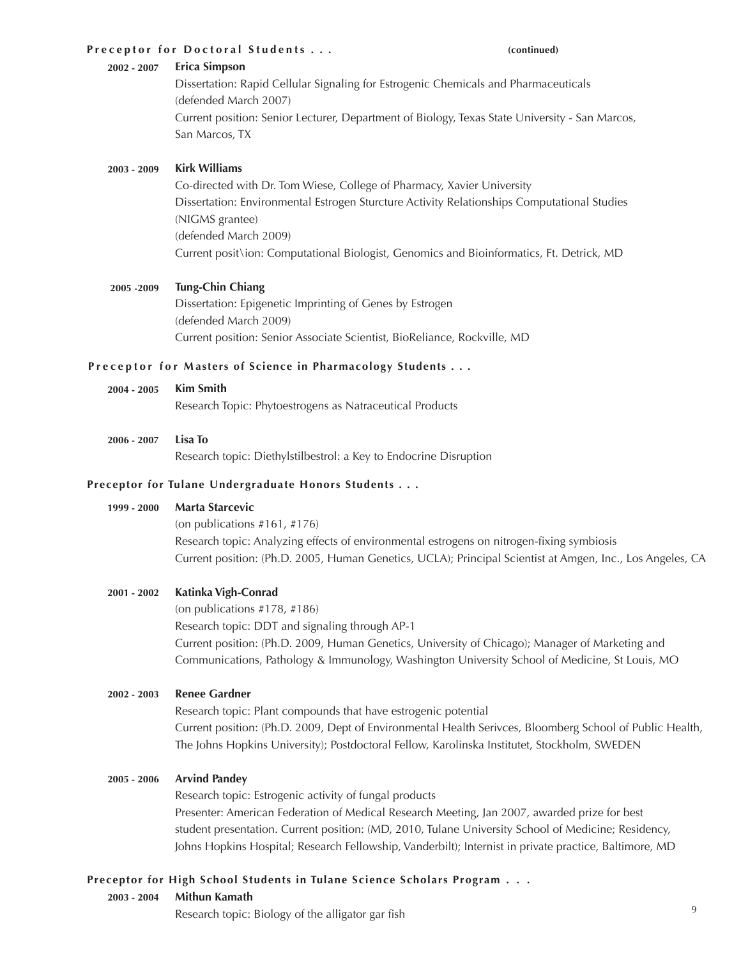### **Preceptor for Doctoral Students . . . (continued)**

#### **Erica Simpson 2002 - 2007**

Dissertation: Rapid Cellular Signaling for Estrogenic Chemicals and Pharmaceuticals (defended March 2007) Current position: Senior Lecturer, Department of Biology, Texas State University - San Marcos, San Marcos, TX

#### **Kirk Williams 2003 - 2009**

Co-directed with Dr. Tom Wiese, College of Pharmacy, Xavier University Dissertation: Environmental Estrogen Sturcture Activity Relationships Computational Studies (NIGMS grantee) (defended March 2009) Current posit\ion: Computational Biologist, Genomics and Bioinformatics, Ft. Detrick, MD

#### **Tung-Chin Chiang 2005 -2009**

Dissertation: Epigenetic Imprinting of Genes by Estrogen (defended March 2009) Current position: Senior Associate Scientist, BioReliance, Rockville, MD

## **Preceptor for Masters of Science in Pharmacology Students . . .**

**Kim Smith 2004 - 2005**

Research Topic: Phytoestrogens as Natraceutical Products

**Lisa To 2006 - 2007**

Research topic: Diethylstilbestrol: a Key to Endocrine Disruption

### **Preceptor for Tulane Undergraduate Honors Students . . .**

#### **Marta Starcevic 1999 - 2000**

(on publications #161, #176) Research topic: Analyzing effects of environmental estrogens on nitrogen-fixing symbiosis Current position: (Ph.D. 2005, Human Genetics, UCLA); Principal Scientist at Amgen, Inc., Los Angeles, CA

#### **Katinka Vigh-Conrad 2001 - 2002**

(on publications #178, #186) Research topic: DDT and signaling through AP-1 Current position: (Ph.D. 2009, Human Genetics, University of Chicago); Manager of Marketing and Communications, Pathology & Immunology, Washington University School of Medicine, St Louis, MO

#### **Renee Gardner 2002 - 2003**

Research topic: Plant compounds that have estrogenic potential Current position: (Ph.D. 2009, Dept of Environmental Health Serivces, Bloomberg School of Public Health, The Johns Hopkins University); Postdoctoral Fellow, Karolinska Institutet, Stockholm, SWEDEN

#### **Arvind Pandey 2005 - 2006**

Research topic: Estrogenic activity of fungal products Presenter: American Federation of Medical Research Meeting, Jan 2007, awarded prize for best student presentation. Current position: (MD, 2010, Tulane University School of Medicine; Residency, Johns Hopkins Hospital; Research Fellowship, Vanderbilt); Internist in private practice, Baltimore, MD

#### **Mithun Kamath 2003 - 2004 Preceptor for High School Students in Tulane Science Scholars Program . . .**

Research topic: Biology of the alligator gar fish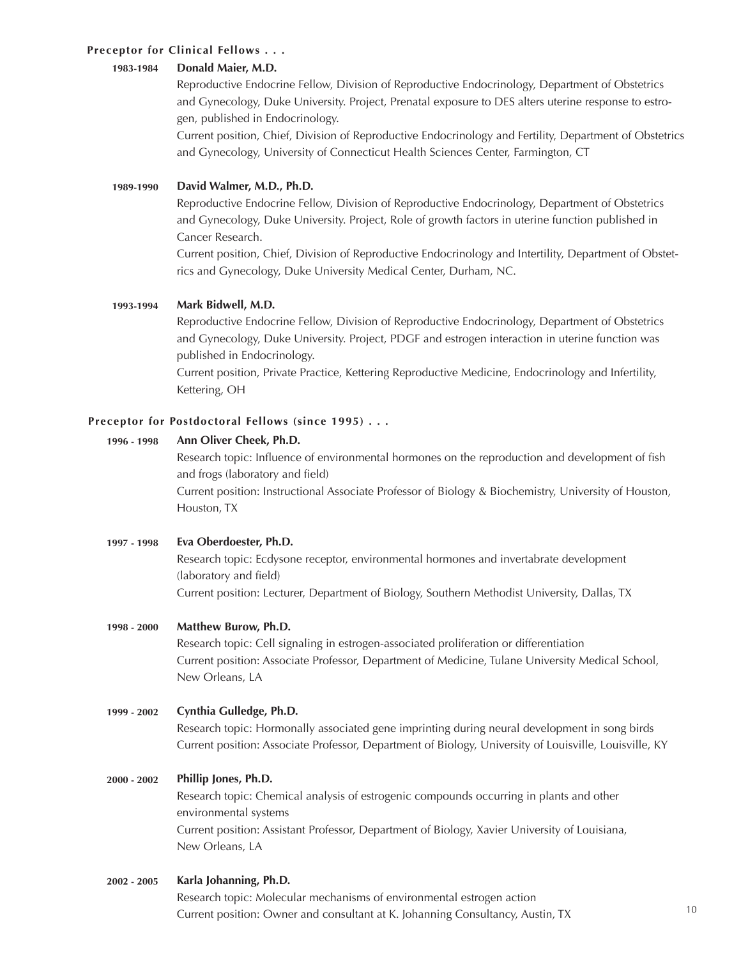# **Preceptor for Clinical Fellows . . .**

#### **Donald Maier, M.D. 1983-1984**

Reproductive Endocrine Fellow, Division of Reproductive Endocrinology, Department of Obstetrics and Gynecology, Duke University. Project, Prenatal exposure to DES alters uterine response to estrogen, published in Endocrinology.

Current position, Chief, Division of Reproductive Endocrinology and Fertility, Department of Obstetrics and Gynecology, University of Connecticut Health Sciences Center, Farmington, CT

#### **David Walmer, M.D., Ph.D. 1989-1990**

Reproductive Endocrine Fellow, Division of Reproductive Endocrinology, Department of Obstetrics and Gynecology, Duke University. Project, Role of growth factors in uterine function published in Cancer Research.

Current position, Chief, Division of Reproductive Endocrinology and Intertility, Department of Obstetrics and Gynecology, Duke University Medical Center, Durham, NC.

#### **Mark Bidwell, M.D. 1993-1994**

Reproductive Endocrine Fellow, Division of Reproductive Endocrinology, Department of Obstetrics and Gynecology, Duke University. Project, PDGF and estrogen interaction in uterine function was published in Endocrinology.

Current position, Private Practice, Kettering Reproductive Medicine, Endocrinology and Infertility, Kettering, OH

# **Preceptor for Postdoctoral Fellows (since 1995) . . .**

#### **Ann Oliver Cheek, Ph.D. 1996 - 1998**

Research topic: Influence of environmental hormones on the reproduction and development of fish and frogs (laboratory and field) Current position: Instructional Associate Professor of Biology & Biochemistry, University of Houston, Houston, TX

**Eva Oberdoester, Ph.D. 1997 - 1998**

> Research topic: Ecdysone receptor, environmental hormones and invertabrate development (laboratory and field) Current position: Lecturer, Department of Biology, Southern Methodist University, Dallas, TX

#### **Matthew Burow, Ph.D. 1998 - 2000**

Research topic: Cell signaling in estrogen-associated proliferation or differentiation Current position: Associate Professor, Department of Medicine, Tulane University Medical School, New Orleans, LA

#### **Cynthia Gulledge, Ph.D. 1999 - 2002**

Research topic: Hormonally associated gene imprinting during neural development in song birds Current position: Associate Professor, Department of Biology, University of Louisville, Louisville, KY

#### **Phillip Jones, Ph.D. 2000 - 2002**

Research topic: Chemical analysis of estrogenic compounds occurring in plants and other environmental systems Current position: Assistant Professor, Department of Biology, Xavier University of Louisiana, New Orleans, LA

#### **Karla Johanning, Ph.D. 2002 - 2005**

Research topic: Molecular mechanisms of environmental estrogen action Current position: Owner and consultant at K. Johanning Consultancy, Austin, TX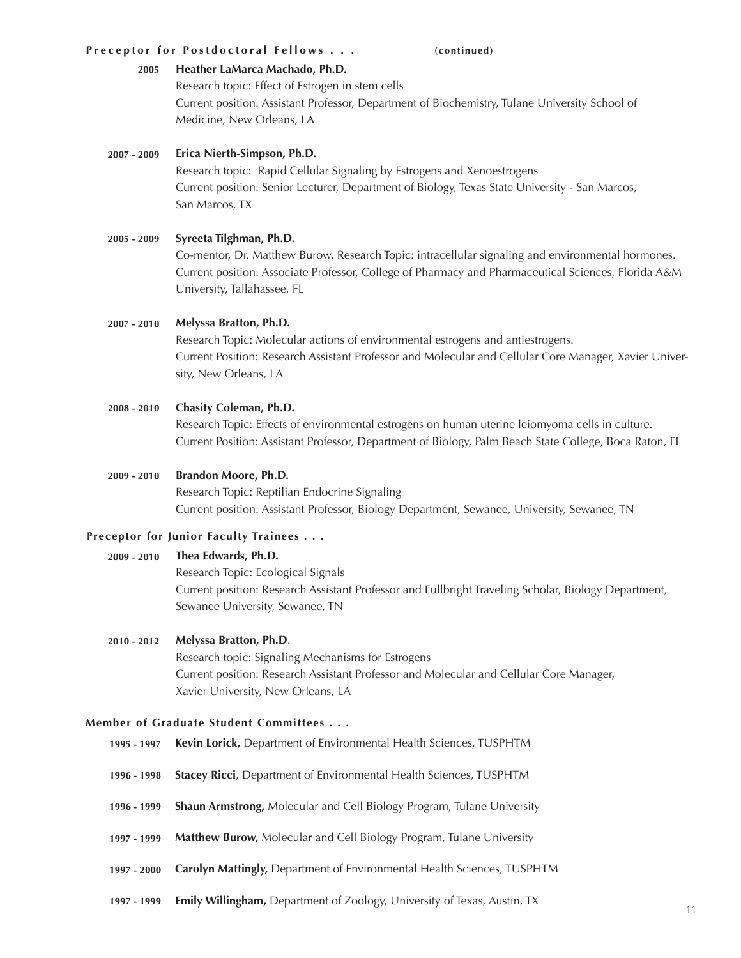### **Preceptor for Postdoctoral Fellows . . . (continued)**

#### **Heather LaMarca Machado, Ph.D. 2005**

Research topic: Effect of Estrogen in stem cells Current position: Assistant Professor, Department of Biochemistry, Tulane University School of Medicine, New Orleans, LA

#### **Erica Nierth-Simpson, Ph.D. 2007 - 2009**

Research topic: Rapid Cellular Signaling by Estrogens and Xenoestrogens Current position: Senior Lecturer, Department of Biology, Texas State University - San Marcos, San Marcos, TX

#### **Syreeta Tilghman, Ph.D. 2005 - 2009**

Co-mentor, Dr. Matthew Burow. Research Topic: intracellular signaling and environmental hormones. Current position: Associate Professor, College of Pharmacy and Pharmaceutical Sciences, Florida A&M University, Tallahassee, FL

#### **Melyssa Bratton, Ph.D. 2007 - 2010**

Research Topic: Molecular actions of environmental estrogens and antiestrogens. Current Position: Research Assistant Professor and Molecular and Cellular Core Manager, Xavier University, New Orleans, LA

#### **Chasity Coleman, Ph.D. 2008 - 2010**

Research Topic: Effects of environmental estrogens on human uterine leiomyoma cells in culture. Current Position: Assistant Professor, Department of Biology, Palm Beach State College, Boca Raton, FL

#### **Brandon Moore, Ph.D. 2009 - 2010**

Research Topic: Reptilian Endocrine Signaling Current position: Assistant Professor, Biology Department, Sewanee, University, Sewanee, TN

## **Preceptor for Junior Faculty Trainees . . .**

#### **Thea Edwards, Ph.D. 2009 - 2010**

Research Topic: Ecological Signals Current position: Research Assistant Professor and Fullbright Traveling Scholar, Biology Department, Sewanee University, Sewanee, TN

#### **Melyssa Bratton, Ph.D**. **2010 - 2012**

Research topic: Signaling Mechanisms for Estrogens Current position: Research Assistant Professor and Molecular and Cellular Core Manager, Xavier University, New Orleans, LA

### **Member of Graduate Student Committees . . .**

- **Kevin Lorick,** Department of Environmental Health Sciences, TUSPHTM **1995 - 1997**
- **Stacey Ricci**, Department of Environmental Health Sciences, TUSPHTM **1996 - 1998**
- **Shaun Armstrong,** Molecular and Cell Biology Program, Tulane University **1996 - 1999**
- **Matthew Burow,** Molecular and Cell Biology Program, Tulane University **1997 1999**
- **Carolyn Mattingly,** Department of Environmental Health Sciences, TUSPHTM **1997 - 2000**
- **Emily Willingham,** Department of Zoology, University of Texas, Austin, TX **1997 - 1999**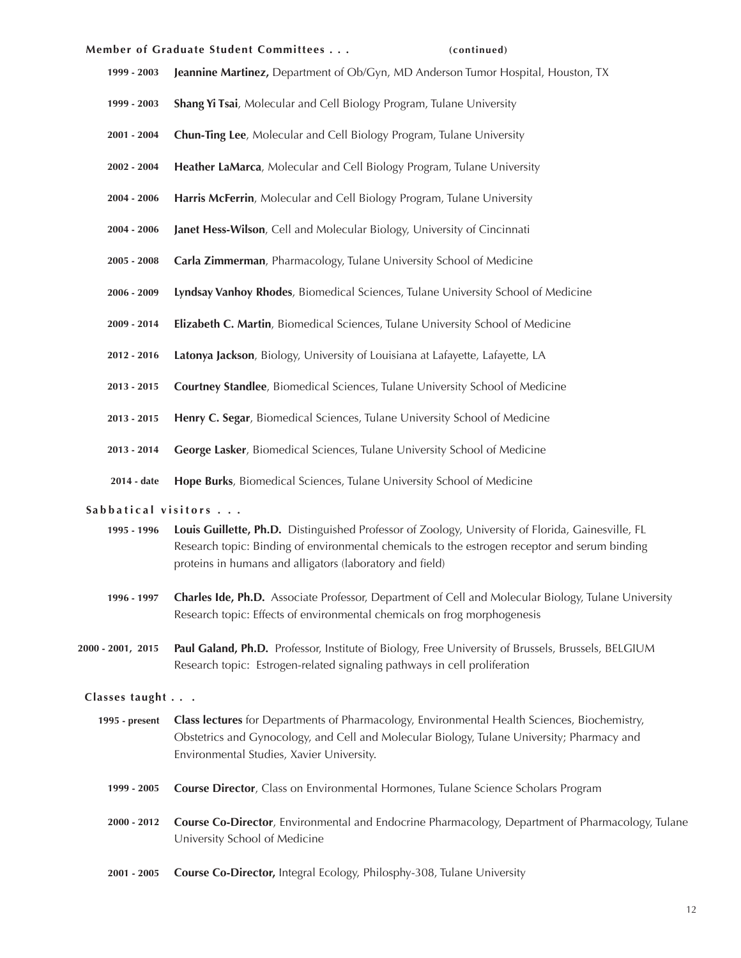### **Member of Graduate Student Committees . . . (continued)**

- **Jeannine Martinez,** Department of Ob/Gyn, MD Anderson Tumor Hospital, Houston, TX **1999 - 2003**
- **Shang Yi Tsai**, Molecular and Cell Biology Program, Tulane University **1999 - 2003**
- **Chun-Ting Lee**, Molecular and Cell Biology Program, Tulane University **2001 - 2004**
- **Heather LaMarca**, Molecular and Cell Biology Program, Tulane University **2002 - 2004**
- **Harris McFerrin**, Molecular and Cell Biology Program, Tulane University **2004 - 2006**
- **Janet Hess-Wilson**, Cell and Molecular Biology, University of Cincinnati **2004 - 2006**
- **Carla Zimmerman**, Pharmacology, Tulane University School of Medicine **2005 - 2008**
- **Lyndsay Vanhoy Rhodes**, Biomedical Sciences, Tulane University School of Medicine **2006 - 2009**
- **Elizabeth C. Martin**, Biomedical Sciences, Tulane University School of Medicine **2009 - 2014**
- **Latonya Jackson**, Biology, University of Louisiana at Lafayette, Lafayette, LA **2012 - 2016**
- **Courtney Standlee**, Biomedical Sciences, Tulane University School of Medicine **2013 - 2015**
- **Henry C. Segar**, Biomedical Sciences, Tulane University School of Medicine **2013 - 2015**
- **George Lasker**, Biomedical Sciences, Tulane University School of Medicine **2013 - 2014**
- **Hope Burks**, Biomedical Sciences, Tulane University School of Medicine **2014 - date**

### Sabbatical visitors . . .

- **Louis Guillette, Ph.D.** Distinguished Professor of Zoology, University of Florida, Gainesville, FL Research topic: Binding of environmental chemicals to the estrogen receptor and serum binding proteins in humans and alligators (laboratory and field) **1995 - 1996**
- **Charles Ide, Ph.D.** Associate Professor, Department of Cell and Molecular Biology, Tulane University Research topic: Effects of environmental chemicals on frog morphogenesis **1996 - 1997**
- Paul Galand, Ph.D. Professor, Institute of Biology, Free University of Brussels, Brussels, BELGIUM Research topic: Estrogen-related signaling pathways in cell proliferation **2000 - 2001, 2015**

### **Classes taught . . .**

- **Class lectures** for Departments of Pharmacology, Environmental Health Sciences, Biochemistry, Obstetrics and Gynocology, and Cell and Molecular Biology, Tulane University; Pharmacy and Environmental Studies, Xavier University. **1995 - present**
	- **Course Director**, Class on Environmental Hormones, Tulane Science Scholars Program **1999 - 2005**
	- **Course Co-Director**, Environmental and Endocrine Pharmacology, Department of Pharmacology, Tulane University School of Medicine **2000 - 2012**
	- **Course Co-Director,** Integral Ecology, Philosphy-308, Tulane University **2001 - 2005**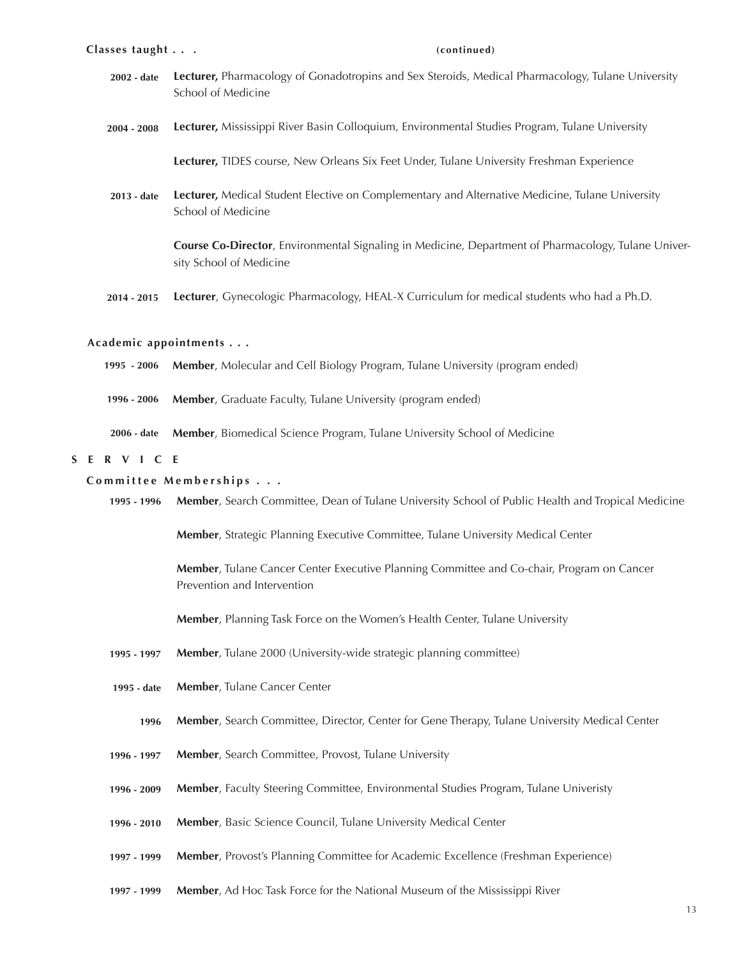- **Lecturer,** Pharmacology of Gonadotropins and Sex Steroids, Medical Pharmacology, Tulane University School of Medicine **2002 - date**
- **Lecturer,** Mississippi River Basin Colloquium, Environmental Studies Program, Tulane University **2004 - 2008**

**Lecturer,** TIDES course, New Orleans Six Feet Under, Tulane University Freshman Experience

**Lecturer,** Medical Student Elective on Complementary and Alternative Medicine, Tulane University School of Medicine **2013 - date**

> **Course Co-Director**, Environmental Signaling in Medicine, Department of Pharmacology, Tulane University School of Medicine

**Lecturer**, Gynecologic Pharmacology, HEAL-X Curriculum for medical students who had a Ph.D. **2014 - 2015**

### **Academic appointments . . .**

- **Member**, Molecular and Cell Biology Program, Tulane University (program ended) **1995 - 2006**
- **Member**, Graduate Faculty, Tulane University (program ended) **1996 - 2006**
- **Member**, Biomedical Science Program, Tulane University School of Medicine **2006 - date**

### **SERVICE**

### **Committee Memberships . . .**

**Member**, Search Committee, Dean of Tulane University School of Public Health and Tropical Medicine **1995 - 1996**

**Member**, Strategic Planning Executive Committee, Tulane University Medical Center

**Member**, Tulane Cancer Center Executive Planning Committee and Co-chair, Program on Cancer Prevention and Intervention

**Member**, Planning Task Force on the Women's Health Center, Tulane University

- **Member**, Tulane 2000 (University-wide strategic planning committee) **1995 - 1997**
- **Member**, Tulane Cancer Center **1995 - date**
	- **Member**, Search Committee, Director, Center for Gene Therapy, Tulane University Medical Center **1996**
- **Member**, Search Committee, Provost, Tulane University **1996 - 1997**
- **Member**, Faculty Steering Committee, Environmental Studies Program, Tulane Univeristy **1996 - 2009**
- **Member**, Basic Science Council, Tulane University Medical Center **1996 - 2010**
- **Member**, Provost's Planning Committee for Academic Excellence (Freshman Experience) **1997 - 1999**
- **Member**, Ad Hoc Task Force for the National Museum of the Mississippi River **1997 - 1999**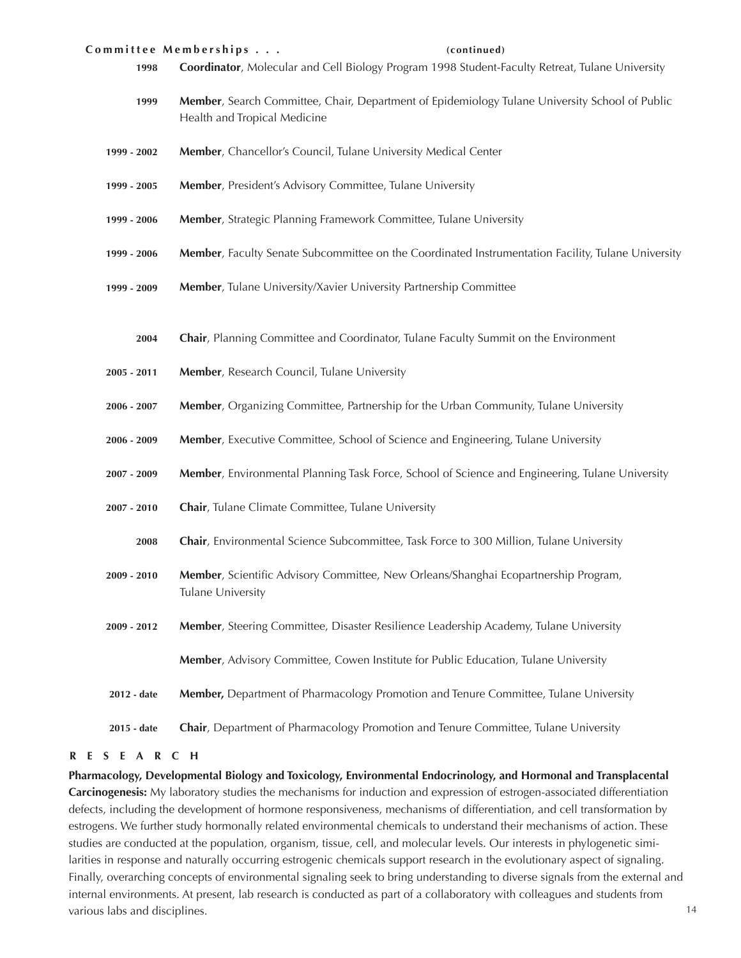### **Committee Memberships . . . (continued)**

- **1998 Coordinator**, Molecular and Cell Biology Program 1998 Student-Faculty Retreat, Tulane University
- **1999 Member**, Search Committee, Chair, Department of Epidemiology Tulane University School of Public Health and Tropical Medicine
- **1999 2002 Member**, Chancellor's Council, Tulane University Medical Center
- **1999 2005 Member**, President's Advisory Committee, Tulane University
- **1999 2006 Member**, Strategic Planning Framework Committee, Tulane University
- **1999 2006 Member**, Faculty Senate Subcommittee on the Coordinated Instrumentation Facility, Tulane University
- **1999 2009 Member**, Tulane University/Xavier University Partnership Committee
	- **2004 Chair**, Planning Committee and Coordinator, Tulane Faculty Summit on the Environment
- **2005 2011 Member**, Research Council, Tulane University
- **2006 2007 Member**, Organizing Committee, Partnership for the Urban Community, Tulane University
- **2006 2009 Member**, Executive Committee, School of Science and Engineering, Tulane University
- **2007 2009 Member**, Environmental Planning Task Force, School of Science and Engineering, Tulane University
- **2007 2010 Chair**, Tulane Climate Committee, Tulane University
	- **2008 Chair**, Environmental Science Subcommittee, Task Force to 300 Million, Tulane University
- **2009 2010 Member**, Scientific Advisory Committee, New Orleans/Shanghai Ecopartnership Program, Tulane University
- **2009 2012 Member**, Steering Committee, Disaster Resilience Leadership Academy, Tulane University

**Member**, Advisory Committee, Cowen Institute for Public Education, Tulane University

- **2012 date Member,** Department of Pharmacology Promotion and Tenure Committee, Tulane University
- **2015 date Chair**, Department of Pharmacology Promotion and Tenure Committee, Tulane University

### **RESEARCH**

**Pharmacology, Developmental Biology and Toxicology, Environmental Endocrinology, and Hormonal and Transplacental Carcinogenesis:** My laboratory studies the mechanisms for induction and expression of estrogen-associated differentiation defects, including the development of hormone responsiveness, mechanisms of differentiation, and cell transformation by estrogens. We further study hormonally related environmental chemicals to understand their mechanisms of action. These studies are conducted at the population, organism, tissue, cell, and molecular levels. Our interests in phylogenetic similarities in response and naturally occurring estrogenic chemicals support research in the evolutionary aspect of signaling. Finally, overarching concepts of environmental signaling seek to bring understanding to diverse signals from the external and internal environments. At present, lab research is conducted as part of a collaboratory with colleagues and students from various labs and disciplines.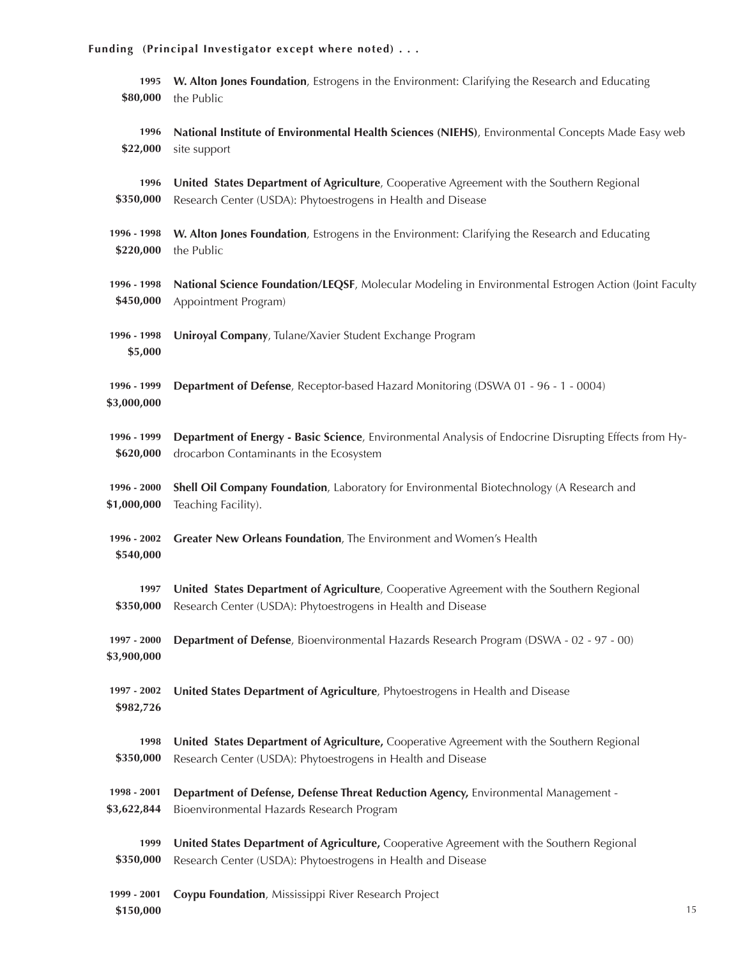| Funding (Principal Investigator except where noted) |                                                                                                                                                           |    |
|-----------------------------------------------------|-----------------------------------------------------------------------------------------------------------------------------------------------------------|----|
| 1995<br>\$80,000                                    | W. Alton Jones Foundation, Estrogens in the Environment: Clarifying the Research and Educating<br>the Public                                              |    |
| 1996<br>\$22,000                                    | National Institute of Environmental Health Sciences (NIEHS), Environmental Concepts Made Easy web<br>site support                                         |    |
| 1996<br>\$350,000                                   | United States Department of Agriculture, Cooperative Agreement with the Southern Regional<br>Research Center (USDA): Phytoestrogens in Health and Disease |    |
| 1996 - 1998<br>\$220,000                            | W. Alton Jones Foundation, Estrogens in the Environment: Clarifying the Research and Educating<br>the Public                                              |    |
| 1996 - 1998<br>\$450,000                            | National Science Foundation/LEQSF, Molecular Modeling in Environmental Estrogen Action (Joint Faculty<br>Appointment Program)                             |    |
| 1996 - 1998<br>\$5,000                              | Uniroyal Company, Tulane/Xavier Student Exchange Program                                                                                                  |    |
| 1996 - 1999<br>\$3,000,000                          | Department of Defense, Receptor-based Hazard Monitoring (DSWA 01 - 96 - 1 - 0004)                                                                         |    |
| 1996 - 1999<br>\$620,000                            | Department of Energy - Basic Science, Environmental Analysis of Endocrine Disrupting Effects from Hy-<br>drocarbon Contaminants in the Ecosystem          |    |
| 1996 - 2000<br>\$1,000,000                          | Shell Oil Company Foundation, Laboratory for Environmental Biotechnology (A Research and<br>Teaching Facility).                                           |    |
| 1996 - 2002<br>\$540,000                            | Greater New Orleans Foundation, The Environment and Women's Health                                                                                        |    |
| 1997<br>\$350,000                                   | United States Department of Agriculture, Cooperative Agreement with the Southern Regional<br>Research Center (USDA): Phytoestrogens in Health and Disease |    |
| 1997 - 2000<br>\$3,900,000                          | Department of Defense, Bioenvironmental Hazards Research Program (DSWA - 02 - 97 - 00)                                                                    |    |
| 1997 - 2002<br>\$982,726                            | United States Department of Agriculture, Phytoestrogens in Health and Disease                                                                             |    |
| 1998<br>\$350,000                                   | United States Department of Agriculture, Cooperative Agreement with the Southern Regional<br>Research Center (USDA): Phytoestrogens in Health and Disease |    |
| 1998 - 2001<br>\$3,622,844                          | Department of Defense, Defense Threat Reduction Agency, Environmental Management -<br>Bioenvironmental Hazards Research Program                           |    |
| 1999<br>\$350,000                                   | United States Department of Agriculture, Cooperative Agreement with the Southern Regional<br>Research Center (USDA): Phytoestrogens in Health and Disease |    |
| 1999 - 2001<br>\$150,000                            | Coypu Foundation, Mississippi River Research Project                                                                                                      | 15 |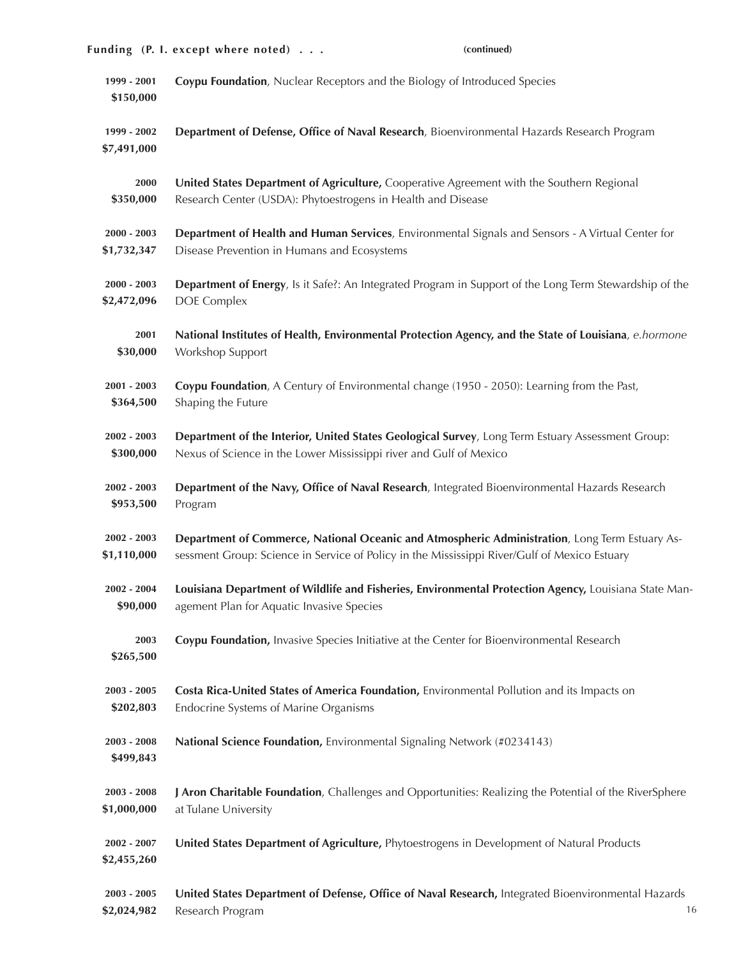|                              | Funding (P. I. except where noted)<br>(continued)                                                                            |
|------------------------------|------------------------------------------------------------------------------------------------------------------------------|
| 1999 - 2001<br>\$150,000     | Coypu Foundation, Nuclear Receptors and the Biology of Introduced Species                                                    |
| 1999 - 2002<br>\$7,491,000   | Department of Defense, Office of Naval Research, Bioenvironmental Hazards Research Program                                   |
| 2000                         | United States Department of Agriculture, Cooperative Agreement with the Southern Regional                                    |
| \$350,000                    | Research Center (USDA): Phytoestrogens in Health and Disease                                                                 |
| $2000 - 2003$                | Department of Health and Human Services, Environmental Signals and Sensors - A Virtual Center for                            |
| \$1,732,347                  | Disease Prevention in Humans and Ecosystems                                                                                  |
| $2000 - 2003$                | Department of Energy, Is it Safe?: An Integrated Program in Support of the Long Term Stewardship of the                      |
| \$2,472,096                  | <b>DOE</b> Complex                                                                                                           |
| 2001                         | National Institutes of Health, Environmental Protection Agency, and the State of Louisiana, e.hormone                        |
| \$30,000                     | Workshop Support                                                                                                             |
| $2001 - 2003$                | Coypu Foundation, A Century of Environmental change (1950 - 2050): Learning from the Past,                                   |
| \$364,500                    | Shaping the Future                                                                                                           |
| $2002 - 2003$                | Department of the Interior, United States Geological Survey, Long Term Estuary Assessment Group:                             |
| \$300,000                    | Nexus of Science in the Lower Mississippi river and Gulf of Mexico                                                           |
| 2002 - 2003                  | Department of the Navy, Office of Naval Research, Integrated Bioenvironmental Hazards Research                               |
| \$953,500                    | Program                                                                                                                      |
| $2002 - 2003$                | Department of Commerce, National Oceanic and Atmospheric Administration, Long Term Estuary As-                               |
| \$1,110,000                  | sessment Group: Science in Service of Policy in the Mississippi River/Gulf of Mexico Estuary                                 |
| $2002 - 2004$                | Louisiana Department of Wildlife and Fisheries, Environmental Protection Agency, Louisiana State Man-                        |
| \$90,000                     | agement Plan for Aquatic Invasive Species                                                                                    |
| 2003<br>\$265,500            | Coypu Foundation, Invasive Species Initiative at the Center for Bioenvironmental Research                                    |
| $2003 - 2005$                | Costa Rica-United States of America Foundation, Environmental Pollution and its Impacts on                                   |
| \$202,803                    | Endocrine Systems of Marine Organisms                                                                                        |
| $2003 - 2008$<br>\$499,843   | National Science Foundation, Environmental Signaling Network (#0234143)                                                      |
| $2003 - 2008$                | J Aron Charitable Foundation, Challenges and Opportunities: Realizing the Potential of the RiverSphere                       |
| \$1,000,000                  | at Tulane University                                                                                                         |
| $2002 - 2007$<br>\$2,455,260 | United States Department of Agriculture, Phytoestrogens in Development of Natural Products                                   |
| $2003 - 2005$<br>\$2,024,982 | United States Department of Defense, Office of Naval Research, Integrated Bioenvironmental Hazards<br>Research Program<br>16 |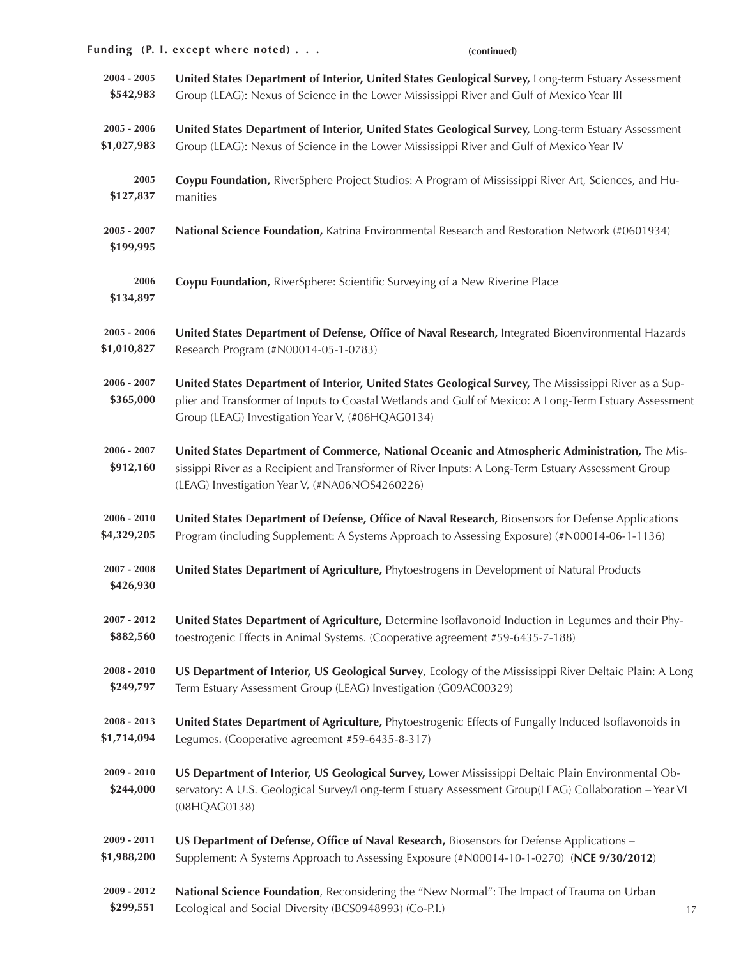|                            | Funding (P. I. except where noted)<br>(continued)                                                                                                                                                                                                                    |
|----------------------------|----------------------------------------------------------------------------------------------------------------------------------------------------------------------------------------------------------------------------------------------------------------------|
| $2004 - 2005$              | United States Department of Interior, United States Geological Survey, Long-term Estuary Assessment                                                                                                                                                                  |
| \$542,983                  | Group (LEAG): Nexus of Science in the Lower Mississippi River and Gulf of Mexico Year III                                                                                                                                                                            |
| $2005 - 2006$              | United States Department of Interior, United States Geological Survey, Long-term Estuary Assessment                                                                                                                                                                  |
| \$1,027,983                | Group (LEAG): Nexus of Science in the Lower Mississippi River and Gulf of Mexico Year IV                                                                                                                                                                             |
| 2005                       | Coypu Foundation, RiverSphere Project Studios: A Program of Mississippi River Art, Sciences, and Hu-                                                                                                                                                                 |
| \$127,837                  | manities                                                                                                                                                                                                                                                             |
| $2005 - 2007$<br>\$199,995 | National Science Foundation, Katrina Environmental Research and Restoration Network (#0601934)                                                                                                                                                                       |
| 2006<br>\$134,897          | Coypu Foundation, RiverSphere: Scientific Surveying of a New Riverine Place                                                                                                                                                                                          |
| $2005 - 2006$              | United States Department of Defense, Office of Naval Research, Integrated Bioenvironmental Hazards                                                                                                                                                                   |
| \$1,010,827                | Research Program (#N00014-05-1-0783)                                                                                                                                                                                                                                 |
| $2006 - 2007$<br>\$365,000 | United States Department of Interior, United States Geological Survey, The Mississippi River as a Sup-<br>plier and Transformer of Inputs to Coastal Wetlands and Gulf of Mexico: A Long-Term Estuary Assessment<br>Group (LEAG) Investigation Year V, (#06HQAG0134) |
| $2006 - 2007$<br>\$912,160 | United States Department of Commerce, National Oceanic and Atmospheric Administration, The Mis-<br>sissippi River as a Recipient and Transformer of River Inputs: A Long-Term Estuary Assessment Group<br>(LEAG) Investigation Year V, (#NA06NOS4260226)             |
| $2006 - 2010$              | United States Department of Defense, Office of Naval Research, Biosensors for Defense Applications                                                                                                                                                                   |
| \$4,329,205                | Program (including Supplement: A Systems Approach to Assessing Exposure) (#N00014-06-1-1136)                                                                                                                                                                         |
| 2007 - 2008<br>\$426,930   | United States Department of Agriculture, Phytoestrogens in Development of Natural Products                                                                                                                                                                           |
| $2007 - 2012$              | United States Department of Agriculture, Determine Isoflavonoid Induction in Legumes and their Phy-                                                                                                                                                                  |
| \$882,560                  | toestrogenic Effects in Animal Systems. (Cooperative agreement #59-6435-7-188)                                                                                                                                                                                       |
| $2008 - 2010$              | US Department of Interior, US Geological Survey, Ecology of the Mississippi River Deltaic Plain: A Long                                                                                                                                                              |
| \$249,797                  | Term Estuary Assessment Group (LEAG) Investigation (G09AC00329)                                                                                                                                                                                                      |
| $2008 - 2013$              | United States Department of Agriculture, Phytoestrogenic Effects of Fungally Induced Isoflavonoids in                                                                                                                                                                |
| \$1,714,094                | Legumes. (Cooperative agreement #59-6435-8-317)                                                                                                                                                                                                                      |
| $2009 - 2010$<br>\$244,000 | US Department of Interior, US Geological Survey, Lower Mississippi Deltaic Plain Environmental Ob-<br>servatory: A U.S. Geological Survey/Long-term Estuary Assessment Group(LEAG) Collaboration - Year VI<br>(08HQAG0138)                                           |
| 2009 - 2011                | US Department of Defense, Office of Naval Research, Biosensors for Defense Applications -                                                                                                                                                                            |
| \$1,988,200                | Supplement: A Systems Approach to Assessing Exposure (#N00014-10-1-0270) (NCE 9/30/2012)                                                                                                                                                                             |
| 2009 - 2012<br>\$299,551   | National Science Foundation, Reconsidering the "New Normal": The Impact of Trauma on Urban<br>Ecological and Social Diversity (BCS0948993) (Co-P.I.)<br>17                                                                                                           |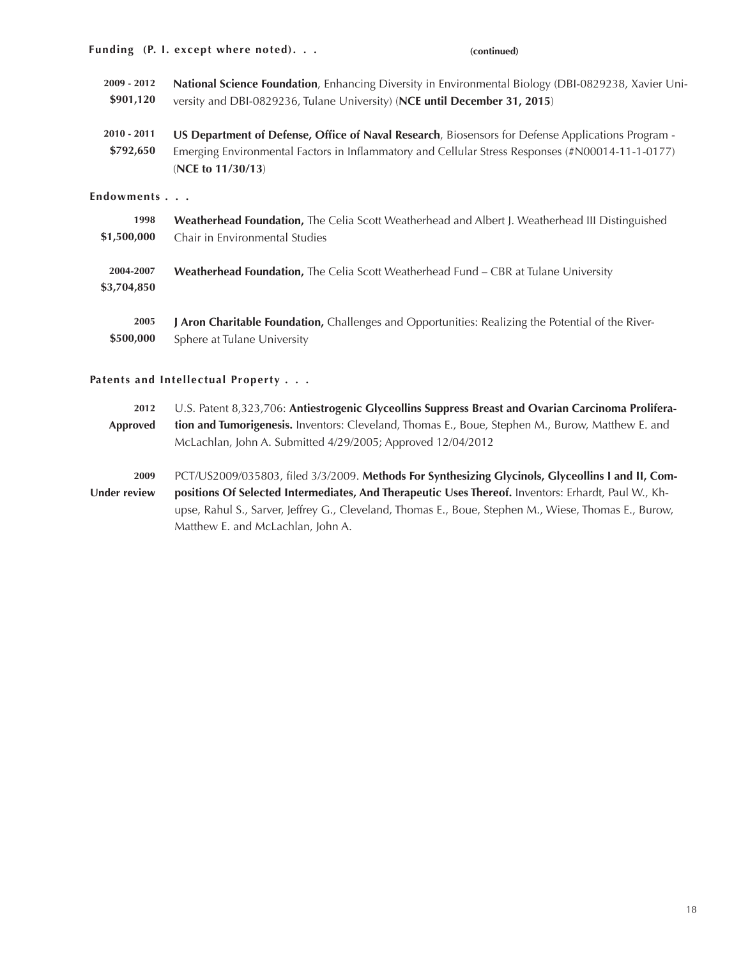|                            | Funding (P. I. except where noted).<br>(continued)                                                                                                                                                                         |
|----------------------------|----------------------------------------------------------------------------------------------------------------------------------------------------------------------------------------------------------------------------|
| 2009 - 2012<br>\$901,120   | National Science Foundation, Enhancing Diversity in Environmental Biology (DBI-0829238, Xavier Uni-<br>versity and DBI-0829236, Tulane University) (NCE until December 31, 2015)                                           |
| $2010 - 2011$<br>\$792,650 | US Department of Defense, Office of Naval Research, Biosensors for Defense Applications Program -<br>Emerging Environmental Factors in Inflammatory and Cellular Stress Responses (#N00014-11-1-0177)<br>(NCE to 11/30/13) |
| Endowments                 |                                                                                                                                                                                                                            |
| 1998<br>\$1,500,000        | Weatherhead Foundation, The Celia Scott Weatherhead and Albert J. Weatherhead III Distinguished<br>Chair in Environmental Studies                                                                                          |
| 2004-2007<br>\$3,704,850   | Weatherhead Foundation, The Celia Scott Weatherhead Fund - CBR at Tulane University                                                                                                                                        |
| 2005<br>\$500,000          | J Aron Charitable Foundation, Challenges and Opportunities: Realizing the Potential of the River-<br>Sphere at Tulane University                                                                                           |

# **Patents and Intellectual Property . . .**

| 2012                | U.S. Patent 8,323,706: Antiestrogenic Glyceollins Suppress Breast and Ovarian Carcinoma Prolifera-   |
|---------------------|------------------------------------------------------------------------------------------------------|
| Approved            | tion and Tumorigenesis. Inventors: Cleveland, Thomas E., Boue, Stephen M., Burow, Matthew E. and     |
|                     | McLachlan, John A. Submitted 4/29/2005; Approved 12/04/2012                                          |
|                     |                                                                                                      |
| 2009                | PCT/US2009/035803, filed 3/3/2009. Methods For Synthesizing Glycinols, Glyceollins I and II, Com-    |
| <b>Under review</b> | positions Of Selected Intermediates, And Therapeutic Uses Thereof. Inventors: Erhardt, Paul W., Kh-  |
|                     | upse, Rahul S., Sarver, Jeffrey G., Cleveland, Thomas E., Boue, Stephen M., Wiese, Thomas E., Burow, |
|                     | Matthew E. and McLachlan, John A.                                                                    |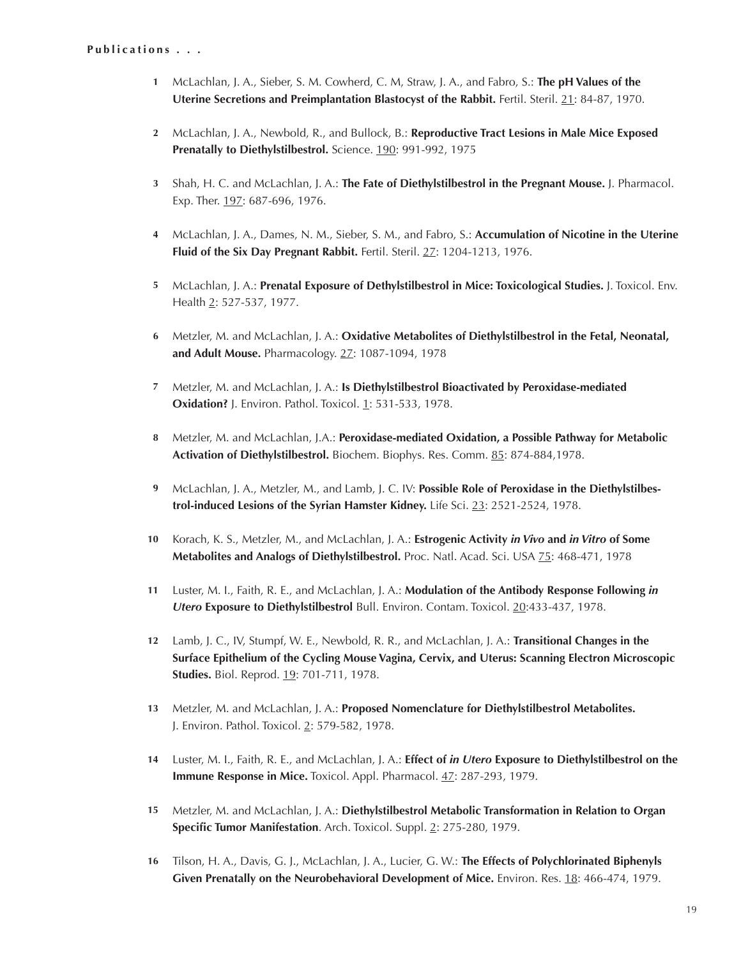- **1** McLachlan, J. A., Sieber, S. M. Cowherd, C. M, Straw, J. A., and Fabro, S.: **The pH Values of the Uterine Secretions and Preimplantation Blastocyst of the Rabbit.** Fertil. Steril. 21: 84-87, 1970.
- **2** McLachlan, J. A., Newbold, R., and Bullock, B.: **Reproductive Tract Lesions in Male Mice Exposed Prenatally to Diethylstilbestrol.** Science. 190: 991-992, 1975
- **3** Shah, H. C. and McLachlan, J. A.: **The Fate of Diethylstilbestrol in the Pregnant Mouse.** J. Pharmacol. Exp. Ther. 197: 687-696, 1976.
- **4** McLachlan, J. A., Dames, N. M., Sieber, S. M., and Fabro, S.: **Accumulation of Nicotine in the Uterine Fluid of the Six Day Pregnant Rabbit.** Fertil. Steril. 27: 1204-1213, 1976.
- **5** McLachlan, J. A.: **Prenatal Exposure of Dethylstilbestrol in Mice: Toxicological Studies.** J. Toxicol. Env. Health 2: 527-537, 1977.
- **6** Metzler, M. and McLachlan, J. A.: **Oxidative Metabolites of Diethylstilbestrol in the Fetal, Neonatal, and Adult Mouse.** Pharmacology. 27: 1087-1094, 1978
- **7** Metzler, M. and McLachlan, J. A.: **Is Diethylstilbestrol Bioactivated by Peroxidase-mediated Oxidation?** J. Environ. Pathol. Toxicol. 1: 531-533, 1978.
- **8** Metzler, M. and McLachlan, J.A.: **Peroxidase-mediated Oxidation, a Possible Pathway for Metabolic Activation of Diethylstilbestrol.** Biochem. Biophys. Res. Comm. 85: 874-884,1978.
- **9** McLachlan, J. A., Metzler, M., and Lamb, J. C. IV: **Possible Role of Peroxidase in the Diethylstilbestrol-induced Lesions of the Syrian Hamster Kidney.** Life Sci. 23: 2521-2524, 1978.
- **10** Korach, K. S., Metzler, M., and McLachlan, J. A.: **Estrogenic Activity** *in Vivo* **and** *in Vitro* **of Some Metabolites and Analogs of Diethylstilbestrol.** Proc. Natl. Acad. Sci. USA 75: 468-471, 1978
- **11** Luster, M. I., Faith, R. E., and McLachlan, J. A.: **Modulation of the Antibody Response Following** *in Utero* **Exposure to Diethylstilbestrol** Bull. Environ. Contam. Toxicol. 20:433-437, 1978.
- **12** Lamb, J. C., IV, Stumpf, W. E., Newbold, R. R., and McLachlan, J. A.: **Transitional Changes in the Surface Epithelium of the Cycling Mouse Vagina, Cervix, and Uterus: Scanning Electron Microscopic Studies.** Biol. Reprod. 19: 701-711, 1978.
- **13** Metzler, M. and McLachlan, J. A.: **Proposed Nomenclature for Diethylstilbestrol Metabolites.** J. Environ. Pathol. Toxicol. 2: 579-582, 1978.
- **14** Luster, M. I., Faith, R. E., and McLachlan, J. A.: **Effect of** *in Utero* **Exposure to Diethylstilbestrol on the Immune Response in Mice.** Toxicol. Appl. Pharmacol. 47: 287-293, 1979.
- **15** Metzler, M. and McLachlan, J. A.: **Diethylstilbestrol Metabolic Transformation in Relation to Organ Specific Tumor Manifestation**. Arch. Toxicol. Suppl. 2: 275-280, 1979.
- **16** Tilson, H. A., Davis, G. J., McLachlan, J. A., Lucier, G. W.: **The Effects of Polychlorinated Biphenyls Given Prenatally on the Neurobehavioral Development of Mice.** Environ. Res. 18: 466-474, 1979.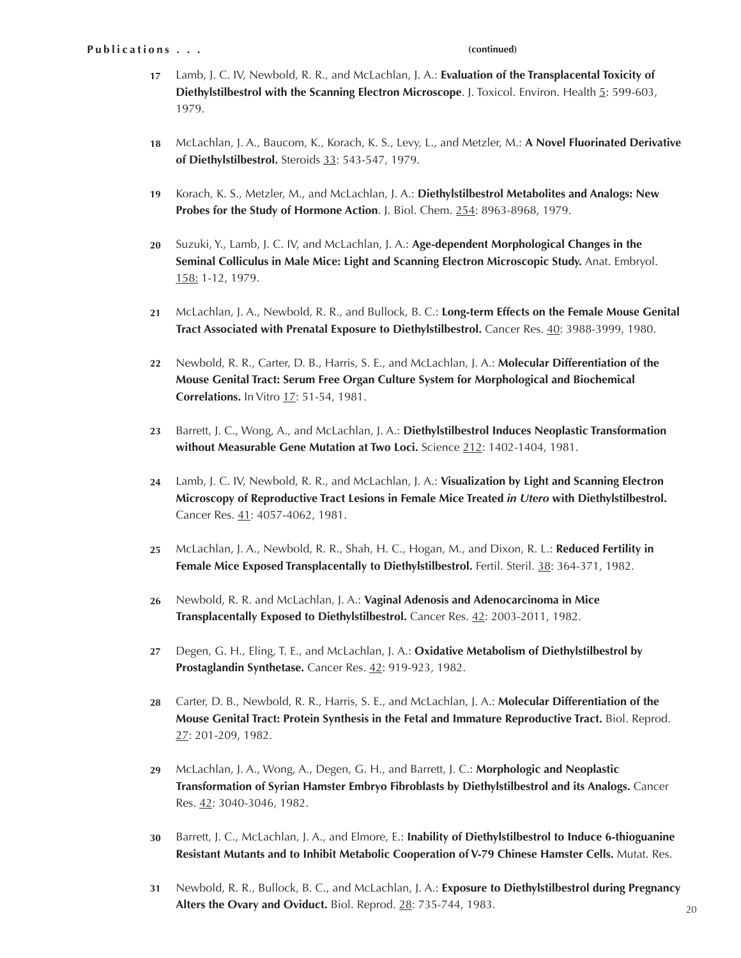#### **(continued)**

- Lamb, J. C. IV, Newbold, R. R., and McLachlan, J. A.: **Evaluation of the Transplacental Toxicity of 17 Diethylstilbestrol with the Scanning Electron Microscope.** J. Toxicol. Environ. Health 5: 599-603, 1979.
- McLachlan, J. A., Baucom, K., Korach, K. S., Levy, L., and Metzler, M.: **A Novel Fluorinated Derivative of Diethylstilbestrol.** Steroids 33: 543-547, 1979. **18**
- Korach, K. S., Metzler, M., and McLachlan, J. A.: **Diethylstilbestrol Metabolites and Analogs: New Probes for the Study of Hormone Action**. J. Biol. Chem. 254: 8963-8968, 1979. **19**
- Suzuki, Y., Lamb, J. C. IV, and McLachlan, J. A.: **Age-dependent Morphological Changes in the Seminal Colliculus in Male Mice: Light and Scanning Electron Microscopic Study.** Anat. Embryol. 158: 1-12, 1979. **20**
- McLachlan, J. A., Newbold, R. R., and Bullock, B. C.: **Long-term Effects on the Female Mouse Genital 21 Tract Associated with Prenatal Exposure to Diethylstilbestrol.** Cancer Res. 40: 3988-3999, 1980.
- Newbold, R. R., Carter, D. B., Harris, S. E., and McLachlan, J. A.: **Molecular Differentiation of the Mouse Genital Tract: Serum Free Organ Culture System for Morphological and Biochemical Correlations.** In Vitro 17: 51-54, 1981. **22**
- Barrett, J. C., Wong, A., and McLachlan, J. A.: **Diethylstilbestrol Induces Neoplastic Transformation without Measurable Gene Mutation at Two Loci.** Science 212: 1402-1404, 1981. **23**
- Lamb, J. C. IV, Newbold, R. R., and McLachlan, J. A.: **Visualization by Light and Scanning Electron Microscopy of Reproductive Tract Lesions in Female Mice Treated** *in Utero* **with Diethylstilbestrol.** Cancer Res. 41: 4057-4062, 1981. **24**
- McLachlan, J. A., Newbold, R. R., Shah, H. C., Hogan, M., and Dixon, R. L.: **Reduced Fertility in Female Mice Exposed Transplacentally to Diethylstilbestrol.** Fertil. Steril. 38: 364-371, 1982. **25**
- Newbold, R. R. and McLachlan, J. A.: **Vaginal Adenosis and Adenocarcinoma in Mice Transplacentally Exposed to Diethylstilbestrol.** Cancer Res. 42: 2003-2011, 1982. **26**
- Degen, G. H., Eling, T. E., and McLachlan, J. A.: **Oxidative Metabolism of Diethylstilbestrol by Prostaglandin Synthetase.** Cancer Res. 42: 919-923, 1982. **27**
- Carter, D. B., Newbold, R. R., Harris, S. E., and McLachlan, J. A.: **Molecular Differentiation of the Mouse Genital Tract: Protein Synthesis in the Fetal and Immature Reproductive Tract.** Biol. Reprod. 27: 201-209, 1982. **28**
- McLachlan, J. A., Wong, A., Degen, G. H., and Barrett, J. C.: **Morphologic and Neoplastic Transformation of Syrian Hamster Embryo Fibroblasts by Diethylstilbestrol and its Analogs.** Cancer Res. 42: 3040-3046, 1982. **29**
- Barrett, J. C., McLachlan, J. A., and Elmore, E.: **Inability of Diethylstilbestrol to Induce 6-thioguanine Resistant Mutants and to Inhibit Metabolic Cooperation of V-79 Chinese Hamster Cells.** Mutat. Res. **30**
- Newbold, R. R., Bullock, B. C., and McLachlan, J. A.: **Exposure to Diethylstilbestrol during Pregnancy Alters the Ovary and Oviduct.** Biol. Reprod. 28: 735-744, 1983. **31**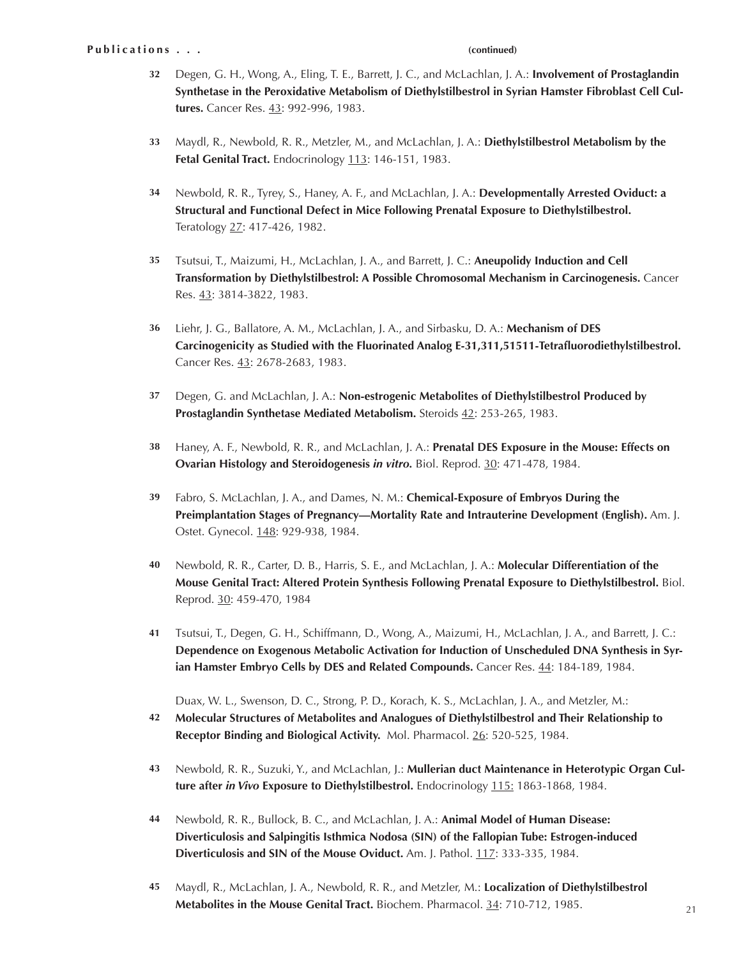### **(continued)**

- Degen, G. H., Wong, A., Eling, T. E., Barrett, J. C., and McLachlan, J. A.: **Involvement of Prostaglandin Synthetase in the Peroxidative Metabolism of Diethylstilbestrol in Syrian Hamster Fibroblast Cell Cultures.** Cancer Res. 43: 992-996, 1983. **32**
- Maydl, R., Newbold, R. R., Metzler, M., and McLachlan, J. A.: **Diethylstilbestrol Metabolism by the 33 Fetal Genital Tract.** Endocrinology 113: 146-151, 1983.
- Newbold, R. R., Tyrey, S., Haney, A. F., and McLachlan, J. A.: **Developmentally Arrested Oviduct: a Structural and Functional Defect in Mice Following Prenatal Exposure to Diethylstilbestrol.** Teratology 27: 417-426, 1982. **34**
- Tsutsui, T., Maizumi, H., McLachlan, J. A., and Barrett, J. C.: **Aneupolidy Induction and Cell 35 Transformation by Diethylstilbestrol: A Possible Chromosomal Mechanism in Carcinogenesis.** Cancer Res. 43: 3814-3822, 1983.
- Liehr, J. G., Ballatore, A. M., McLachlan, J. A., and Sirbasku, D. A.: **Mechanism of DES Carcinogenicity as Studied with the Fluorinated Analog E-31,311,51511-Tetrafluorodiethylstilbestrol.** Cancer Res. 43: 2678-2683, 1983. **36**
- Degen, G. and McLachlan, J. A.: **Non-estrogenic Metabolites of Diethylstilbestrol Produced by Prostaglandin Synthetase Mediated Metabolism.** Steroids 42: 253-265, 1983. **37**
- Haney, A. F., Newbold, R. R., and McLachlan, J. A.: **Prenatal DES Exposure in the Mouse: Effects on Ovarian Histology and Steroidogenesis** *in vitro.* Biol. Reprod. 30: 471-478, 1984. **38**
- Fabro, S. McLachlan, J. A., and Dames, N. M.: **Chemical-Exposure of Embryos During the Preimplantation Stages of Pregnancy—Mortality Rate and Intrauterine Development (English).** Am. J. Ostet. Gynecol. 148: 929-938, 1984. **39**
- Newbold, R. R., Carter, D. B., Harris, S. E., and McLachlan, J. A.: **Molecular Differentiation of the Mouse Genital Tract: Altered Protein Synthesis Following Prenatal Exposure to Diethylstilbestrol.** Biol. Reprod. 30: 459-470, 1984 **40**
- Tsutsui, T., Degen, G. H., Schiffmann, D., Wong, A., Maizumi, H., McLachlan, J. A., and Barrett, J. C.: **Dependence on Exogenous Metabolic Activation for Induction of Unscheduled DNA Synthesis in Syrian Hamster Embryo Cells by DES and Related Compounds.** Cancer Res. 44: 184-189, 1984. **41**

Duax, W. L., Swenson, D. C., Strong, P. D., Korach, K. S., McLachlan, J. A., and Metzler, M.:

- **Molecular Structures of Metabolites and Analogues of Diethylstilbestrol and Their Relationship to Receptor Binding and Biological Activity.** Mol. Pharmacol. 26: 520-525, 1984. **42**
- Newbold, R. R., Suzuki, Y., and McLachlan, J.: **Mullerian duct Maintenance in Heterotypic Organ Culture after** *in Vivo* **Exposure to Diethylstilbestrol.** Endocrinology 115: 1863-1868, 1984. **43**
- Newbold, R. R., Bullock, B. C., and McLachlan, J. A.: **Animal Model of Human Disease: Diverticulosis and Salpingitis Isthmica Nodosa (SIN) of the Fallopian Tube: Estrogen-induced Diverticulosis and SIN of the Mouse Oviduct.** Am. J. Pathol. 117: 333-335, 1984. **44**
- Maydl, R., McLachlan, J. A., Newbold, R. R., and Metzler, M.: **Localization of Diethylstilbestrol Metabolites in the Mouse Genital Tract.** Biochem. Pharmacol. 34: 710-712, 1985. **45**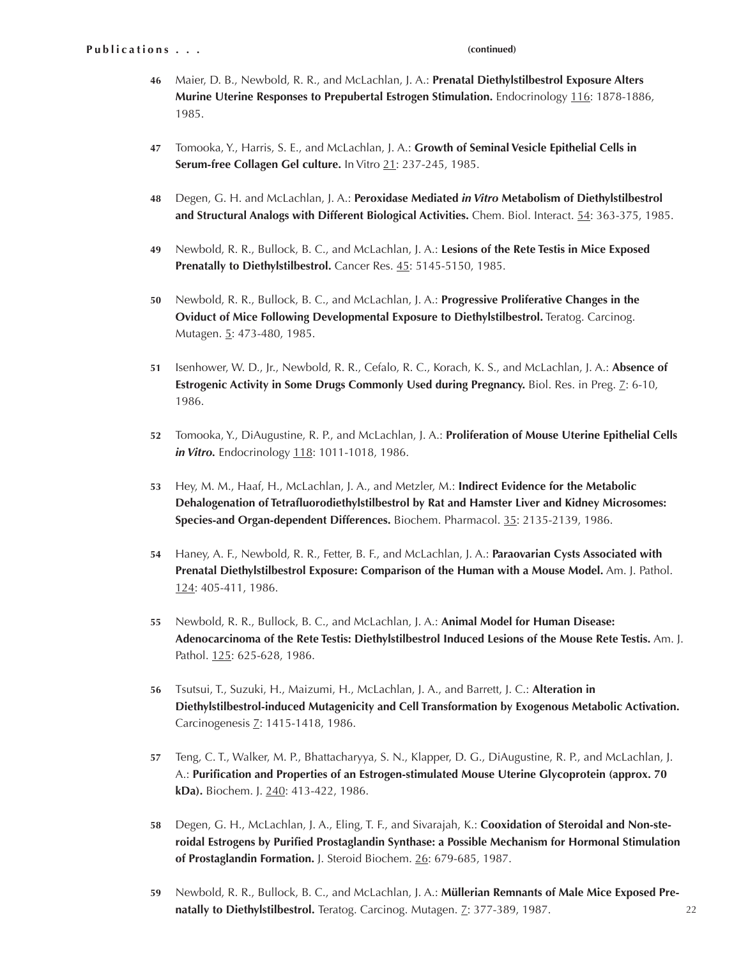- Maier, D. B., Newbold, R. R., and McLachlan, J. A.: **Prenatal Diethylstilbestrol Exposure Alters 46** Murine Uterine Responses to Prepubertal Estrogen Stimulation. Endocrinology 116: 1878-1886, 1985.
- Tomooka, Y., Harris, S. E., and McLachlan, J. A.: **Growth of Seminal Vesicle Epithelial Cells in 47 Serum-free Collagen Gel culture.** In Vitro 21: 237-245, 1985.
- Degen, G. H. and McLachlan, J. A.: **Peroxidase Mediated** *in Vitro* **Metabolism of Diethylstilbestrol and Structural Analogs with Different Biological Activities.** Chem. Biol. Interact. 54: 363-375, 1985. **48**
- Newbold, R. R., Bullock, B. C., and McLachlan, J. A.: **Lesions of the Rete Testis in Mice Exposed**  Prenatally to Diethylstilbestrol. Cancer Res. 45: 5145-5150, 1985. **49**
- Newbold, R. R., Bullock, B. C., and McLachlan, J. A.: **Progressive Proliferative Changes in the 50 Oviduct of Mice Following Developmental Exposure to Diethylstilbestrol.** Teratog. Carcinog. Mutagen. 5: 473-480, 1985.
- 51 Isenhower, W. D., Jr., Newbold, R. R., Cefalo, R. C., Korach, K. S., and McLachlan, J. A.: **Absence of Estrogenic Activity in Some Drugs Commonly Used during Pregnancy.** Biol. Res. in Preg. *Z*: 6-10, 1986.
- Tomooka, Y., DiAugustine, R. P., and McLachlan, J. A.: **Proliferation of Mouse Uterine Epithelial Cells 52** *in Vitro.* Endocrinology 118: 1011-1018, 1986.
- Hey, M. M., Haaf, H., McLachlan, J. A., and Metzler, M.: **Indirect Evidence for the Metabolic 53 Dehalogenation of Tetrafluorodiethylstilbestrol by Rat and Hamster Liver and Kidney Microsomes: Species-and Organ-dependent Differences.** Biochem. Pharmacol. 35: 2135-2139, 1986.
- Haney, A. F., Newbold, R. R., Fetter, B. F., and McLachlan, J. A.: **Paraovarian Cysts Associated with 54 Prenatal Diethylstilbestrol Exposure: Comparison of the Human with a Mouse Model.** Am. J. Pathol. 124: 405-411, 1986.
- Newbold, R. R., Bullock, B. C., and McLachlan, J. A.: **Animal Model for Human Disease: 55 Adenocarcinoma of the Rete Testis: Diethylstilbestrol Induced Lesions of the Mouse Rete Testis.** Am. J. Pathol. 125: 625-628, 1986.
- Tsutsui, T., Suzuki, H., Maizumi, H., McLachlan, J. A., and Barrett, J. C.: **Alteration in 56 Diethylstilbestrol-induced Mutagenicity and Cell Transformation by Exogenous Metabolic Activation.** Carcinogenesis Z: 1415-1418, 1986.
- Teng, C. T., Walker, M. P., Bhattacharyya, S. N., Klapper, D. G., DiAugustine, R. P., and McLachlan, J. A.: **Purification and Properties of an Estrogen-stimulated Mouse Uterine Glycoprotein (approx. 70 kDa).** Biochem. J. 240: 413-422, 1986. **57**
- Degen, G. H., McLachlan, J. A., Eling, T. F., and Sivarajah, K.: **Cooxidation of Steroidal and Non-ste-58 roidal Estrogens by Purified Prostaglandin Synthase: a Possible Mechanism for Hormonal Stimulation of Prostaglandin Formation.** J. Steroid Biochem. 26: 679-685, 1987.
- Newbold, R. R., Bullock, B. C., and McLachlan, J. A.: **Müllerian Remnants of Male Mice Exposed Pre-59 natally to Diethylstilbestrol.** Teratog. Carcinog. Mutagen. Z: 377-389, 1987.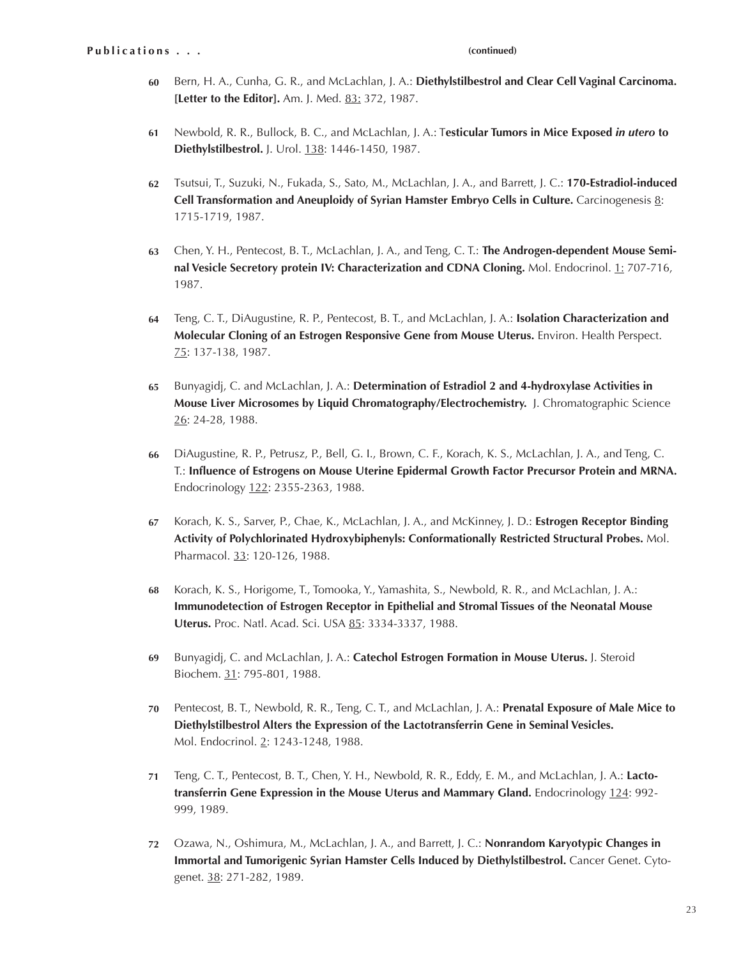- Bern, H. A., Cunha, G. R., and McLachlan, J. A.: **Diethylstilbestrol and Clear Cell Vaginal Carcinoma. 60** [Letter to the Editor]. Am. J. Med. 83: 372, 1987.
- Newbold, R. R., Bullock, B. C., and McLachlan, J. A.: T**esticular Tumors in Mice Exposed** *in utero* **to 61 Diethylstilbestrol.** J. Urol. 138: 1446-1450, 1987.
- Tsutsui, T., Suzuki, N., Fukada, S., Sato, M., McLachlan, J. A., and Barrett, J. C.: **170-Estradiol-induced 62 Cell Transformation and Aneuploidy of Syrian Hamster Embryo Cells in Culture.** Carcinogenesis 8: 1715-1719, 1987.
- Chen, Y. H., Pentecost, B. T., McLachlan, J. A., and Teng, C. T.: **The Androgen-dependent Mouse Semi-63 nal Vesicle Secretory protein IV: Characterization and CDNA Cloning.** Mol. Endocrinol. 1: 707-716, 1987.
- Teng, C. T., DiAugustine, R. P., Pentecost, B. T., and McLachlan, J. A.: **Isolation Characterization and Molecular Cloning of an Estrogen Responsive Gene from Mouse Uterus.** Environ. Health Perspect. 75: 137-138, 1987. **64**
- Bunyagidj, C. and McLachlan, J. A.: **Determination of Estradiol 2 and 4-hydroxylase Activities in Mouse Liver Microsomes by Liquid Chromatography/Electrochemistry.** J. Chromatographic Science 26: 24-28, 1988. **65**
- DiAugustine, R. P., Petrusz, P., Bell, G. I., Brown, C. F., Korach, K. S., McLachlan, J. A., and Teng, C. T.: **Influence of Estrogens on Mouse Uterine Epidermal Growth Factor Precursor Protein and MRNA.** Endocrinology 122: 2355-2363, 1988. **66**
- Korach, K. S., Sarver, P., Chae, K., McLachlan, J. A., and McKinney, J. D.: **Estrogen Receptor Binding Activity of Polychlorinated Hydroxybiphenyls: Conformationally Restricted Structural Probes.** Mol. Pharmacol. 33: 120-126, 1988. **67**
- Korach, K. S., Horigome, T., Tomooka, Y., Yamashita, S., Newbold, R. R., and McLachlan, J. A.: **Immunodetection of Estrogen Receptor in Epithelial and Stromal Tissues of the Neonatal Mouse Uterus.** Proc. Natl. Acad. Sci. USA 85: 3334-3337, 1988. **68**
- Bunyagidj, C. and McLachlan, J. A.: **Catechol Estrogen Formation in Mouse Uterus.** J. Steroid Biochem. 31: 795-801, 1988. **69**
- Pentecost, B. T., Newbold, R. R., Teng, C. T., and McLachlan, J. A.: **Prenatal Exposure of Male Mice to Diethylstilbestrol Alters the Expression of the Lactotransferrin Gene in Seminal Vesicles.** Mol. Endocrinol. 2: 1243-1248, 1988. **70**
- Teng, C. T., Pentecost, B. T., Chen, Y. H., Newbold, R. R., Eddy, E. M., and McLachlan, J. A.: **Lactotransferrin Gene Expression in the Mouse Uterus and Mammary Gland.** Endocrinology 124: 992- 999, 1989. **71**
- Ozawa, N., Oshimura, M., McLachlan, J. A., and Barrett, J. C.: **Nonrandom Karyotypic Changes in 72 Immortal and Tumorigenic Syrian Hamster Cells Induced by Diethylstilbestrol.** Cancer Genet. Cytogenet. 38: 271-282, 1989.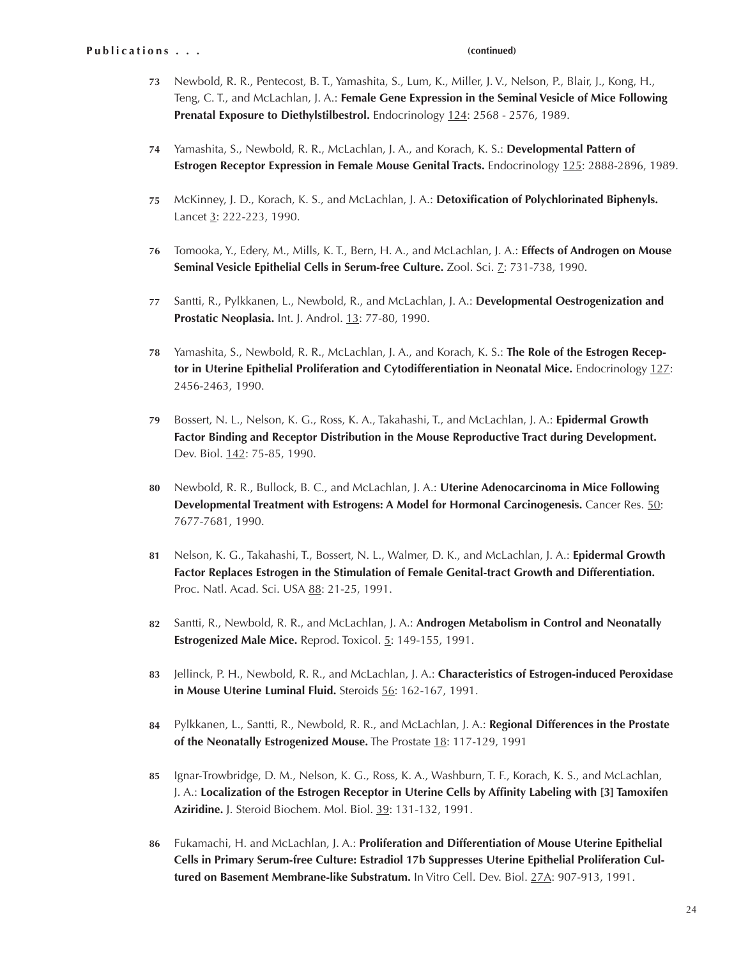- Newbold, R. R., Pentecost, B. T., Yamashita, S., Lum, K., Miller, J. V., Nelson, P., Blair, J., Kong, H., **73** Teng, C. T., and McLachlan, J. A.: **Female Gene Expression in the Seminal Vesicle of Mice Following Prenatal Exposure to Diethylstilbestrol.** Endocrinology 124: 2568 - 2576, 1989.
- Yamashita, S., Newbold, R. R., McLachlan, J. A., and Korach, K. S.: **Developmental Pattern of 74 Estrogen Receptor Expression in Female Mouse Genital Tracts.** Endocrinology 125: 2888-2896, 1989.
- McKinney, J. D., Korach, K. S., and McLachlan, J. A.: **Detoxification of Polychlorinated Biphenyls.** Lancet 3: 222-223, 1990. **75**
- Tomooka, Y., Edery, M., Mills, K. T., Bern, H. A., and McLachlan, J. A.: **Effects of Androgen on Mouse 76 Seminal Vesicle Epithelial Cells in Serum-free Culture.** Zool. Sci. 7: 731-738, 1990.
- Santti, R., Pylkkanen, L., Newbold, R., and McLachlan, J. A.: **Developmental Oestrogenization and**  Prostatic Neoplasia. Int. J. Androl. 13: 77-80, 1990. **77**
- Yamashita, S., Newbold, R. R., McLachlan, J. A., and Korach, K. S.: **The Role of the Estrogen Recep-78 tor in Uterine Epithelial Proliferation and Cytodifferentiation in Neonatal Mice.** Endocrinology 127: 2456-2463, 1990.
- Bossert, N. L., Nelson, K. G., Ross, K. A., Takahashi, T., and McLachlan, J. A.: **Epidermal Growth 79 Factor Binding and Receptor Distribution in the Mouse Reproductive Tract during Development.**  Dev. Biol. 142: 75-85, 1990.
- Newbold, R. R., Bullock, B. C., and McLachlan, J. A.: **Uterine Adenocarcinoma in Mice Following 80 Developmental Treatment with Estrogens: A Model for Hormonal Carcinogenesis.** Cancer Res. 50: 7677-7681, 1990.
- Nelson, K. G., Takahashi, T., Bossert, N. L., Walmer, D. K., and McLachlan, J. A.: **Epidermal Growth 81 Factor Replaces Estrogen in the Stimulation of Female Genital-tract Growth and Differentiation.** Proc. Natl. Acad. Sci. USA 88: 21-25, 1991.
- 82 Santti, R., Newbold, R. R., and McLachlan, J. A.: **Androgen Metabolism in Control and Neonatally Estrogenized Male Mice.** Reprod. Toxicol. 5: 149-155, 1991.
- Jellinck, P. H., Newbold, R. R., and McLachlan, J. A.: **Characteristics of Estrogen-induced Peroxidase 83 in Mouse Uterine Luminal Fluid.** Steroids 56: 162-167, 1991.
- Pylkkanen, L., Santti, R., Newbold, R. R., and McLachlan, J. A.: **Regional Differences in the Prostate 84 of the Neonatally Estrogenized Mouse.** The Prostate 18: 117-129, 1991
- 85 Ignar-Trowbridge, D. M., Nelson, K. G., Ross, K. A., Washburn, T. F., Korach, K. S., and McLachlan, J. A.: **Localization of the Estrogen Receptor in Uterine Cells by Affinity Labeling with [3] Tamoxifen Aziridine.** J. Steroid Biochem. Mol. Biol. 39: 131-132, 1991.
- Fukamachi, H. and McLachlan, J. A.: **Proliferation and Differentiation of Mouse Uterine Epithelial 86 Cells in Primary Serum-free Culture: Estradiol 17b Suppresses Uterine Epithelial Proliferation Cultured on Basement Membrane-like Substratum.** In Vitro Cell. Dev. Biol. 27A: 907-913, 1991.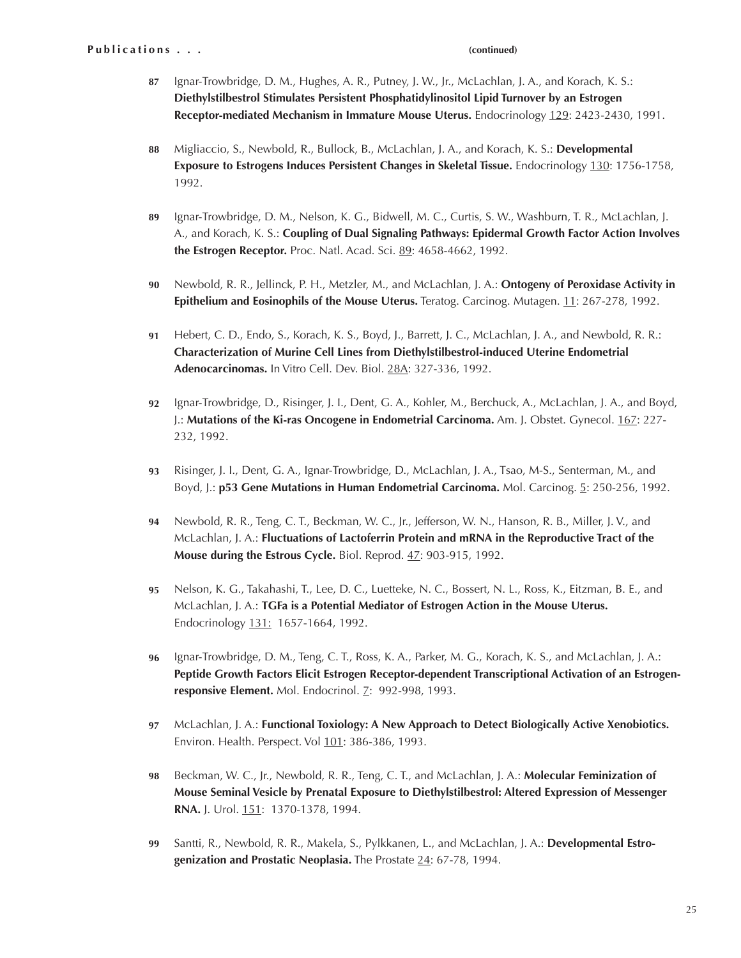- Ignar-Trowbridge, D. M., Hughes, A. R., Putney, J. W., Jr., McLachlan, J. A., and Korach, K. S.: **Diethylstilbestrol Stimulates Persistent Phosphatidylinositol Lipid Turnover by an Estrogen Receptor-mediated Mechanism in Immature Mouse Uterus.** Endocrinology 129: 2423-2430, 1991. **87**
- Migliaccio, S., Newbold, R., Bullock, B., McLachlan, J. A., and Korach, K. S.: **Developmental Exposure to Estrogens Induces Persistent Changes in Skeletal Tissue.** Endocrinology 130: 1756-1758, 1992. **88**
- Ignar-Trowbridge, D. M., Nelson, K. G., Bidwell, M. C., Curtis, S. W., Washburn, T. R., McLachlan, J. A., and Korach, K. S.: **Coupling of Dual Signaling Pathways: Epidermal Growth Factor Action Involves the Estrogen Receptor.** Proc. Natl. Acad. Sci. 89: 4658-4662, 1992. **89**
- Newbold, R. R., Jellinck, P. H., Metzler, M., and McLachlan, J. A.: **Ontogeny of Peroxidase Activity in Epithelium and Eosinophils of the Mouse Uterus.** Teratog. Carcinog. Mutagen. 11: 267-278, 1992. **90**
- Hebert, C. D., Endo, S., Korach, K. S., Boyd, J., Barrett, J. C., McLachlan, J. A., and Newbold, R. R.: **Characterization of Murine Cell Lines from Diethylstilbestrol-induced Uterine Endometrial Adenocarcinomas.** In Vitro Cell. Dev. Biol. 28A: 327-336, 1992. **91**
- Ignar-Trowbridge, D., Risinger, J. I., Dent, G. A., Kohler, M., Berchuck, A., McLachlan, J. A., and Boyd, J.: **Mutations of the Ki-ras Oncogene in Endometrial Carcinoma.** Am. J. Obstet. Gynecol. 167: 227- 232, 1992. **92**
- Risinger, J. I., Dent, G. A., Ignar-Trowbridge, D., McLachlan, J. A., Tsao, M-S., Senterman, M., and Boyd, J.: **p53 Gene Mutations in Human Endometrial Carcinoma.** Mol. Carcinog. 5: 250-256, 1992. **93**
- Newbold, R. R., Teng, C. T., Beckman, W. C., Jr., Jefferson, W. N., Hanson, R. B., Miller, J. V., and McLachlan, J. A.: **Fluctuations of Lactoferrin Protein and mRNA in the Reproductive Tract of the Mouse during the Estrous Cycle.** Biol. Reprod. 47: 903-915, 1992. **94**
- Nelson, K. G., Takahashi, T., Lee, D. C., Luetteke, N. C., Bossert, N. L., Ross, K., Eitzman, B. E., and McLachlan, J. A.: **TGFa is a Potential Mediator of Estrogen Action in the Mouse Uterus.** Endocrinology 131: 1657-1664, 1992. **95**
- Ignar-Trowbridge, D. M., Teng, C. T., Ross, K. A., Parker, M. G., Korach, K. S., and McLachlan, J. A.: **Peptide Growth Factors Elicit Estrogen Receptor-dependent Transcriptional Activation of an Estrogen**responsive Element. Mol. Endocrinol. 7: 992-998, 1993. **96**
- McLachlan, J. A.: **Functional Toxiology: A New Approach to Detect Biologically Active Xenobiotics. 97** Environ. Health. Perspect. Vol 101: 386-386, 1993.
- Beckman, W. C., Jr., Newbold, R. R., Teng, C. T., and McLachlan, J. A.: **Molecular Feminization of Mouse Seminal Vesicle by Prenatal Exposure to Diethylstilbestrol: Altered Expression of Messenger RNA.** J. Urol. 151: 1370-1378, 1994. **98**
- Santti, R., Newbold, R. R., Makela, S., Pylkkanen, L., and McLachlan, J. A.: **Developmental Estrogenization and Prostatic Neoplasia.** The Prostate 24: 67-78, 1994. **99**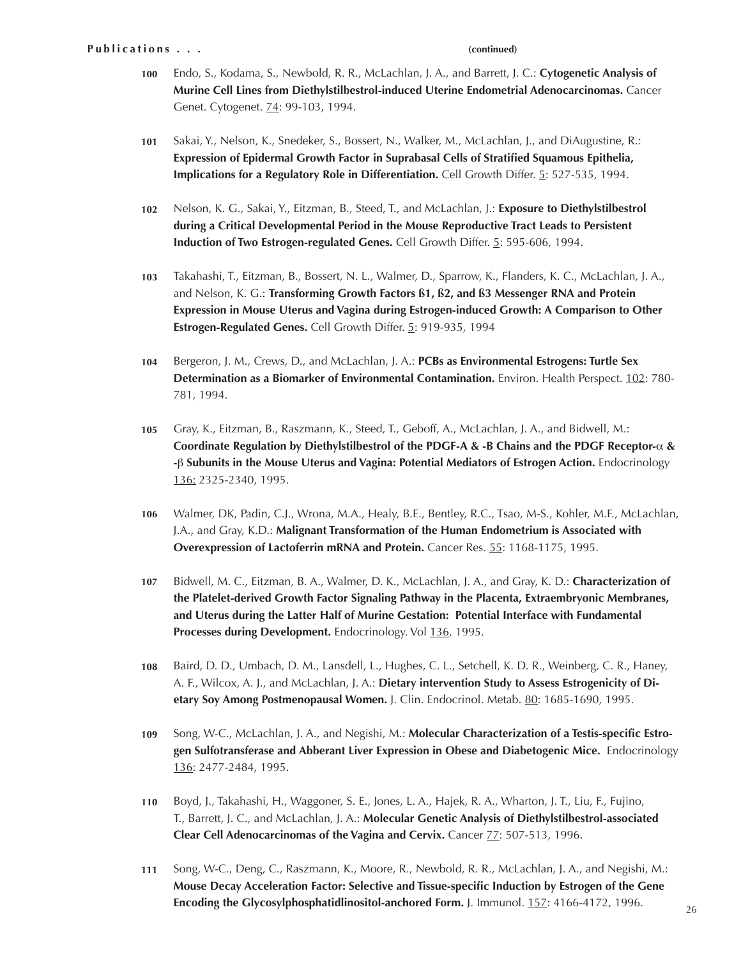- Endo, S., Kodama, S., Newbold, R. R., McLachlan, J. A., and Barrett, J. C.: **Cytogenetic Analysis of Murine Cell Lines from Diethylstilbestrol-induced Uterine Endometrial Adenocarcinomas.** Cancer Genet. Cytogenet. **74: 99-103**, 1994. **100**
- Sakai, Y., Nelson, K., Snedeker, S., Bossert, N., Walker, M., McLachlan, J., and DiAugustine, R.: **Expression of Epidermal Growth Factor in Suprabasal Cells of Stratified Squamous Epithelia, Implications for a Regulatory Role in Differentiation.** Cell Growth Differ. 5: 527-535, 1994. **101**
- Nelson, K. G., Sakai, Y., Eitzman, B., Steed, T., and McLachlan, J.: **Exposure to Diethylstilbestrol during a Critical Developmental Period in the Mouse Reproductive Tract Leads to Persistent Induction of Two Estrogen-regulated Genes.** Cell Growth Differ. 5: 595-606, 1994. **102**
- Takahashi, T., Eitzman, B., Bossert, N. L., Walmer, D., Sparrow, K., Flanders, K. C., McLachlan, J. A., and Nelson, K. G.: **Transforming Growth Factors ß1, ß2, and ß3 Messenger RNA and Protein Expression in Mouse Uterus and Vagina during Estrogen-induced Growth: A Comparison to Other Estrogen-Regulated Genes.** Cell Growth Differ. 5: 919-935, 1994 **103**
- Bergeron, J. M., Crews, D., and McLachlan, J. A.: **PCBs as Environmental Estrogens: Turtle Sex Determination as a Biomarker of Environmental Contamination.** Environ. Health Perspect. 102: 780- 781, 1994. **104**
- Gray, K., Eitzman, B., Raszmann, K., Steed, T., Geboff, A., McLachlan, J. A., and Bidwell, M.: **Coordinate Regulation by Diethylstilbestrol of the PDGF-A & -B Chains and the PDGF Receptor-**α **& -**β **Subunits in the Mouse Uterus and Vagina: Potential Mediators of Estrogen Action.** Endocrinology 136: 2325-2340, 1995. **105**
- Walmer, DK, Padin, C.J., Wrona, M.A., Healy, B.E., Bentley, R.C., Tsao, M-S., Kohler, M.F., McLachlan, J.A., and Gray, K.D.: **Malignant Transformation of the Human Endometrium is Associated with Overexpression of Lactoferrin mRNA and Protein.** Cancer Res. 55: 1168-1175, 1995. **106**
- Bidwell, M. C., Eitzman, B. A., Walmer, D. K., McLachlan, J. A., and Gray, K. D.: **Characterization of the Platelet-derived Growth Factor Signaling Pathway in the Placenta, Extraembryonic Membranes, and Uterus during the Latter Half of Murine Gestation: Potential Interface with Fundamental**  Processes during Development. Endocrinology. Vol 136, 1995. **107**
- Baird, D. D., Umbach, D. M., Lansdell, L., Hughes, C. L., Setchell, K. D. R., Weinberg, C. R., Haney, A. F., Wilcox, A. J., and McLachlan, J. A.: **Dietary intervention Study to Assess Estrogenicity of Dietary Soy Among Postmenopausal Women.** J. Clin. Endocrinol. Metab. 80: 1685-1690, 1995. **108**
- Song, W-C., McLachlan, J. A., and Negishi, M.: **Molecular Characterization of a Testis-specific Estrogen Sulfotransferase and Abberant Liver Expression in Obese and Diabetogenic Mice.** Endocrinology 136: 2477-2484, 1995. **109**
- Boyd, J., Takahashi, H., Waggoner, S. E., Jones, L. A., Hajek, R. A., Wharton, J. T., Liu, F., Fujino, T., Barrett, J. C., and McLachlan, J. A.: **Molecular Genetic Analysis of Diethylstilbestrol-associated Clear Cell Adenocarcinomas of the Vagina and Cervix.** Cancer **77**: 507-513, 1996. **110**
- Song, W-C., Deng, C., Raszmann, K., Moore, R., Newbold, R. R., McLachlan, J. A., and Negishi, M.: **Mouse Decay Acceleration Factor: Selective and Tissue-specific Induction by Estrogen of the Gene Encoding the Glycosylphosphatidlinositol-anchored Form.** J. Immunol. 157: 4166-4172, 1996. **111**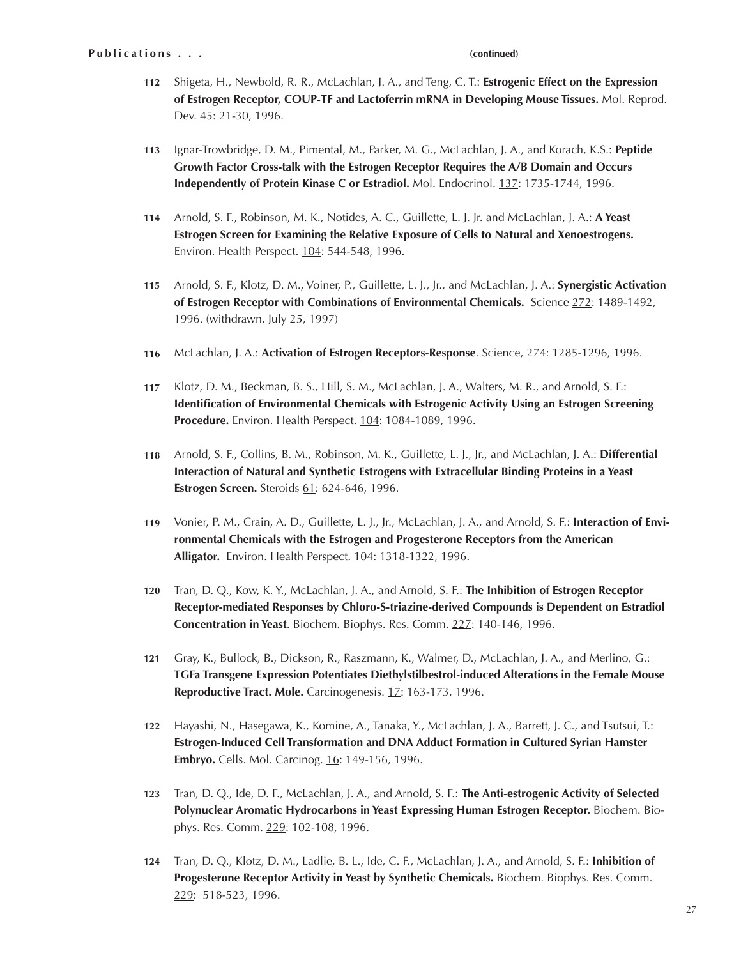- 112 Shigeta, H., Newbold, R. R., McLachlan, J. A., and Teng, C. T.: **Estrogenic Effect on the Expression of Estrogen Receptor, COUP-TF and Lactoferrin mRNA in Developing Mouse Tissues.** Mol. Reprod. Dev. 45: 21-30, 1996.
- Ignar-Trowbridge, D. M., Pimental, M., Parker, M. G., McLachlan, J. A., and Korach, K.S.: **Peptide Growth Factor Cross-talk with the Estrogen Receptor Requires the A/B Domain and Occurs Independently of Protein Kinase C or Estradiol.** Mol. Endocrinol. 137: 1735-1744, 1996. **113**
- Arnold, S. F., Robinson, M. K., Notides, A. C., Guillette, L. J. Jr. and McLachlan, J. A.: **A Yeast Estrogen Screen for Examining the Relative Exposure of Cells to Natural and Xenoestrogens.** Environ. Health Perspect. 104: 544-548, 1996. **114**
- Arnold, S. F., Klotz, D. M., Voiner, P., Guillette, L. J., Jr., and McLachlan, J. A.: **Synergistic Activation 115 of Estrogen Receptor with Combinations of Environmental Chemicals.** Science 272: 1489-1492, 1996. (withdrawn, July 25, 1997)
- McLachlan, J. A.: **Activation of Estrogen Receptors-Response**. Science, 274: 1285-1296, 1996. **116**
- Klotz, D. M., Beckman, B. S., Hill, S. M., McLachlan, J. A., Walters, M. R., and Arnold, S. F.: **Identification of Environmental Chemicals with Estrogenic Activity Using an Estrogen Screening Procedure.** Environ. Health Perspect. 104: 1084-1089, 1996. **117**
- Arnold, S. F., Collins, B. M., Robinson, M. K., Guillette, L. J., Jr., and McLachlan, J. A.: **Differential 118 Interaction of Natural and Synthetic Estrogens with Extracellular Binding Proteins in a Yeast Estrogen Screen.** Steroids 61: 624-646, 1996.
- Vonier, P. M., Crain, A. D., Guillette, L. J., Jr., McLachlan, J. A., and Arnold, S. F.: **Interaction of Environmental Chemicals with the Estrogen and Progesterone Receptors from the American Alligator.** Environ. Health Perspect. 104: 1318-1322, 1996. **119**
- Tran, D. Q., Kow, K. Y., McLachlan, J. A., and Arnold, S. F.: **The Inhibition of Estrogen Receptor Receptor-mediated Responses by Chloro-S-triazine-derived Compounds is Dependent on Estradiol Concentration in Yeast**. Biochem. Biophys. Res. Comm. 227: 140-146, 1996. **120**
- Gray, K., Bullock, B., Dickson, R., Raszmann, K., Walmer, D., McLachlan, J. A., and Merlino, G.: **TGFa Transgene Expression Potentiates Diethylstilbestrol-induced Alterations in the Female Mouse**  Reproductive Tract. Mole. Carcinogenesis. 17: 163-173, 1996. **121**
- Hayashi, N., Hasegawa, K., Komine, A., Tanaka, Y., McLachlan, J. A., Barrett, J. C., and Tsutsui, T.: **Estrogen-Induced Cell Transformation and DNA Adduct Formation in Cultured Syrian Hamster Embryo.** Cells. Mol. Carcinog. 16: 149-156, 1996. **122**
- Tran, D. Q., Ide, D. F., McLachlan, J. A., and Arnold, S. F.: **The Anti-estrogenic Activity of Selected 123 Polynuclear Aromatic Hydrocarbons in Yeast Expressing Human Estrogen Receptor.** Biochem. Biophys. Res. Comm. 229: 102-108, 1996.
- Tran, D. Q., Klotz, D. M., Ladlie, B. L., Ide, C. F., McLachlan, J. A., and Arnold, S. F.: **Inhibition of 124 Progesterone Receptor Activity in Yeast by Synthetic Chemicals.** Biochem. Biophys. Res. Comm. 229: 518-523, 1996.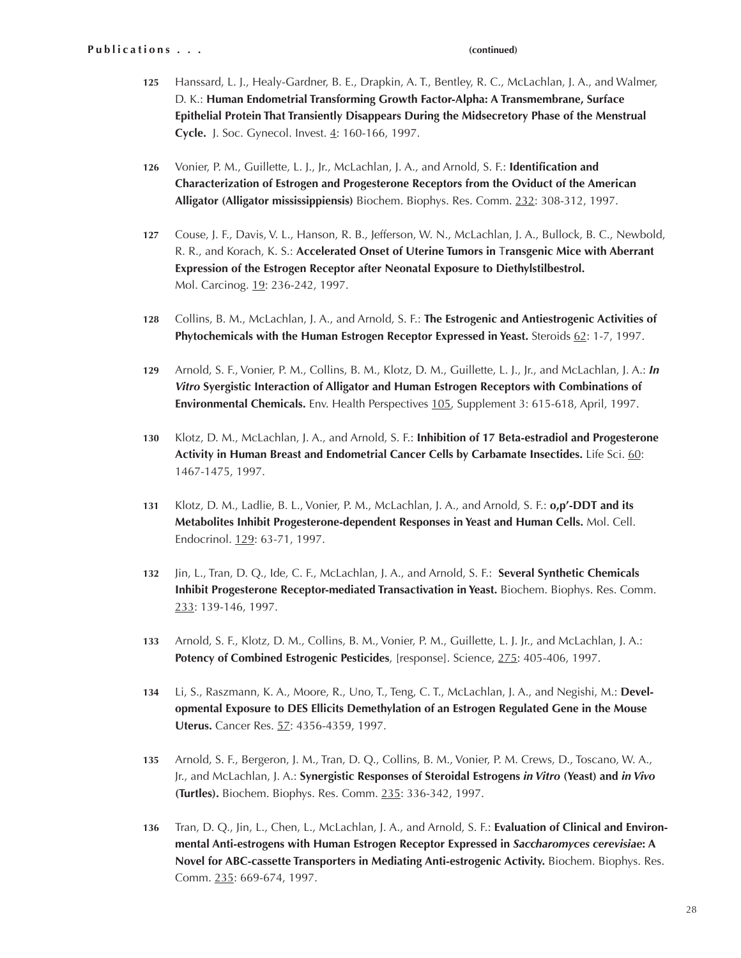- Hanssard, L. J., Healy-Gardner, B. E., Drapkin, A. T., Bentley, R. C., McLachlan, J. A., and Walmer, D. K.: **Human Endometrial Transforming Growth Factor-Alpha: A Transmembrane, Surface Epithelial Protein That Transiently Disappears During the Midsecretory Phase of the Menstrual Cycle.** J. Soc. Gynecol. Invest. 4: 160-166, 1997. **125**
- Vonier, P. M., Guillette, L. J., Jr., McLachlan, J. A., and Arnold, S. F.: **Identification and Characterization of Estrogen and Progesterone Receptors from the Oviduct of the American Alligator (Alligator mississippiensis)** Biochem. Biophys. Res. Comm. 232: 308-312, 1997. **126**
- Couse, J. F., Davis, V. L., Hanson, R. B., Jefferson, W. N., McLachlan, J. A., Bullock, B. C., Newbold, R. R., and Korach, K. S.: **Accelerated Onset of Uterine Tumors in** T**ransgenic Mice with Aberrant Expression of the Estrogen Receptor after Neonatal Exposure to Diethylstilbestrol.** Mol. Carcinog. 19: 236-242, 1997. **127**
- Collins, B. M., McLachlan, J. A., and Arnold, S. F.: **The Estrogenic and Antiestrogenic Activities of Phytochemicals with the Human Estrogen Receptor Expressed in Yeast.** Steroids 62: 1-7, 1997. **128**
- Arnold, S. F., Vonier, P. M., Collins, B. M., Klotz, D. M., Guillette, L. J., Jr., and McLachlan, J. A.: *In Vitro* **Syergistic Interaction of Alligator and Human Estrogen Receptors with Combinations of Environmental Chemicals.** Env. Health Perspectives 105, Supplement 3: 615-618, April, 1997. **129**
- Klotz, D. M., McLachlan, J. A., and Arnold, S. F.: **Inhibition of 17 Beta-estradiol and Progesterone Activity in Human Breast and Endometrial Cancer Cells by Carbamate Insectides.** Life Sci. 60: 1467-1475, 1997. **130**
- Klotz, D. M., Ladlie, B. L., Vonier, P. M., McLachlan, J. A., and Arnold, S. F.: **o,p'-DDT and its Metabolites Inhibit Progesterone-dependent Responses in Yeast and Human Cells.** Mol. Cell. Endocrinol. 129: 63-71, 1997. **131**
- Jin, L., Tran, D. Q., Ide, C. F., McLachlan, J. A., and Arnold, S. F.: **Several Synthetic Chemicals Inhibit Progesterone Receptor-mediated Transactivation in Yeast.** Biochem. Biophys. Res. Comm. 233: 139-146, 1997. **132**
- Arnold, S. F., Klotz, D. M., Collins, B. M., Vonier, P. M., Guillette, L. J. Jr., and McLachlan, J. A.: **Potency of Combined Estrogenic Pesticides**, [response]. Science, 275: 405-406, 1997. **133**
- Li, S., Raszmann, K. A., Moore, R., Uno, T., Teng, C. T., McLachlan, J. A., and Negishi, M.: **Developmental Exposure to DES Ellicits Demethylation of an Estrogen Regulated Gene in the Mouse Uterus.** Cancer Res. 57: 4356-4359, 1997. **134**
- Arnold, S. F., Bergeron, J. M., Tran, D. Q., Collins, B. M., Vonier, P. M. Crews, D., Toscano, W. A., Jr., and McLachlan, J. A.: **Synergistic Responses of Steroidal Estrogens** *in Vitro* **(Yeast) and** *in Vivo* **(Turtles).** Biochem. Biophys. Res. Comm. 235: 336-342, 1997. **135**
- Tran, D. Q., Jin, L., Chen, L., McLachlan, J. A., and Arnold, S. F.: **Evaluation of Clinical and Environmental Anti-estrogens with Human Estrogen Receptor Expressed in** *Saccharomyces cerevisiae***: A Novel for ABC-cassette Transporters in Mediating Anti-estrogenic Activity.** Biochem. Biophys. Res. Comm. 235: 669-674, 1997. **136**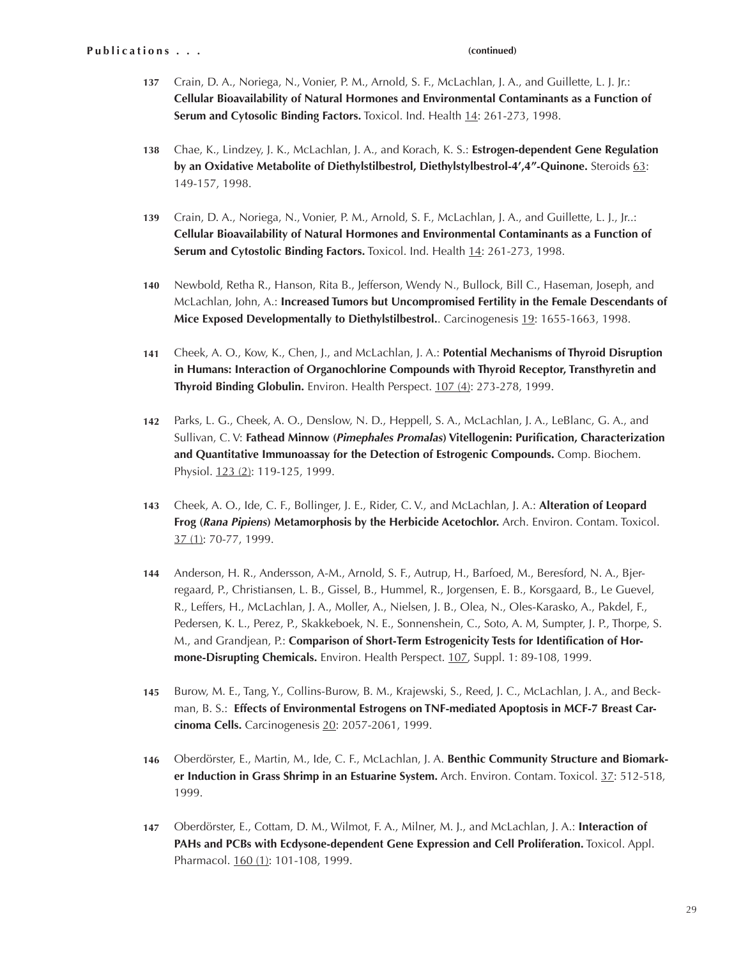- Crain, D. A., Noriega, N., Vonier, P. M., Arnold, S. F., McLachlan, J. A., and Guillette, L. J. Jr.: **Cellular Bioavailability of Natural Hormones and Environmental Contaminants as a Function of Serum and Cytosolic Binding Factors.** Toxicol. Ind. Health 14: 261-273, 1998. **137**
- Chae, K., Lindzey, J. K., McLachlan, J. A., and Korach, K. S.: **Estrogen-dependent Gene Regulation by an Oxidative Metabolite of Diethylstilbestrol, Diethylstylbestrol-4',4"-Quinone.** Steroids 63: 149-157, 1998. **138**
- Crain, D. A., Noriega, N., Vonier, P. M., Arnold, S. F., McLachlan, J. A., and Guillette, L. J., Jr..: **Cellular Bioavailability of Natural Hormones and Environmental Contaminants as a Function of**  Serum and Cytostolic Binding Factors. Toxicol. Ind. Health 14: 261-273, 1998. **139**
- Newbold, Retha R., Hanson, Rita B., Jefferson, Wendy N., Bullock, Bill C., Haseman, Joseph, and McLachlan, John, A.: **Increased Tumors but Uncompromised Fertility in the Female Descendants of Mice Exposed Developmentally to Diethylstilbestrol.**. Carcinogenesis 19: 1655-1663, 1998. **140**
- Cheek, A. O., Kow, K., Chen, J., and McLachlan, J. A.: **Potential Mechanisms of Thyroid Disruption in Humans: Interaction of Organochlorine Compounds with Thyroid Receptor, Transthyretin and Thyroid Binding Globulin.** Environ. Health Perspect. 107 (4): 273-278, 1999. **141**
- Parks, L. G., Cheek, A. O., Denslow, N. D., Heppell, S. A., McLachlan, J. A., LeBlanc, G. A., and Sullivan, C. V: **Fathead Minnow (***Pimephales Promalas***) Vitellogenin: Purification, Characterization and Quantitative Immunoassay for the Detection of Estrogenic Compounds.** Comp. Biochem. Physiol. 123 (2): 119-125, 1999. **142**
- Cheek, A. O., Ide, C. F., Bollinger, J. E., Rider, C. V., and McLachlan, J. A.: **Alteration of Leopard Frog (***Rana Pipiens***) Metamorphosis by the Herbicide Acetochlor.** Arch. Environ. Contam. Toxicol. 37 (1): 70-77, 1999. **143**
- Anderson, H. R., Andersson, A-M., Arnold, S. F., Autrup, H., Barfoed, M., Beresford, N. A., Bjerregaard, P., Christiansen, L. B., Gissel, B., Hummel, R., Jorgensen, E. B., Korsgaard, B., Le Guevel, R., Leffers, H., McLachlan, J. A., Moller, A., Nielsen, J. B., Olea, N., Oles-Karasko, A., Pakdel, F., Pedersen, K. L., Perez, P., Skakkeboek, N. E., Sonnenshein, C., Soto, A. M, Sumpter, J. P., Thorpe, S. M., and Grandjean, P.: **Comparison of Short-Term Estrogenicity Tests for Identification of Hormone-Disrupting Chemicals.** Environ. Health Perspect. 107, Suppl. 1: 89-108, 1999. **144**
- Burow, M. E., Tang, Y., Collins-Burow, B. M., Krajewski, S., Reed, J. C., McLachlan, J. A., and Beckman, B. S.: **Effects of Environmental Estrogens on TNF-mediated Apoptosis in MCF-7 Breast Carcinoma Cells.** Carcinogenesis 20: 2057-2061, 1999. **145**
- Oberdörster, E., Martin, M., Ide, C. F., McLachlan, J. A. **Benthic Community Structure and Biomarker Induction in Grass Shrimp in an Estuarine System.** Arch. Environ. Contam. Toxicol. 37: 512-518, 1999. **146**
- Oberdörster, E., Cottam, D. M., Wilmot, F. A., Milner, M. J., and McLachlan, J. A.: **Interaction of PAHs and PCBs with Ecdysone-dependent Gene Expression and Cell Proliferation.** Toxicol. Appl. Pharmacol. 160 (1): 101-108, 1999. **147**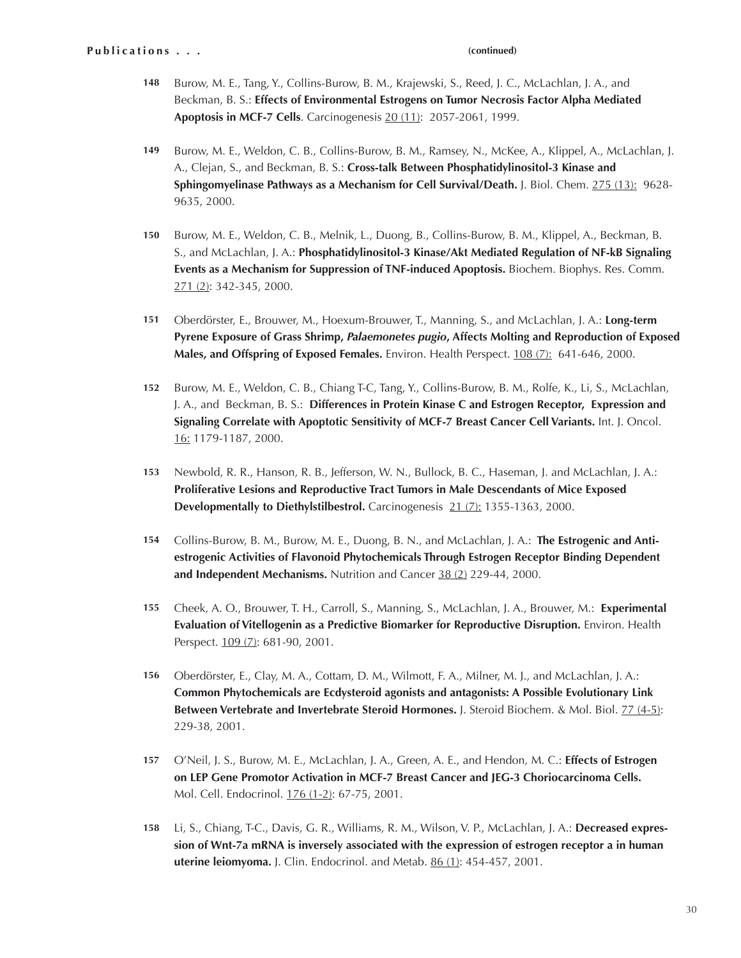- Burow, M. E., Tang, Y., Collins-Burow, B. M., Krajewski, S., Reed, J. C., McLachlan, J. A., and Beckman, B. S.: **Effects of Environmental Estrogens on Tumor Necrosis Factor Alpha Mediated Apoptosis in MCF-7 Cells**. Carcinogenesis 20 (11): 2057-2061, 1999. **148**
- Burow, M. E., Weldon, C. B., Collins-Burow, B. M., Ramsey, N., McKee, A., Klippel, A., McLachlan, J. A., Clejan, S., and Beckman, B. S.: **Cross-talk Between Phosphatidylinositol-3 Kinase and Sphingomyelinase Pathways as a Mechanism for Cell Survival/Death.** J. Biol. Chem. 275 (13): 9628- 9635, 2000. **149**
- Burow, M. E., Weldon, C. B., Melnik, L., Duong, B., Collins-Burow, B. M., Klippel, A., Beckman, B. S., and McLachlan, J. A.: **Phosphatidylinositol-3 Kinase/Akt Mediated Regulation of NF-kB Signaling Events as a Mechanism for Suppression of TNF-induced Apoptosis.** Biochem. Biophys. Res. Comm. 271 (2): 342-345, 2000. **150**
- Oberdörster, E., Brouwer, M., Hoexum-Brouwer, T., Manning, S., and McLachlan, J. A.: **Long-term Pyrene Exposure of Grass Shrimp,** *Palaemonetes pugio***, Affects Molting and Reproduction of Exposed Males, and Offspring of Exposed Females.** Environ. Health Perspect. 108 (7): 641-646, 2000. **151**
- Burow, M. E., Weldon, C. B., Chiang T-C, Tang, Y., Collins-Burow, B. M., Rolfe, K., Li, S., McLachlan, J. A., and Beckman, B. S.: **Differences in Protein Kinase C and Estrogen Receptor, Expression and Signaling Correlate with Apoptotic Sensitivity of MCF-7 Breast Cancer Cell Variants.** Int. J. Oncol. 16: 1179-1187, 2000. **152**
- Newbold, R. R., Hanson, R. B., Jefferson, W. N., Bullock, B. C., Haseman, J. and McLachlan, J. A.: **Proliferative Lesions and Reproductive Tract Tumors in Male Descendants of Mice Exposed Developmentally to Diethylstilbestrol.** Carcinogenesis 21 (7): 1355-1363, 2000. **153**
- Collins-Burow, B. M., Burow, M. E., Duong, B. N., and McLachlan, J. A.: **The Estrogenic and Anti-154 estrogenic Activities of Flavonoid Phytochemicals Through Estrogen Receptor Binding Dependent and Independent Mechanisms.** Nutrition and Cancer 38 (2) 229-44, 2000.
- Cheek, A. O., Brouwer, T. H., Carroll, S., Manning, S., McLachlan, J. A., Brouwer, M.: **Experimental Evaluation of Vitellogenin as a Predictive Biomarker for Reproductive Disruption.** Environ. Health Perspect. 109 (7): 681-90, 2001. **155**
- Oberdörster, E., Clay, M. A., Cottam, D. M., Wilmott, F. A., Milner, M. J., and McLachlan, J. A.: **Common Phytochemicals are Ecdysteroid agonists and antagonists: A Possible Evolutionary Link Between Vertebrate and Invertebrate Steroid Hormones.** J. Steroid Biochem. & Mol. Biol. 77 (4-5): 229-38, 2001. **156**
- O'Neil, J. S., Burow, M. E., McLachlan, J. A., Green, A. E., and Hendon, M. C.: **Effects of Estrogen 157 on LEP Gene Promotor Activation in MCF-7 Breast Cancer and JEG-3 Choriocarcinoma Cells.** Mol. Cell. Endocrinol. 176 (1-2): 67-75, 2001.
- Li, S., Chiang, T-C., Davis, G. R., Williams, R. M., Wilson, V. P., McLachlan, J. A.: **Decreased expression of Wnt-7a mRNA is inversely associated with the expression of estrogen receptor a in human uterine leiomyoma.** J. Clin. Endocrinol. and Metab. 86 (1): 454-457, 2001. **158**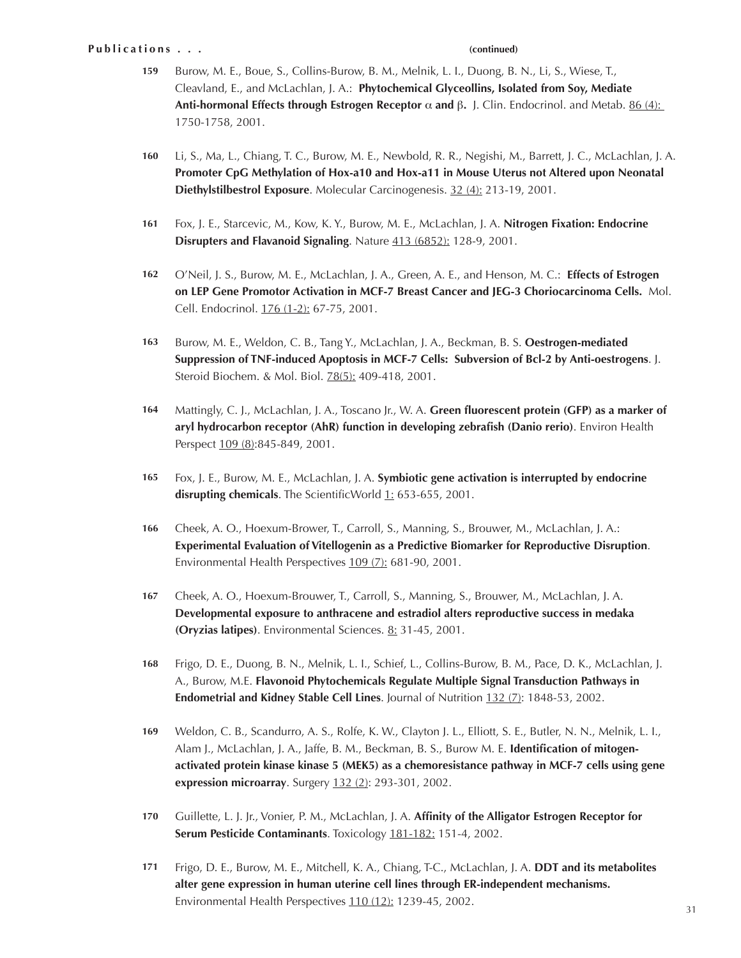### **Publications...**

- Burow, M. E., Boue, S., Collins-Burow, B. M., Melnik, L. I., Duong, B. N., Li, S., Wiese, T., Cleavland, E., and McLachlan, J. A.: **Phytochemical Glyceollins, Isolated from Soy, Mediate Anti-hormonal Effects through Estrogen Receptor** α **and** β**.** J. Clin. Endocrinol. and Metab. 86 (4): 1750-1758, 2001. **159**
- Li, S., Ma, L., Chiang, T. C., Burow, M. E., Newbold, R. R., Negishi, M., Barrett, J. C., McLachlan, J. A. **Promoter CpG Methylation of Hox-a10 and Hox-a11 in Mouse Uterus not Altered upon Neonatal Diethylstilbestrol Exposure**. Molecular Carcinogenesis. 32 (4): 213-19, 2001. **160**
- Fox, J. E., Starcevic, M., Kow, K. Y., Burow, M. E., McLachlan, J. A. **Nitrogen Fixation: Endocrine Disrupters and Flavanoid Signaling**. Nature 413 (6852): 128-9, 2001. **161**
- O'Neil, J. S., Burow, M. E., McLachlan, J. A., Green, A. E., and Henson, M. C.: **Effects of Estrogen on LEP Gene Promotor Activation in MCF-7 Breast Cancer and JEG-3 Choriocarcinoma Cells.** Mol. Cell. Endocrinol. 176 (1-2): 67-75, 2001. **162**
- Burow, M. E., Weldon, C. B., Tang Y., McLachlan, J. A., Beckman, B. S. **Oestrogen-mediated Suppression of TNF-induced Apoptosis in MCF-7 Cells: Subversion of Bcl-2 by Anti-oestrogens**. J. Steroid Biochem. & Mol. Biol. 78(5): 409-418, 2001. **163**
- Mattingly, C. J., McLachlan, J. A., Toscano Jr., W. A. **Green fluorescent protein (GFP) as a marker of aryl hydrocarbon receptor (AhR) function in developing zebrafish (Danio rerio)**. Environ Health Perspect  $109 (8):845-849, 2001.$ **164**
- Fox, J. E., Burow, M. E., McLachlan, J. A. **Symbiotic gene activation is interrupted by endocrine disrupting chemicals**. The ScientificWorld 1: 653-655, 2001. **165**
- Cheek, A. O., Hoexum-Brower, T., Carroll, S., Manning, S., Brouwer, M., McLachlan, J. A.: **Experimental Evaluation of Vitellogenin as a Predictive Biomarker for Reproductive Disruption**. Environmental Health Perspectives 109 (7): 681-90, 2001. **166**
- Cheek, A. O., Hoexum-Brouwer, T., Carroll, S., Manning, S., Brouwer, M., McLachlan, J. A. **Developmental exposure to anthracene and estradiol alters reproductive success in medaka (Oryzias latipes)**. Environmental Sciences. 8: 31-45, 2001. **167**
- Frigo, D. E., Duong, B. N., Melnik, L. I., Schief, L., Collins-Burow, B. M., Pace, D. K., McLachlan, J. A., Burow, M.E. **Flavonoid Phytochemicals Regulate Multiple Signal Transduction Pathways in Endometrial and Kidney Stable Cell Lines**. Journal of Nutrition 132 (7): 1848-53, 2002. **168**
- Weldon, C. B., Scandurro, A. S., Rolfe, K. W., Clayton J. L., Elliott, S. E., Butler, N. N., Melnik, L. I., Alam J., McLachlan, J. A., Jaffe, B. M., Beckman, B. S., Burow M. E. **Identification of mitogenactivated protein kinase kinase 5 (MEK5) as a chemoresistance pathway in MCF-7 cells using gene expression microarray**. Surgery 132 (2): 293-301, 2002. **169**
- Guillette, L. J. Jr., Vonier, P. M., McLachlan, J. A. **Affinity of the Alligator Estrogen Receptor for Serum Pesticide Contaminants**. Toxicology 181-182: 151-4, 2002. **170**
- Frigo, D. E., Burow, M. E., Mitchell, K. A., Chiang, T-C., McLachlan, J. A. **DDT and its metabolites alter gene expression in human uterine cell lines through ER-independent mechanisms.** Environmental Health Perspectives 110 (12): 1239-45, 2002. **171**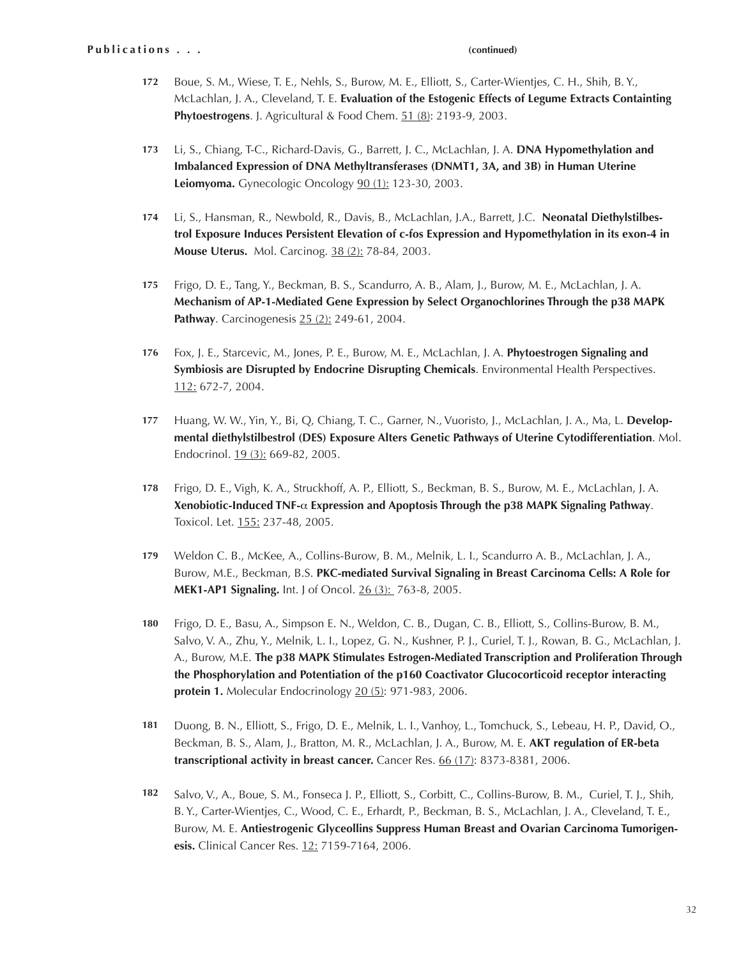- Boue, S. M., Wiese, T. E., Nehls, S., Burow, M. E., Elliott, S., Carter-Wientjes, C. H., Shih, B. Y., McLachlan, J. A., Cleveland, T. E. **Evaluation of the Estogenic Effects of Legume Extracts Containting Phytoestrogens**. J. Agricultural & Food Chem. 51 (8): 2193-9, 2003. **172**
- Li, S., Chiang, T-C., Richard-Davis, G., Barrett, J. C., McLachlan, J. A. **DNA Hypomethylation and Imbalanced Expression of DNA Methyltransferases (DNMT1, 3A, and 3B) in Human Uterine Leiomyoma.** Gynecologic Oncology 90 (1): 123-30, 2003. **173**
- Li, S., Hansman, R., Newbold, R., Davis, B., McLachlan, J.A., Barrett, J.C. **Neonatal Diethylstilbestrol Exposure Induces Persistent Elevation of c-fos Expression and Hypomethylation in its exon-4 in Mouse Uterus.** Mol. Carcinog. 38 (2): 78-84, 2003. **174**
- Frigo, D. E., Tang, Y., Beckman, B. S., Scandurro, A. B., Alam, J., Burow, M. E., McLachlan, J. A. **Mechanism of AP-1-Mediated Gene Expression by Select Organochlorines Through the p38 MAPK Pathway**. Carcinogenesis 25 (2): 249-61, 2004. **175**
- Fox, J. E., Starcevic, M., Jones, P. E., Burow, M. E., McLachlan, J. A. **Phytoestrogen Signaling and Symbiosis are Disrupted by Endocrine Disrupting Chemicals**. Environmental Health Perspectives. 112: 672-7, 2004. **176**
- Huang, W. W., Yin, Y., Bi, Q, Chiang, T. C., Garner, N., Vuoristo, J., McLachlan, J. A., Ma, L. **Developmental diethylstilbestrol (DES) Exposure Alters Genetic Pathways of Uterine Cytodifferentiation**. Mol. Endocrinol. 19 (3): 669-82, 2005. **177**
- Frigo, D. E., Vigh, K. A., Struckhoff, A. P., Elliott, S., Beckman, B. S., Burow, M. E., McLachlan, J. A. **Xenobiotic-Induced TNF-**α **Expression and Apoptosis Through the p38 MAPK Signaling Pathway**. Toxicol. Let. 155: 237-48, 2005. **178**
- Weldon C. B., McKee, A., Collins-Burow, B. M., Melnik, L. I., Scandurro A. B., McLachlan, J. A., Burow, M.E., Beckman, B.S. **PKC-mediated Survival Signaling in Breast Carcinoma Cells: A Role for MEK1-AP1 Signaling.** Int. J of Oncol. 26 (3): 763-8, 2005. **179**
- Frigo, D. E., Basu, A., Simpson E. N., Weldon, C. B., Dugan, C. B., Elliott, S., Collins-Burow, B. M., Salvo, V. A., Zhu, Y., Melnik, L. I., Lopez, G. N., Kushner, P. J., Curiel, T. J., Rowan, B. G., McLachlan, J. A., Burow, M.E. **The p38 MAPK Stimulates Estrogen-Mediated Transcription and Proliferation Through the Phosphorylation and Potentiation of the p160 Coactivator Glucocorticoid receptor interacting protein 1.** Molecular Endocrinology 20 (5): 971-983, 2006. **180**
- Duong, B. N., Elliott, S., Frigo, D. E., Melnik, L. I., Vanhoy, L., Tomchuck, S., Lebeau, H. P., David, O., Beckman, B. S., Alam, J., Bratton, M. R., McLachlan, J. A., Burow, M. E. **AKT regulation of ER-beta transcriptional activity in breast cancer.** Cancer Res. 66 (17): 8373-8381, 2006. **181**
- Salvo, V., A., Boue, S. M., Fonseca J. P., Elliott, S., Corbitt, C., Collins-Burow, B. M., Curiel, T. J., Shih, B. Y., Carter-Wientjes, C., Wood, C. E., Erhardt, P., Beckman, B. S., McLachlan, J. A., Cleveland, T. E., Burow, M. E. **Antiestrogenic Glyceollins Suppress Human Breast and Ovarian Carcinoma Tumorigenesis.** Clinical Cancer Res. 12: 7159-7164, 2006. **182**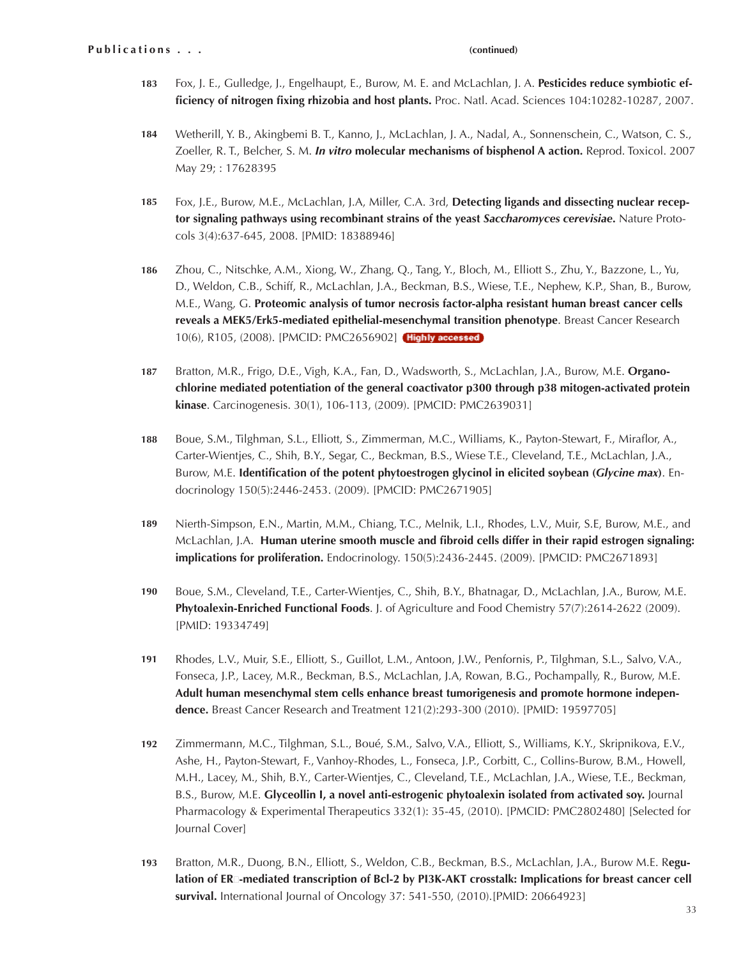- Fox, J. E., Gulledge, J., Engelhaupt, E., Burow, M. E. and McLachlan, J. A. **Pesticides reduce symbiotic efficiency of nitrogen fixing rhizobia and host plants.** Proc. Natl. Acad. Sciences 104:10282-10287, 2007. **183**
- Wetherill, Y. B., Akingbemi B. T., Kanno, J., McLachlan, J. A., Nadal, A., Sonnenschein, C., Watson, C. S., Zoeller, R. T., Belcher, S. M. *In vitro* **molecular mechanisms of bisphenol A action.** Reprod. Toxicol. 2007 May 29; : 17628395 **184**
- Fox, J.E., Burow, M.E., McLachlan, J.A, Miller, C.A. 3rd, **Detecting ligands and dissecting nuclear receptor signaling pathways using recombinant strains of the yeast** *Saccharomyces cerevisiae***.** Nature Protocols 3(4):637-645, 2008. [PMID: 18388946] **185**
- Zhou, C., Nitschke, A.M., Xiong, W., Zhang, Q., Tang, Y., Bloch, M., Elliott S., Zhu, Y., Bazzone, L., Yu, D., Weldon, C.B., Schiff, R., McLachlan, J.A., Beckman, B.S., Wiese, T.E., Nephew, K.P., Shan, B., Burow, M.E., Wang, G. **Proteomic analysis of tumor necrosis factor-alpha resistant human breast cancer cells reveals a MEK5/Erk5-mediated epithelial-mesenchymal transition phenotype**. Breast Cancer Research 10(6), R105, (2008). [PMCID: PMC2656902] (Highly accessed) **186**
- Bratton, M.R., Frigo, D.E., Vigh, K.A., Fan, D., Wadsworth, S., McLachlan, J.A., Burow, M.E. **Organochlorine mediated potentiation of the general coactivator p300 through p38 mitogen-activated protein kinase**. Carcinogenesis. 30(1), 106-113, (2009). [PMCID: PMC2639031] **187**
- Boue, S.M., Tilghman, S.L., Elliott, S., Zimmerman, M.C., Williams, K., Payton-Stewart, F., Miraflor, A., Carter-Wientjes, C., Shih, B.Y., Segar, C., Beckman, B.S., Wiese T.E., Cleveland, T.E., McLachlan, J.A., Burow, M.E. **Identification of the potent phytoestrogen glycinol in elicited soybean (***Glycine max***)**. Endocrinology 150(5):2446-2453. (2009). [PMCID: PMC2671905] **188**
- Nierth-Simpson, E.N., Martin, M.M., Chiang, T.C., Melnik, L.I., Rhodes, L.V., Muir, S.E, Burow, M.E., and McLachlan, J.A. **Human uterine smooth muscle and fibroid cells differ in their rapid estrogen signaling: implications for proliferation.** Endocrinology. 150(5):2436-2445. (2009). [PMCID: PMC2671893] **189**
- Boue, S.M., Cleveland, T.E., Carter-Wientjes, C., Shih, B.Y., Bhatnagar, D., McLachlan, J.A., Burow, M.E. **Phytoalexin-Enriched Functional Foods**. J. of Agriculture and Food Chemistry 57(7):2614-2622 (2009). [PMID: 19334749] **190**
- Rhodes, L.V., Muir, S.E., Elliott, S., Guillot, L.M., Antoon, J.W., Penfornis, P., Tilghman, S.L., Salvo, V.A., Fonseca, J.P., Lacey, M.R., Beckman, B.S., McLachlan, J.A, Rowan, B.G., Pochampally, R., Burow, M.E. **Adult human mesenchymal stem cells enhance breast tumorigenesis and promote hormone independence.** Breast Cancer Research and Treatment 121(2):293-300 (2010). [PMID: 19597705] **191**
- Zimmermann, M.C., Tilghman, S.L., Boué, S.M., Salvo, V.A., Elliott, S., Williams, K.Y., Skripnikova, E.V., Ashe, H., Payton-Stewart, F., Vanhoy-Rhodes, L., Fonseca, J.P., Corbitt, C., Collins-Burow, B.M., Howell, M.H., Lacey, M., Shih, B.Y., Carter-Wientjes, C., Cleveland, T.E., McLachlan, J.A., Wiese, T.E., Beckman, B.S., Burow, M.E. **Glyceollin I, a novel anti-estrogenic phytoalexin isolated from activated soy.** Journal Pharmacology & Experimental Therapeutics 332(1): 35-45, (2010). [PMCID: PMC2802480] [Selected for Journal Cover] **192**
- Bratton, M.R., Duong, B.N., Elliott, S., Weldon, C.B., Beckman, B.S., McLachlan, J.A., Burow M.E. R**egulation of ER**<sup>-</sup>mediated transcription of Bcl-2 by PI3K-AKT crosstalk: Implications for breast cancer cell **survival.** International Journal of Oncology 37: 541-550, (2010).[PMID: 20664923] **193**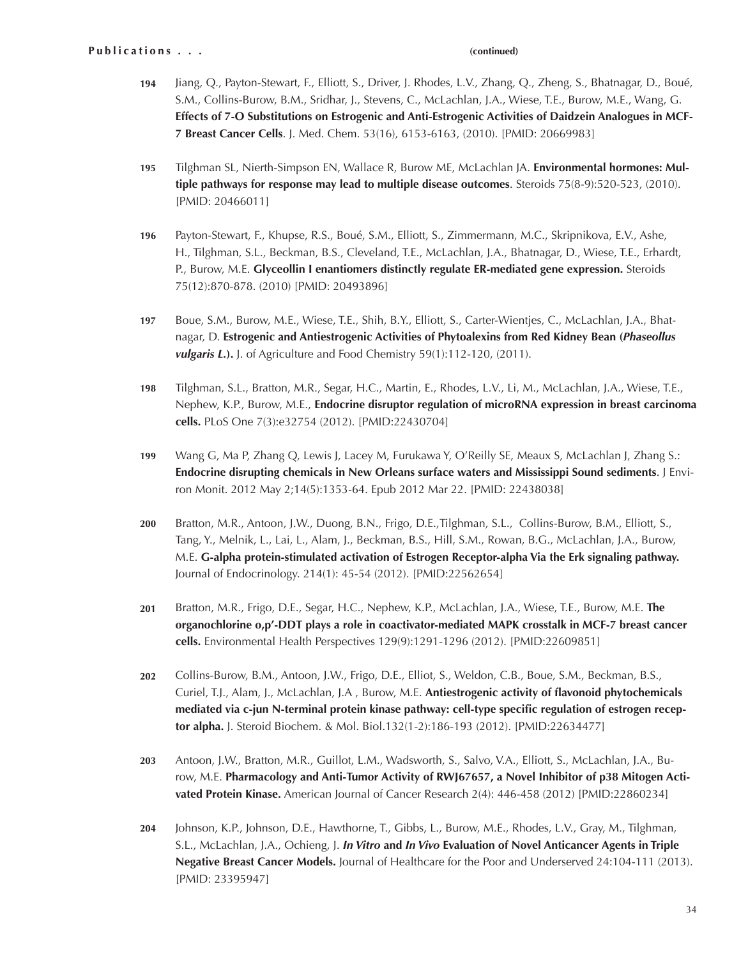- **194** Jiang, Q., Payton-Stewart, F., Elliott, S., Driver, J. Rhodes, L.V., Zhang, Q., Zheng, S., Bhatnagar, D., Boué, S.M., Collins-Burow, B.M., Sridhar, J., Stevens, C., McLachlan, J.A., Wiese, T.E., Burow, M.E., Wang, G. **Effects of 7-O Substitutions on Estrogenic and Anti-Estrogenic Activities of Daidzein Analogues in MCF-7 Breast Cancer Cells**. J. Med. Chem. 53(16), 6153-6163, (2010). [PMID: 20669983]
- **195** Tilghman SL, Nierth-Simpson EN, Wallace R, Burow ME, McLachlan JA. **Environmental hormones: Multiple pathways for response may lead to multiple disease outcomes**. Steroids 75(8-9):520-523, (2010). [PMID: 20466011]
- **196** Payton-Stewart, F., Khupse, R.S., Boué, S.M., Elliott, S., Zimmermann, M.C., Skripnikova, E.V., Ashe, H., Tilghman, S.L., Beckman, B.S., Cleveland, T.E., McLachlan, J.A., Bhatnagar, D., Wiese, T.E., Erhardt, P., Burow, M.E. **Glyceollin I enantiomers distinctly regulate ER-mediated gene expression.** Steroids 75(12):870-878. (2010) [PMID: 20493896]
- **197** Boue, S.M., Burow, M.E., Wiese, T.E., Shih, B.Y., Elliott, S., Carter-Wientjes, C., McLachlan, J.A., Bhatnagar, D. **Estrogenic and Antiestrogenic Activities of Phytoalexins from Red Kidney Bean (***Phaseollus vulgaris L.***).** J. of Agriculture and Food Chemistry 59(1):112-120, (2011).
- **198** Tilghman, S.L., Bratton, M.R., Segar, H.C., Martin, E., Rhodes, L.V., Li, M., McLachlan, J.A., Wiese, T.E., Nephew, K.P., Burow, M.E., **Endocrine disruptor regulation of microRNA expression in breast carcinoma cells.** PLoS One 7(3):e32754 (2012). [PMID:22430704]
- **199** Wang G, Ma P, Zhang Q, Lewis J, Lacey M, Furukawa Y, O'Reilly SE, Meaux S, McLachlan J, Zhang S.: **Endocrine disrupting chemicals in New Orleans surface waters and Mississippi Sound sediments**. J Environ Monit. 2012 May 2;14(5):1353-64. Epub 2012 Mar 22. [PMID: 22438038]
- **200** Bratton, M.R., Antoon, J.W., Duong, B.N., Frigo, D.E.,Tilghman, S.L., Collins-Burow, B.M., Elliott, S., Tang, Y., Melnik, L., Lai, L., Alam, J., Beckman, B.S., Hill, S.M., Rowan, B.G., McLachlan, J.A., Burow, M.E. **G-alpha protein-stimulated activation of Estrogen Receptor-alpha Via the Erk signaling pathway.** Journal of Endocrinology. 214(1): 45-54 (2012). [PMID:22562654]
- **201** Bratton, M.R., Frigo, D.E., Segar, H.C., Nephew, K.P., McLachlan, J.A., Wiese, T.E., Burow, M.E. **The organochlorine o,p'-DDT plays a role in coactivator-mediated MAPK crosstalk in MCF-7 breast cancer cells.** Environmental Health Perspectives 129(9):1291-1296 (2012). [PMID:22609851]
- **202** Collins-Burow, B.M., Antoon, J.W., Frigo, D.E., Elliot, S., Weldon, C.B., Boue, S.M., Beckman, B.S., Curiel, T.J., Alam, J., McLachlan, J.A , Burow, M.E. **Antiestrogenic activity of flavonoid phytochemicals mediated via c-jun N-terminal protein kinase pathway: cell-type specific regulation of estrogen receptor alpha.** J. Steroid Biochem. & Mol. Biol.132(1-2):186-193 (2012). [PMID:22634477]
- **203** Antoon, J.W., Bratton, M.R., Guillot, L.M., Wadsworth, S., Salvo, V.A., Elliott, S., McLachlan, J.A., Burow, M.E. **Pharmacology and Anti-Tumor Activity of RWJ67657, a Novel Inhibitor of p38 Mitogen Activated Protein Kinase.** American Journal of Cancer Research 2(4): 446-458 (2012) [PMID:22860234]
- **204** Johnson, K.P., Johnson, D.E., Hawthorne, T., Gibbs, L., Burow, M.E., Rhodes, L.V., Gray, M., Tilghman, S.L., McLachlan, J.A., Ochieng, J. *In Vitro* **and** *In Vivo* **Evaluation of Novel Anticancer Agents in Triple Negative Breast Cancer Models.** Journal of Healthcare for the Poor and Underserved 24:104-111 (2013). [PMID: 23395947]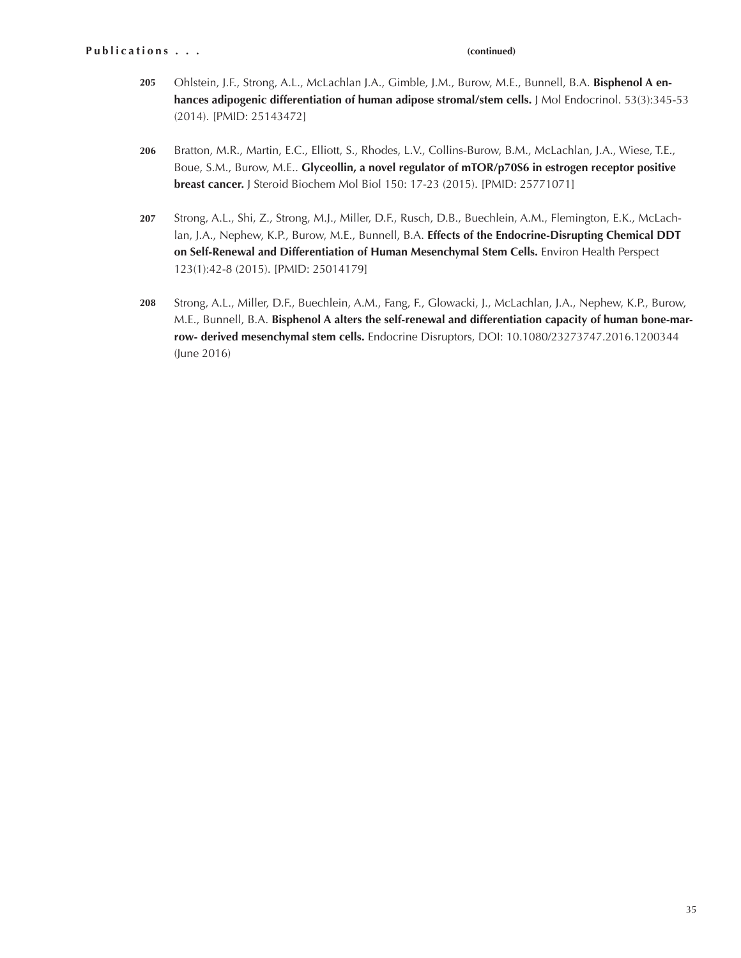- **205** Ohlstein, J.F., Strong, A.L., McLachlan J.A., Gimble, J.M., Burow, M.E., Bunnell, B.A. **Bisphenol A enhances adipogenic differentiation of human adipose stromal/stem cells.** J Mol Endocrinol. 53(3):345-53 (2014). [PMID: 25143472]
- **206** Bratton, M.R., Martin, E.C., Elliott, S., Rhodes, L.V., Collins-Burow, B.M., McLachlan, J.A., Wiese, T.E., Boue, S.M., Burow, M.E.. **Glyceollin, a novel regulator of mTOR/p70S6 in estrogen receptor positive breast cancer.** J Steroid Biochem Mol Biol 150: 17-23 (2015). [PMID: 25771071]
- **207** Strong, A.L., Shi, Z., Strong, M.J., Miller, D.F., Rusch, D.B., Buechlein, A.M., Flemington, E.K., McLachlan, J.A., Nephew, K.P., Burow, M.E., Bunnell, B.A. **Effects of the Endocrine-Disrupting Chemical DDT on Self-Renewal and Differentiation of Human Mesenchymal Stem Cells.** Environ Health Perspect 123(1):42-8 (2015). [PMID: 25014179]
- **208** Strong, A.L., Miller, D.F., Buechlein, A.M., Fang, F., Glowacki, J., McLachlan, J.A., Nephew, K.P., Burow, M.E., Bunnell, B.A. **Bisphenol A alters the self-renewal and differentiation capacity of human bone-marrow- derived mesenchymal stem cells.** Endocrine Disruptors, DOI: 10.1080/23273747.2016.1200344 (June 2016)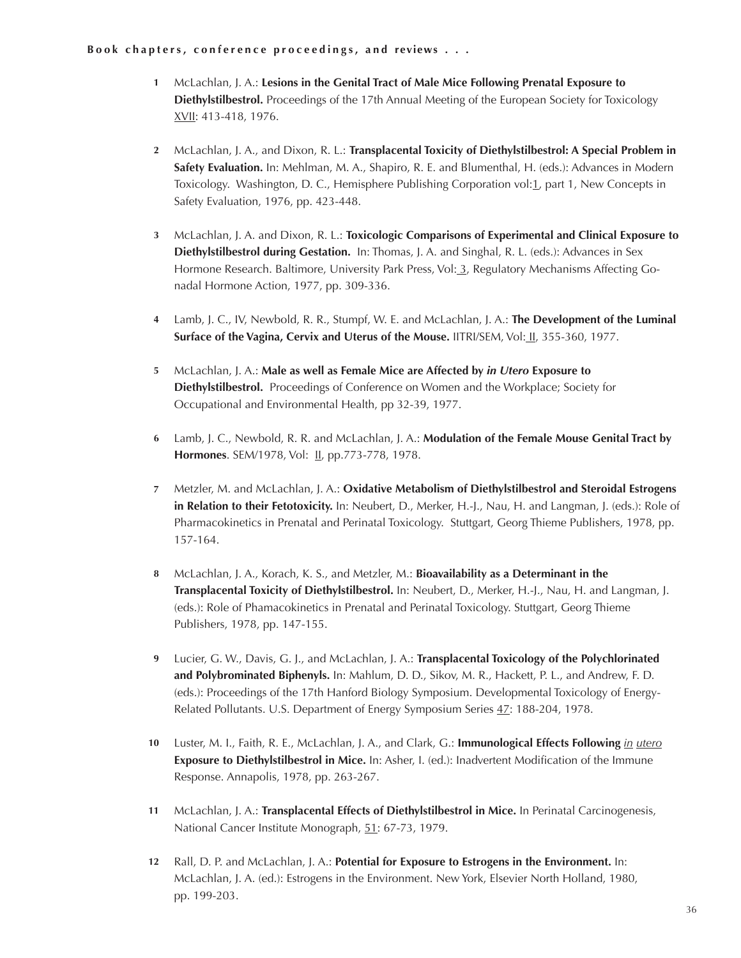## **Book chapters, conference proceedings, and reviews ...**

- McLachlan, J. A.: **Lesions in the Genital Tract of Male Mice Following Prenatal Exposure to 1 Diethylstilbestrol.** Proceedings of the 17th Annual Meeting of the European Society for Toxicology XVII: 413-418, 1976.
- McLachlan, J. A., and Dixon, R. L.: **Transplacental Toxicity of Diethylstilbestrol: A Special Problem in 2 Safety Evaluation.** In: Mehlman, M. A., Shapiro, R. E. and Blumenthal, H. (eds.): Advances in Modern Toxicology. Washington, D. C., Hemisphere Publishing Corporation vol: 1, part 1, New Concepts in Safety Evaluation, 1976, pp. 423-448.
- McLachlan, J. A. and Dixon, R. L.: **Toxicologic Comparisons of Experimental and Clinical Exposure to 3 Diethylstilbestrol during Gestation.** In: Thomas, J. A. and Singhal, R. L. (eds.): Advances in Sex Hormone Research. Baltimore, University Park Press, Vol: 3, Regulatory Mechanisms Affecting Gonadal Hormone Action, 1977, pp. 309-336.
- Lamb, J. C., IV, Newbold, R. R., Stumpf, W. E. and McLachlan, J. A.: **The Development of the Luminal 4 Surface of the Vagina, Cervix and Uterus of the Mouse.** IITRI/SEM, Vol: II, 355-360, 1977.
- McLachlan, J. A.: **Male as well as Female Mice are Affected by** *in Utero* **Exposure to 5 Diethylstilbestrol.** Proceedings of Conference on Women and the Workplace; Society for Occupational and Environmental Health, pp 32-39, 1977.
- Lamb, J. C., Newbold, R. R. and McLachlan, J. A.: **Modulation of the Female Mouse Genital Tract by 6 Hormones**. SEM/1978, Vol: II, pp.773-778, 1978.
- Metzler, M. and McLachlan, J. A.: **Oxidative Metabolism of Diethylstilbestrol and Steroidal Estrogens 7 in Relation to their Fetotoxicity.** In: Neubert, D., Merker, H.-J., Nau, H. and Langman, J. (eds.): Role of Pharmacokinetics in Prenatal and Perinatal Toxicology. Stuttgart, Georg Thieme Publishers, 1978, pp. 157-164.
- McLachlan, J. A., Korach, K. S., and Metzler, M.: **Bioavailability as a Determinant in the 8 Transplacental Toxicity of Diethylstilbestrol.** In: Neubert, D., Merker, H.-J., Nau, H. and Langman, J. (eds.): Role of Phamacokinetics in Prenatal and Perinatal Toxicology. Stuttgart, Georg Thieme Publishers, 1978, pp. 147-155.
- Lucier, G. W., Davis, G. J., and McLachlan, J. A.: **Transplacental Toxicology of the Polychlorinated 9 and Polybrominated Biphenyls.** In: Mahlum, D. D., Sikov, M. R., Hackett, P. L., and Andrew, F. D. (eds.): Proceedings of the 17th Hanford Biology Symposium. Developmental Toxicology of Energy-Related Pollutants. U.S. Department of Energy Symposium Series 47: 188-204, 1978.
- Luster, M. I., Faith, R. E., McLachlan, J. A., and Clark, G.: **Immunological Effects Following** *in utero* **10 Exposure to Diethylstilbestrol in Mice.** In: Asher, I. (ed.): Inadvertent Modification of the Immune Response. Annapolis, 1978, pp. 263-267.
- McLachlan, J. A.: **Transplacental Effects of Diethylstilbestrol in Mice.** In Perinatal Carcinogenesis, National Cancer Institute Monograph, 51: 67-73, 1979. **11**
- Rall, D. P. and McLachlan, J. A.: **Potential for Exposure to Estrogens in the Environment.** In: **12**McLachlan, J. A. (ed.): Estrogens in the Environment. New York, Elsevier North Holland, 1980, pp. 199-203.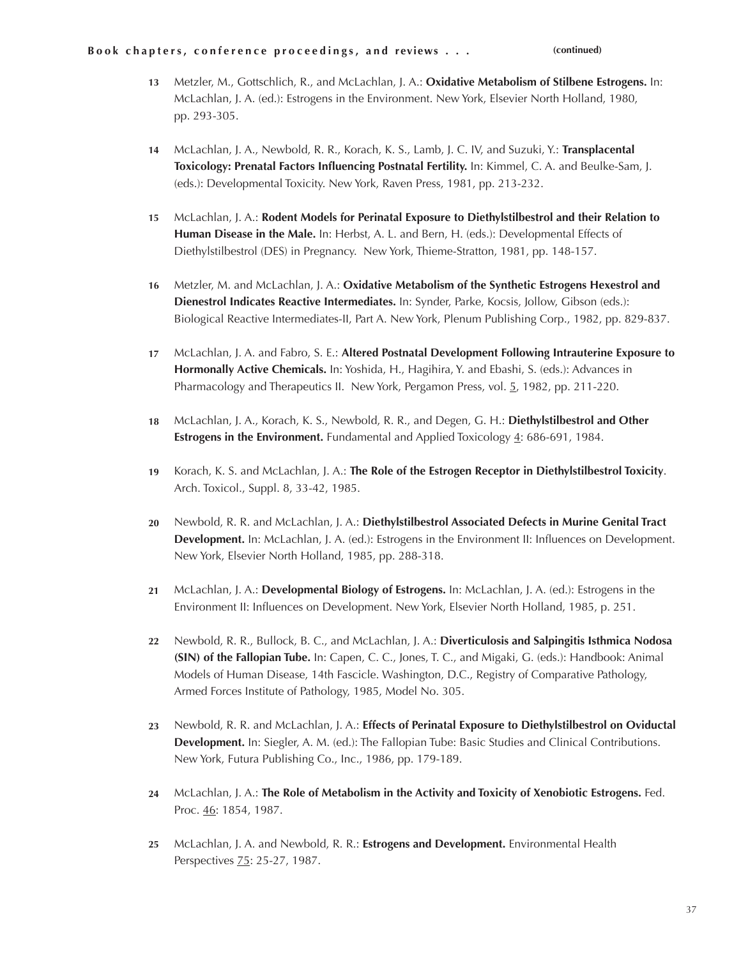- Metzler, M., Gottschlich, R., and McLachlan, J. A.: **Oxidative Metabolism of Stilbene Estrogens.** In: **13** McLachlan, J. A. (ed.): Estrogens in the Environment. New York, Elsevier North Holland, 1980, pp. 293-305.
- McLachlan, J. A., Newbold, R. R., Korach, K. S., Lamb, J. C. IV, and Suzuki, Y.: **Transplacental Toxicology: Prenatal Factors Influencing Postnatal Fertility.** In: Kimmel, C. A. and Beulke-Sam, J. (eds.): Developmental Toxicity. New York, Raven Press, 1981, pp. 213-232. **14**
- McLachlan, J. A.: **Rodent Models for Perinatal Exposure to Diethylstilbestrol and their Relation to**  Human Disease in the Male. In: Herbst, A. L. and Bern, H. (eds.): Developmental Effects of Diethylstilbestrol (DES) in Pregnancy. New York, Thieme-Stratton, 1981, pp. 148-157. **15**
- Metzler, M. and McLachlan, J. A.: **Oxidative Metabolism of the Synthetic Estrogens Hexestrol and 16 Dienestrol Indicates Reactive Intermediates.** In: Synder, Parke, Kocsis, Jollow, Gibson (eds.): Biological Reactive Intermediates-II, Part A. New York, Plenum Publishing Corp., 1982, pp. 829-837.
- McLachlan, J. A. and Fabro, S. E.: **Altered Postnatal Development Following Intrauterine Exposure to Hormonally Active Chemicals.** In: Yoshida, H., Hagihira, Y. and Ebashi, S. (eds.): Advances in Pharmacology and Therapeutics II. New York, Pergamon Press, vol. 5, 1982, pp. 211-220. **17**
- McLachlan, J. A., Korach, K. S., Newbold, R. R., and Degen, G. H.: **Diethylstilbestrol and Other Estrogens in the Environment.** Fundamental and Applied Toxicology 4: 686-691, 1984. **18**
- Korach, K. S. and McLachlan, J. A.: **The Role of the Estrogen Receptor in Diethylstilbestrol Toxicity**. Arch. Toxicol., Suppl. 8, 33-42, 1985. **19**
- Newbold, R. R. and McLachlan, J. A.: **Diethylstilbestrol Associated Defects in Murine Genital Tract Development.** In: McLachlan, J. A. (ed.): Estrogens in the Environment II: Influences on Development. New York, Elsevier North Holland, 1985, pp. 288-318. **20**
- McLachlan, J. A.: **Developmental Biology of Estrogens.** In: McLachlan, J. A. (ed.): Estrogens in the Environment II: Influences on Development. New York, Elsevier North Holland, 1985, p. 251. **21**
- Newbold, R. R., Bullock, B. C., and McLachlan, J. A.: **Diverticulosis and Salpingitis Isthmica Nodosa (SIN) of the Fallopian Tube.** In: Capen, C. C., Jones, T. C., and Migaki, G. (eds.): Handbook: Animal Models of Human Disease, 14th Fascicle. Washington, D.C., Registry of Comparative Pathology, Armed Forces Institute of Pathology, 1985, Model No. 305. **22**
- Newbold, R. R. and McLachlan, J. A.: **Effects of Perinatal Exposure to Diethylstilbestrol on Oviductal Development.** In: Siegler, A. M. (ed.): The Fallopian Tube: Basic Studies and Clinical Contributions. New York, Futura Publishing Co., Inc., 1986, pp. 179-189. **23**
- McLachlan, J. A.: **The Role of Metabolism in the Activity and Toxicity of Xenobiotic Estrogens.** Fed. Proc. 46: 1854, 1987. **24**
- McLachlan, J. A. and Newbold, R. R.: **Estrogens and Development.** Environmental Health Perspectives 75: 25-27, 1987. **25**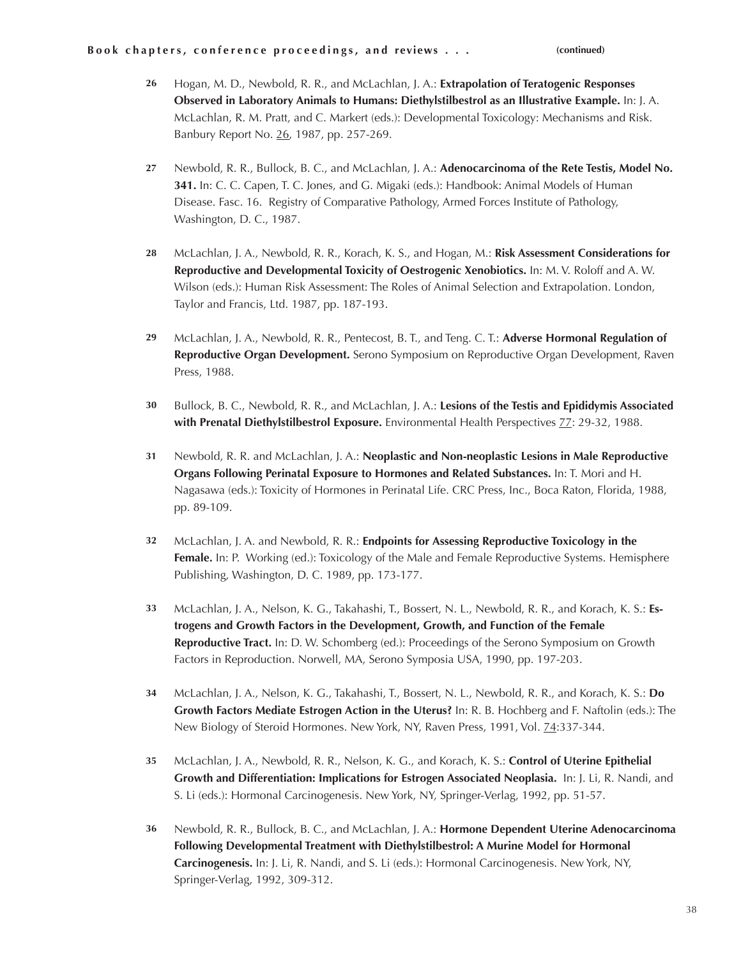- Hogan, M. D., Newbold, R. R., and McLachlan, J. A.: **Extrapolation of Teratogenic Responses Observed in Laboratory Animals to Humans: Diethylstilbestrol as an Illustrative Example.** In: J. A. McLachlan, R. M. Pratt, and C. Markert (eds.): Developmental Toxicology: Mechanisms and Risk. Banbury Report No. 26, 1987, pp. 257-269. **26**
- Newbold, R. R., Bullock, B. C., and McLachlan, J. A.: **Adenocarcinoma of the Rete Testis, Model No. 341.** In: C. C. Capen, T. C. Jones, and G. Migaki (eds.): Handbook: Animal Models of Human Disease. Fasc. 16. Registry of Comparative Pathology, Armed Forces Institute of Pathology, Washington, D. C., 1987. **27**
- McLachlan, J. A., Newbold, R. R., Korach, K. S., and Hogan, M.: **Risk Assessment Considerations for Reproductive and Developmental Toxicity of Oestrogenic Xenobiotics.** In: M. V. Roloff and A. W. Wilson (eds.): Human Risk Assessment: The Roles of Animal Selection and Extrapolation. London, Taylor and Francis, Ltd. 1987, pp. 187-193. **28**
- McLachlan, J. A., Newbold, R. R., Pentecost, B. T., and Teng. C. T.: **Adverse Hormonal Regulation of Reproductive Organ Development.** Serono Symposium on Reproductive Organ Development, Raven Press, 1988. **29**
- Bullock, B. C., Newbold, R. R., and McLachlan, J. A.: **Lesions of the Testis and Epididymis Associated with Prenatal Diethylstilbestrol Exposure.** Environmental Health Perspectives 77: 29-32, 1988. **30**
- Newbold, R. R. and McLachlan, J. A.: **Neoplastic and Non-neoplastic Lesions in Male Reproductive Organs Following Perinatal Exposure to Hormones and Related Substances.** In: T. Mori and H. Nagasawa (eds.): Toxicity of Hormones in Perinatal Life. CRC Press, Inc., Boca Raton, Florida, 1988, pp. 89-109. **31**
- McLachlan, J. A. and Newbold, R. R.: **Endpoints for Assessing Reproductive Toxicology in the Female.** In: P. Working (ed.): Toxicology of the Male and Female Reproductive Systems. Hemisphere Publishing, Washington, D. C. 1989, pp. 173-177. **32**
- McLachlan, J. A., Nelson, K. G., Takahashi, T., Bossert, N. L., Newbold, R. R., and Korach, K. S.: **Estrogens and Growth Factors in the Development, Growth, and Function of the Female Reproductive Tract.** In: D. W. Schomberg (ed.): Proceedings of the Serono Symposium on Growth Factors in Reproduction. Norwell, MA, Serono Symposia USA, 1990, pp. 197-203. **33**
- McLachlan, J. A., Nelson, K. G., Takahashi, T., Bossert, N. L., Newbold, R. R., and Korach, K. S.: **Do Growth Factors Mediate Estrogen Action in the Uterus?** In: R. B. Hochberg and F. Naftolin (eds.): The New Biology of Steroid Hormones. New York, NY, Raven Press, 1991, Vol. 74:337-344. **34**
- McLachlan, J. A., Newbold, R. R., Nelson, K. G., and Korach, K. S.: **Control of Uterine Epithelial Growth and Differentiation: Implications for Estrogen Associated Neoplasia.** In: J. Li, R. Nandi, and S. Li (eds.): Hormonal Carcinogenesis. New York, NY, Springer-Verlag, 1992, pp. 51-57. **35**
- Newbold, R. R., Bullock, B. C., and McLachlan, J. A.: **Hormone Dependent Uterine Adenocarcinoma Following Developmental Treatment with Diethylstilbestrol: A Murine Model for Hormonal Carcinogenesis.** In: J. Li, R. Nandi, and S. Li (eds.): Hormonal Carcinogenesis. New York, NY, Springer-Verlag, 1992, 309-312. **36**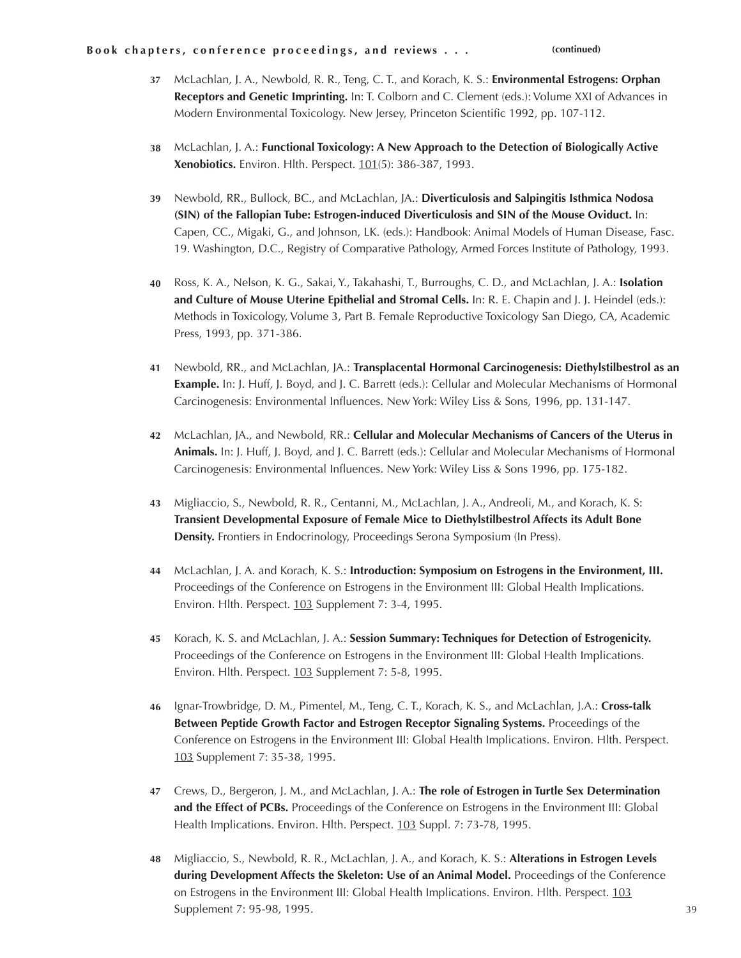- McLachlan, J. A., Newbold, R. R., Teng, C. T., and Korach, K. S.: **Environmental Estrogens: Orphan 37 Receptors and Genetic Imprinting.** In: T. Colborn and C. Clement (eds.): Volume XXI of Advances in Modern Environmental Toxicology. New Jersey, Princeton Scientific 1992, pp. 107-112.
- McLachlan, J. A.: **Functional Toxicology: A New Approach to the Detection of Biologically Active 38 Xenobiotics.** Environ. Hlth. Perspect. 101(5): 386-387, 1993.
- Newbold, RR., Bullock, BC., and McLachlan, JA.: **Diverticulosis and Salpingitis Isthmica Nodosa 39 (SIN) of the Fallopian Tube: Estrogen-induced Diverticulosis and SIN of the Mouse Oviduct.** In: Capen, CC., Migaki, G., and Johnson, LK. (eds.): Handbook: Animal Models of Human Disease, Fasc. 19. Washington, D.C., Registry of Comparative Pathology, Armed Forces Institute of Pathology, 1993.
- Ross, K. A., Nelson, K. G., Sakai, Y., Takahashi, T., Burroughs, C. D., and McLachlan, J. A.: **Isolation and Culture of Mouse Uterine Epithelial and Stromal Cells.** In: R. E. Chapin and J. J. Heindel (eds.): Methods in Toxicology, Volume 3, Part B. Female Reproductive Toxicology San Diego, CA, Academic Press, 1993, pp. 371-386. **40**
- Newbold, RR., and McLachlan, JA.: **Transplacental Hormonal Carcinogenesis: Diethylstilbestrol as an 41 Example.** In: J. Huff, J. Boyd, and J. C. Barrett (eds.): Cellular and Molecular Mechanisms of Hormonal Carcinogenesis: Environmental Influences. New York: Wiley Liss & Sons, 1996, pp. 131-147.
- McLachlan, JA., and Newbold, RR.: **Cellular and Molecular Mechanisms of Cancers of the Uterus in 42 Animals.** In: J. Huff, J. Boyd, and J. C. Barrett (eds.): Cellular and Molecular Mechanisms of Hormonal Carcinogenesis: Environmental Influences. New York: Wiley Liss & Sons 1996, pp. 175-182.
- Migliaccio, S., Newbold, R. R., Centanni, M., McLachlan, J. A., Andreoli, M., and Korach, K. S: **43 Transient Developmental Exposure of Female Mice to Diethylstilbestrol Affects its Adult Bone Density.** Frontiers in Endocrinology, Proceedings Serona Symposium (In Press).
- McLachlan, J. A. and Korach, K. S.: **Introduction: Symposium on Estrogens in the Environment, III. 44** Proceedings of the Conference on Estrogens in the Environment III: Global Health Implications. Environ. Hlth. Perspect. 103 Supplement 7: 3-4, 1995.
- Korach, K. S. and McLachlan, J. A.: **Session Summary: Techniques for Detection of Estrogenicity.** Proceedings of the Conference on Estrogens in the Environment III: Global Health Implications. Environ. Hlth. Perspect. 103 Supplement 7: 5-8, 1995. **45**
- Ignar-Trowbridge, D. M., Pimentel, M., Teng, C. T., Korach, K. S., and McLachlan, J.A.: **Cross-talk Between Peptide Growth Factor and Estrogen Receptor Signaling Systems.** Proceedings of the Conference on Estrogens in the Environment III: Global Health Implications. Environ. Hlth. Perspect. 103 Supplement 7: 35-38, 1995. **46**
- Crews, D., Bergeron, J. M., and McLachlan, J. A.: **The role of Estrogen in Turtle Sex Determination 47** and the Effect of PCBs. Proceedings of the Conference on Estrogens in the Environment III: Global Health Implications. Environ. Hlth. Perspect. 103 Suppl. 7: 73-78, 1995.
- Migliaccio, S., Newbold, R. R., McLachlan, J. A., and Korach, K. S.: **Alterations in Estrogen Levels 48 during Development Affects the Skeleton: Use of an Animal Model.** Proceedings of the Conference on Estrogens in the Environment III: Global Health Implications. Environ. Hlth. Perspect. 103 Supplement 7: 95-98, 1995.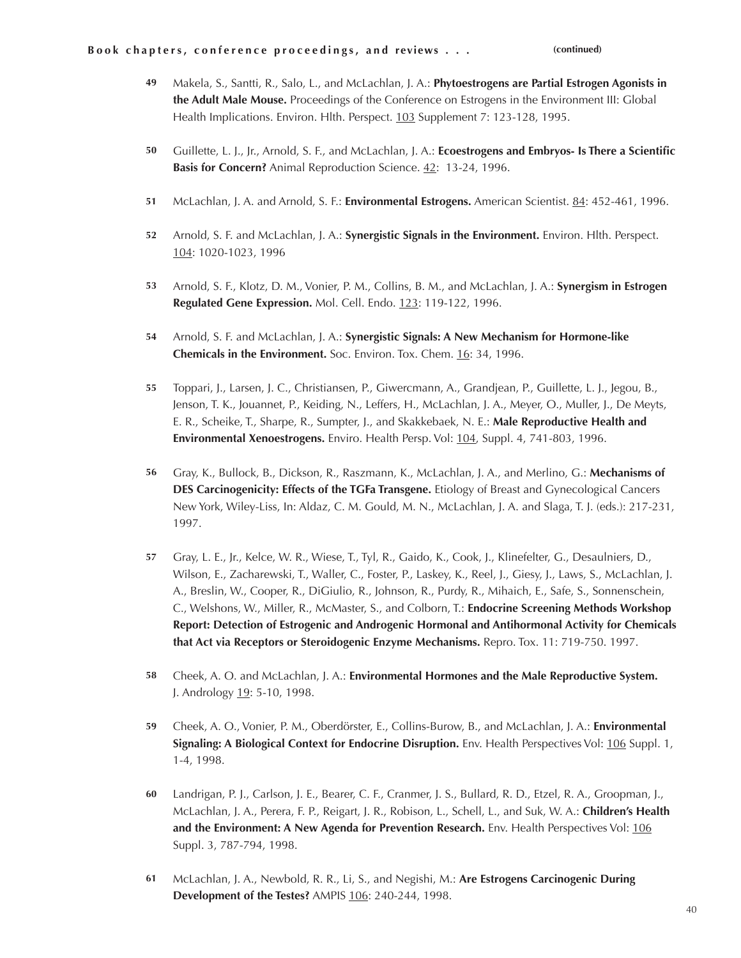- Makela, S., Santti, R., Salo, L., and McLachlan, J. A.: **Phytoestrogens are Partial Estrogen Agonists in the Adult Male Mouse.** Proceedings of the Conference on Estrogens in the Environment III: Global Health Implications. Environ. Hlth. Perspect. 103 Supplement 7: 123-128, 1995. **49**
- Guillette, L. J., Jr., Arnold, S. F., and McLachlan, J. A.: **Ecoestrogens and Embryos- Is There a Scientific Basis for Concern?** Animal Reproduction Science. 42: 13-24, 1996. **50**
- McLachlan, J. A. and Arnold, S. F.: **Environmental Estrogens.** American Scientist. 84: 452-461, 1996. **51**
- Arnold, S. F. and McLachlan, J. A.: **Synergistic Signals in the Environment.** Environ. Hlth. Perspect. 104: 1020-1023, 1996 **52**
- Arnold, S. F., Klotz, D. M., Vonier, P. M., Collins, B. M., and McLachlan, J. A.: **Synergism in Estrogen Regulated Gene Expression.** Mol. Cell. Endo. 123: 119-122, 1996. **53**
- Arnold, S. F. and McLachlan, J. A.: **Synergistic Signals: A New Mechanism for Hormone-like 54 Chemicals in the Environment.** Soc. Environ. Tox. Chem. 16: 34, 1996.
- Toppari, J., Larsen, J. C., Christiansen, P., Giwercmann, A., Grandjean, P., Guillette, L. J., Jegou, B., Jenson, T. K., Jouannet, P., Keiding, N., Leffers, H., McLachlan, J. A., Meyer, O., Muller, J., De Meyts, E. R., Scheike, T., Sharpe, R., Sumpter, J., and Skakkebaek, N. E.: **Male Reproductive Health and Environmental Xenoestrogens.** Enviro. Health Persp. Vol: 104, Suppl. 4, 741-803, 1996. **55**
- Gray, K., Bullock, B., Dickson, R., Raszmann, K., McLachlan, J. A., and Merlino, G.: **Mechanisms of DES Carcinogenicity: Effects of the TGFa Transgene.** Etiology of Breast and Gynecological Cancers New York, Wiley-Liss, In: Aldaz, C. M. Gould, M. N., McLachlan, J. A. and Slaga, T. J. (eds.): 217-231, 1997. **56**
- Gray, L. E., Jr., Kelce, W. R., Wiese, T., Tyl, R., Gaido, K., Cook, J., Klinefelter, G., Desaulniers, D., **57** Wilson, E., Zacharewski, T., Waller, C., Foster, P., Laskey, K., Reel, J., Giesy, J., Laws, S., McLachlan, J. A., Breslin, W., Cooper, R., DiGiulio, R., Johnson, R., Purdy, R., Mihaich, E., Safe, S., Sonnenschein, C., Welshons, W., Miller, R., McMaster, S., and Colborn, T.: **Endocrine Screening Methods Workshop Report: Detection of Estrogenic and Androgenic Hormonal and Antihormonal Activity for Chemicals that Act via Receptors or Steroidogenic Enzyme Mechanisms.** Repro. Tox. 11: 719-750. 1997.
- Cheek, A. O. and McLachlan, J. A.: **Environmental Hormones and the Male Reproductive System.** J. Andrology 19: 5-10, 1998. **58**
- Cheek, A. O., Vonier, P. M., Oberdörster, E., Collins-Burow, B., and McLachlan, J. A.: **Environmental Signaling: A Biological Context for Endocrine Disruption.** Env. Health Perspectives Vol: 106 Suppl. 1, 1-4, 1998. **59**
- Landrigan, P. J., Carlson, J. E., Bearer, C. F., Cranmer, J. S., Bullard, R. D., Etzel, R. A., Groopman, J., McLachlan, J. A., Perera, F. P., Reigart, J. R., Robison, L., Schell, L., and Suk, W. A.: **Children's Health and the Environment: A New Agenda for Prevention Research.** Env. Health Perspectives Vol: 106 Suppl. 3, 787-794, 1998. **60**
- McLachlan, J. A., Newbold, R. R., Li, S., and Negishi, M.: **Are Estrogens Carcinogenic During Development of the Testes?** AMPIS 106: 240-244, 1998. **61**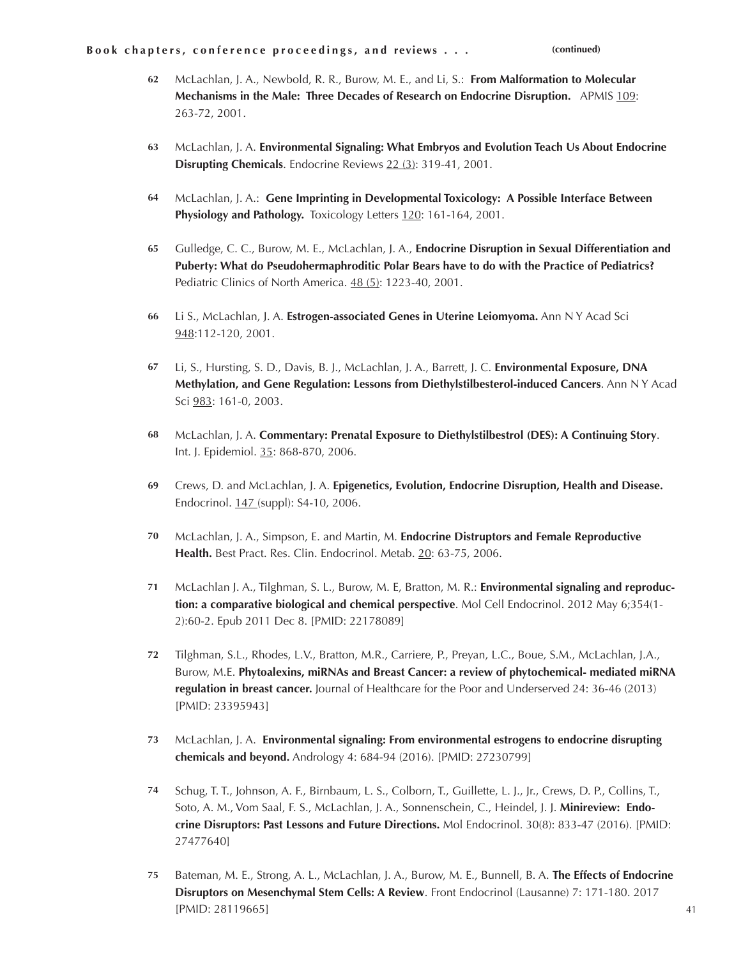- McLachlan, J. A., Newbold, R. R., Burow, M. E., and Li, S.: **From Malformation to Molecular Mechanisms in the Male: Three Decades of Research on Endocrine Disruption.** APMIS 109: 263-72, 2001. **62**
- McLachlan, J. A. **Environmental Signaling: What Embryos and Evolution Teach Us About Endocrine Disrupting Chemicals**. Endocrine Reviews 22 (3): 319-41, 2001. **63**
- McLachlan, J. A.: **Gene Imprinting in Developmental Toxicology: A Possible Interface Between**  Physiology and Pathology. Toxicology Letters 120: 161-164, 2001. **64**
- Gulledge, C. C., Burow, M. E., McLachlan, J. A., **Endocrine Disruption in Sexual Differentiation and Puberty: What do Pseudohermaphroditic Polar Bears have to do with the Practice of Pediatrics?** Pediatric Clinics of North America. 48 (5): 1223-40, 2001. **65**
- Li S., McLachlan, J. A. **Estrogen-associated Genes in Uterine Leiomyoma.** Ann N Y Acad Sci 948:112-120, 2001. **66**
- Li, S., Hursting, S. D., Davis, B. J., McLachlan, J. A., Barrett, J. C. **Environmental Exposure, DNA 67 Methylation, and Gene Regulation: Lessons from Diethylstilbesterol-induced Cancers**. Ann N Y Acad Sci 983: 161-0, 2003.
- McLachlan, J. A. **Commentary: Prenatal Exposure to Diethylstilbestrol (DES): A Continuing Story**. Int. J. Epidemiol. 35: 868-870, 2006. **68**
- Crews, D. and McLachlan, J. A. **Epigenetics, Evolution, Endocrine Disruption, Health and Disease.**  Endocrinol. 147 (suppl): S4-10, 2006. **69**
- McLachlan, J. A., Simpson, E. and Martin, M. **Endocrine Distruptors and Female Reproductive Health.** Best Pract. Res. Clin. Endocrinol. Metab. 20: 63-75, 2006. **70**
- McLachlan J. A., Tilghman, S. L., Burow, M. E, Bratton, M. R.: **Environmental signaling and reproduction: a comparative biological and chemical perspective**. Mol Cell Endocrinol. 2012 May 6;354(1- 2):60-2. Epub 2011 Dec 8. [PMID: 22178089] **71**
- Tilghman, S.L., Rhodes, L.V., Bratton, M.R., Carriere, P., Preyan, L.C., Boue, S.M., McLachlan, J.A., Burow, M.E. **Phytoalexins, miRNAs and Breast Cancer: a review of phytochemical- mediated miRNA regulation in breast cancer.** Journal of Healthcare for the Poor and Underserved 24: 36-46 (2013) [PMID: 23395943] **72**
- McLachlan, J. A. **Environmental signaling: From environmental estrogens to endocrine disrupting chemicals and beyond.** Andrology 4: 684-94 (2016). [PMID: 27230799] **73**
- Schug, T. T., Johnson, A. F., Birnbaum, L. S., Colborn, T., Guillette, L. J., Jr., Crews, D. P., Collins, T., Soto, A. M., Vom Saal, F. S., McLachlan, J. A., Sonnenschein, C., Heindel, J. J. **Minireview: Endocrine Disruptors: Past Lessons and Future Directions.** Mol Endocrinol. 30(8): 833-47 (2016). [PMID: 27477640] **74**
- Bateman, M. E., Strong, A. L., McLachlan, J. A., Burow, M. E., Bunnell, B. A. **The Effects of Endocrine Disruptors on Mesenchymal Stem Cells: A Review**. Front Endocrinol (Lausanne) 7: 171-180. 2017 [PMID: 28119665] **75**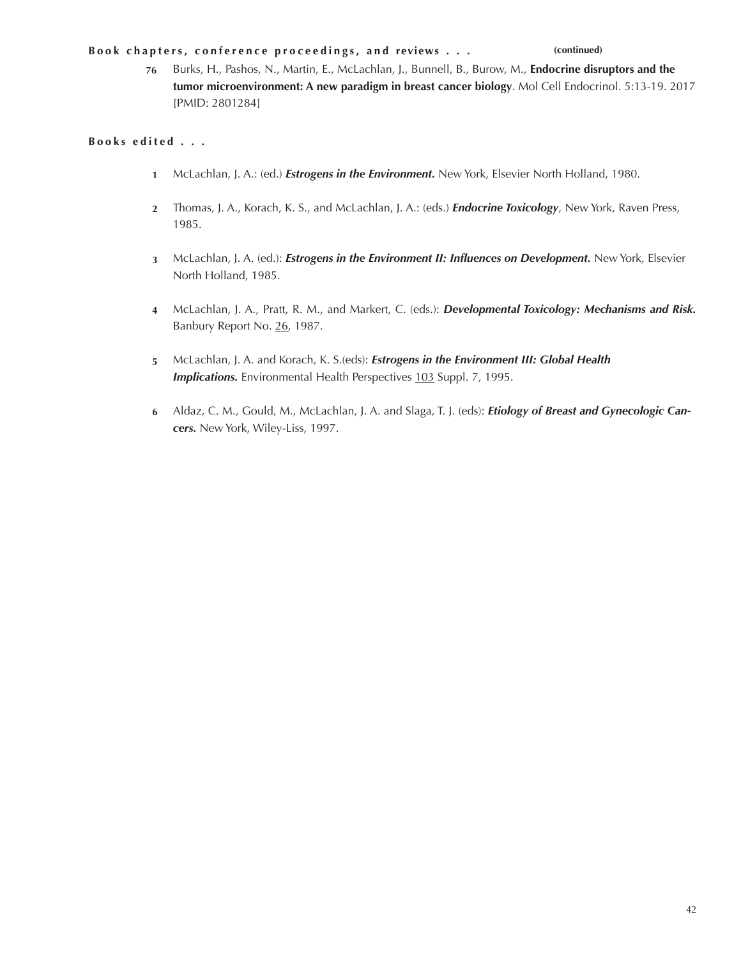**76** Burks, H., Pashos, N., Martin, E., McLachlan, J., Bunnell, B., Burow, M., **Endocrine disruptors and the tumor microenvironment: A new paradigm in breast cancer biology**. Mol Cell Endocrinol. 5:13-19. 2017 [PMID: 2801284]

# **Books edited . . .**

- McLachlan, J. A.: (ed.) *Estrogens in the Environment.* New York, Elsevier North Holland, 1980. **1**
- Thomas, J. A., Korach, K. S., and McLachlan, J. A.: (eds.) *Endocrine Toxicology*, New York, Raven Press, **2** 1985.
- McLachlan, J. A. (ed.): *Estrogens in the Environment II: Influences on Development.* New York, Elsevier **3** North Holland, 1985.
- McLachlan, J. A., Pratt, R. M., and Markert, C. (eds.): *Developmental Toxicology: Mechanisms and Risk.* **4** Banbury Report No. 26, 1987.
- McLachlan, J. A. and Korach, K. S.(eds): *Estrogens in the Environment III: Global Health*  **5 Implications.** Environmental Health Perspectives 103 Suppl. 7, 1995.
- Aldaz, C. M., Gould, M., McLachlan, J. A. and Slaga, T. J. (eds): *Etiology of Breast and Gynecologic Can-***6** *cers.* New York, Wiley-Liss, 1997.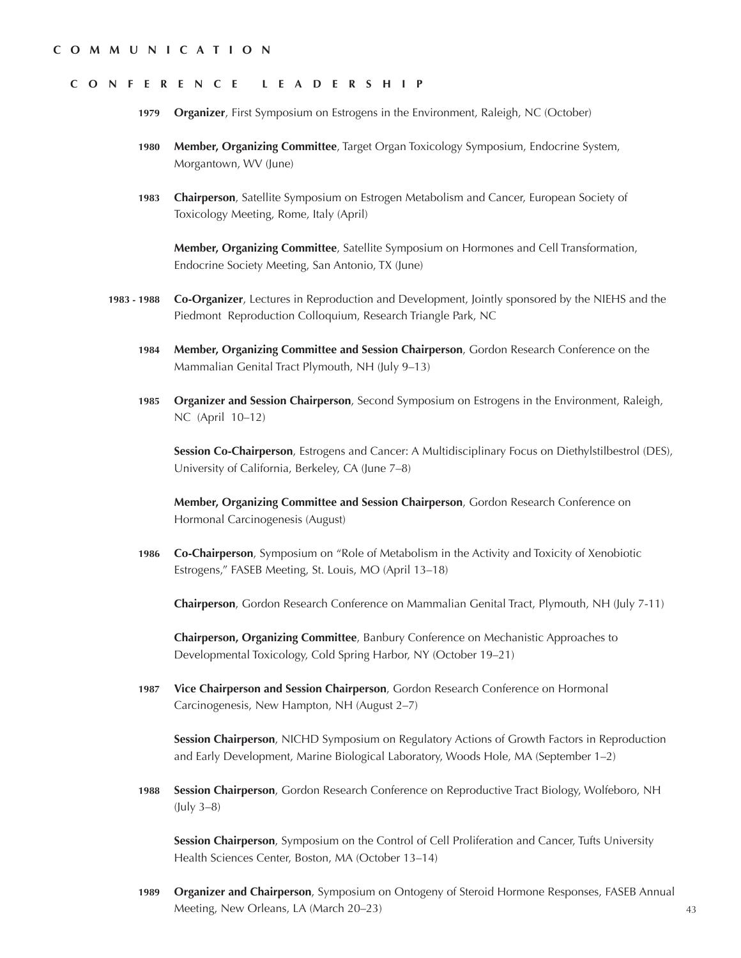### **C O M M U N I C A T I O N**

### **CONFERENCE LEADERSHIP**

- **Organizer**, First Symposium on Estrogens in the Environment, Raleigh, NC (October) **1979**
- **Member, Organizing Committee**, Target Organ Toxicology Symposium, Endocrine System, Morgantown, WV (June) **1980**
- **Chairperson**, Satellite Symposium on Estrogen Metabolism and Cancer, European Society of Toxicology Meeting, Rome, Italy (April) **1983**

**Member, Organizing Committee**, Satellite Symposium on Hormones and Cell Transformation, Endocrine Society Meeting, San Antonio, TX (June)

- **Co-Organizer**, Lectures in Reproduction and Development, Jointly sponsored by the NIEHS and the Piedmont Reproduction Colloquium, Research Triangle Park, NC **1983 - 1988**
	- **Member, Organizing Committee and Session Chairperson**, Gordon Research Conference on the Mammalian Genital Tract Plymouth, NH (July 9–13) **1984**
	- **Organizer and Session Chairperson**, Second Symposium on Estrogens in the Environment, Raleigh, NC (April 10–12) **1985**

**Session Co-Chairperson**, Estrogens and Cancer: A Multidisciplinary Focus on Diethylstilbestrol (DES), University of California, Berkeley, CA (June 7–8)

**Member, Organizing Committee and Session Chairperson**, Gordon Research Conference on Hormonal Carcinogenesis (August)

**Co-Chairperson**, Symposium on "Role of Metabolism in the Activity and Toxicity of Xenobiotic Estrogens," FASEB Meeting, St. Louis, MO (April 13–18) **1986**

**Chairperson**, Gordon Research Conference on Mammalian Genital Tract, Plymouth, NH (July 7-11)

**Chairperson, Organizing Committee**, Banbury Conference on Mechanistic Approaches to Developmental Toxicology, Cold Spring Harbor, NY (October 19–21)

**Vice Chairperson and Session Chairperson**, Gordon Research Conference on Hormonal Carcinogenesis, New Hampton, NH (August 2–7) **1987**

**Session Chairperson**, NICHD Symposium on Regulatory Actions of Growth Factors in Reproduction and Early Development, Marine Biological Laboratory, Woods Hole, MA (September 1–2)

**Session Chairperson**, Gordon Research Conference on Reproductive Tract Biology, Wolfeboro, NH (July 3–8) **1988**

**Session Chairperson**, Symposium on the Control of Cell Proliferation and Cancer, Tufts University Health Sciences Center, Boston, MA (October 13–14)

**Organizer and Chairperson**, Symposium on Ontogeny of Steroid Hormone Responses, FASEB Annual Meeting, New Orleans, LA (March 20–23) **1989**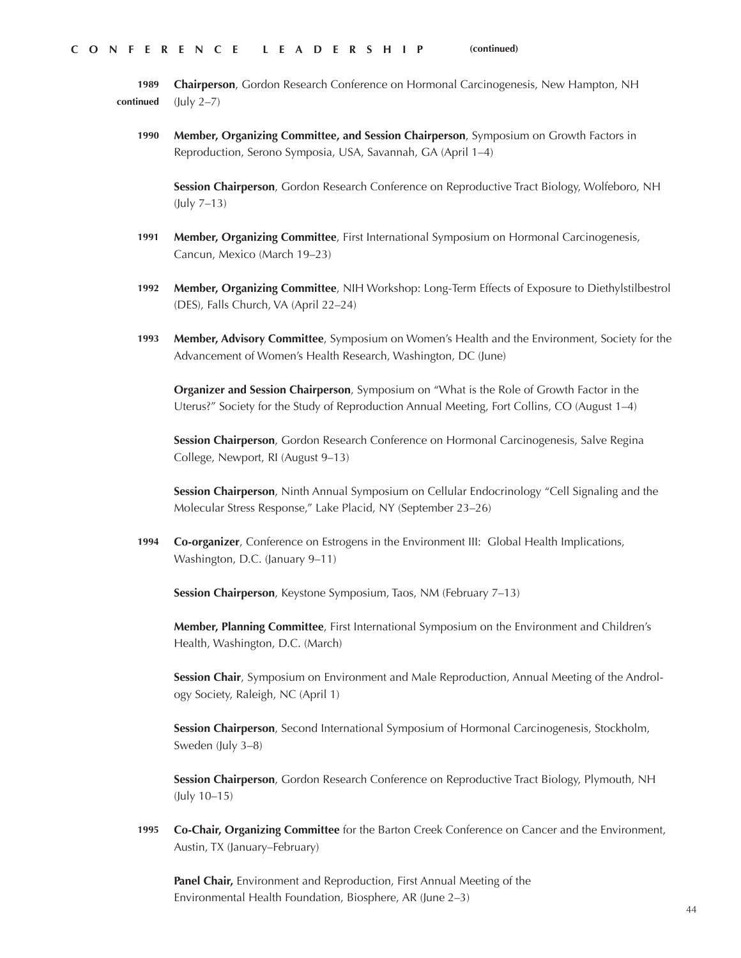**Chairperson**, Gordon Research Conference on Hormonal Carcinogenesis, New Hampton, NH (July 2–7) **1989 continued**

**Member, Organizing Committee, and Session Chairperson**, Symposium on Growth Factors in Reproduction, Serono Symposia, USA, Savannah, GA (April 1–4) **1990**

**Session Chairperson**, Gordon Research Conference on Reproductive Tract Biology, Wolfeboro, NH (July 7–13)

- **Member, Organizing Committee**, First International Symposium on Hormonal Carcinogenesis, Cancun, Mexico (March 19–23) **1991**
- **Member, Organizing Committee**, NIH Workshop: Long-Term Effects of Exposure to Diethylstilbestrol (DES), Falls Church, VA (April 22–24) **1992**
- **Member, Advisory Committee**, Symposium on Women's Health and the Environment, Society for the Advancement of Women's Health Research, Washington, DC (June) **1993**

**Organizer and Session Chairperson**, Symposium on "What is the Role of Growth Factor in the Uterus?" Society for the Study of Reproduction Annual Meeting, Fort Collins, CO (August 1–4)

**Session Chairperson**, Gordon Research Conference on Hormonal Carcinogenesis, Salve Regina College, Newport, RI (August 9–13)

**Session Chairperson**, Ninth Annual Symposium on Cellular Endocrinology "Cell Signaling and the Molecular Stress Response," Lake Placid, NY (September 23–26)

**Co-organizer**, Conference on Estrogens in the Environment III: Global Health Implications, Washington, D.C. (January 9–11) **1994**

**Session Chairperson**, Keystone Symposium, Taos, NM (February 7–13)

**Member, Planning Committee**, First International Symposium on the Environment and Children's Health, Washington, D.C. (March)

**Session Chair**, Symposium on Environment and Male Reproduction, Annual Meeting of the Andrology Society, Raleigh, NC (April 1)

**Session Chairperson**, Second International Symposium of Hormonal Carcinogenesis, Stockholm, Sweden (July 3–8)

**Session Chairperson**, Gordon Research Conference on Reproductive Tract Biology, Plymouth, NH (July 10–15)

**Co-Chair, Organizing Committee** for the Barton Creek Conference on Cancer and the Environment, Austin, TX (January–February) **1995**

**Panel Chair,** Environment and Reproduction, First Annual Meeting of the Environmental Health Foundation, Biosphere, AR (June 2–3)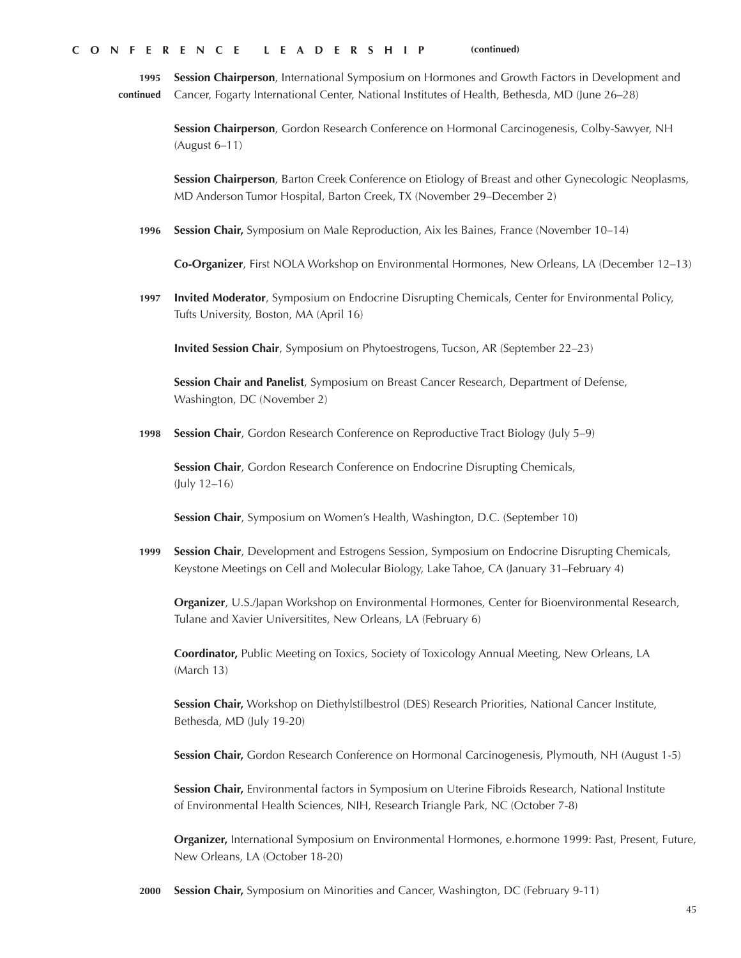**1995 continued Session Chairperson**, International Symposium on Hormones and Growth Factors in Development and Cancer, Fogarty International Center, National Institutes of Health, Bethesda, MD (June 26–28)

**Session Chairperson**, Gordon Research Conference on Hormonal Carcinogenesis, Colby-Sawyer, NH (August 6–11)

**Session Chairperson**, Barton Creek Conference on Etiology of Breast and other Gynecologic Neoplasms, MD Anderson Tumor Hospital, Barton Creek, TX (November 29–December 2)

**1996 Session Chair,** Symposium on Male Reproduction, Aix les Baines, France (November 10–14)

**Co-Organizer**, First NOLA Workshop on Environmental Hormones, New Orleans, LA (December 12–13)

**1997 Invited Moderator**, Symposium on Endocrine Disrupting Chemicals, Center for Environmental Policy, Tufts University, Boston, MA (April 16)

**Invited Session Chair**, Symposium on Phytoestrogens, Tucson, AR (September 22–23)

**Session Chair and Panelist**, Symposium on Breast Cancer Research, Department of Defense, Washington, DC (November 2)

**1998 Session Chair**, Gordon Research Conference on Reproductive Tract Biology (July 5–9)

**Session Chair**, Gordon Research Conference on Endocrine Disrupting Chemicals, (July 12–16)

**Session Chair**, Symposium on Women's Health, Washington, D.C. (September 10)

**1999 Session Chair**, Development and Estrogens Session, Symposium on Endocrine Disrupting Chemicals, Keystone Meetings on Cell and Molecular Biology, Lake Tahoe, CA (January 31–February 4)

**Organizer**, U.S./Japan Workshop on Environmental Hormones, Center for Bioenvironmental Research, Tulane and Xavier Universitites, New Orleans, LA (February 6)

**Coordinator,** Public Meeting on Toxics, Society of Toxicology Annual Meeting, New Orleans, LA (March 13)

**Session Chair,** Workshop on Diethylstilbestrol (DES) Research Priorities, National Cancer Institute, Bethesda, MD (July 19-20)

**Session Chair,** Gordon Research Conference on Hormonal Carcinogenesis, Plymouth, NH (August 1-5)

**Session Chair,** Environmental factors in Symposium on Uterine Fibroids Research, National Institute of Environmental Health Sciences, NIH, Research Triangle Park, NC (October 7-8)

**Organizer,** International Symposium on Environmental Hormones, e.hormone 1999: Past, Present, Future, New Orleans, LA (October 18-20)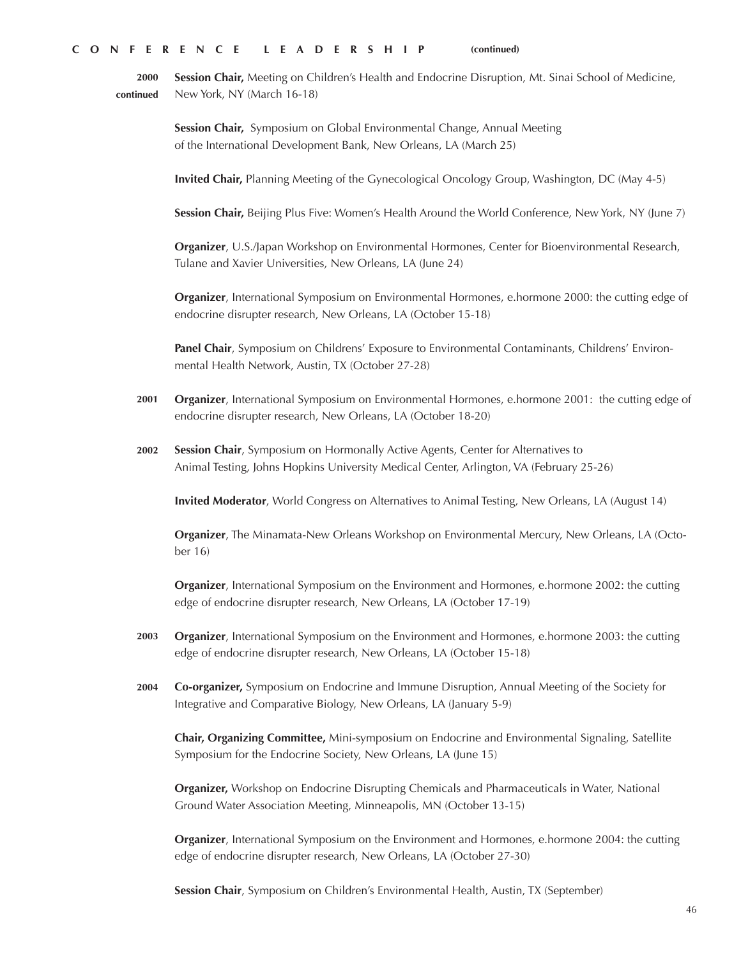**2000 continued Session Chair,** Meeting on Children's Health and Endocrine Disruption, Mt. Sinai School of Medicine, New York, NY (March 16-18)

> **Session Chair,** Symposium on Global Environmental Change, Annual Meeting of the International Development Bank, New Orleans, LA (March 25)

**Invited Chair,** Planning Meeting of the Gynecological Oncology Group, Washington, DC (May 4-5)

**Session Chair,** Beijing Plus Five: Women's Health Around the World Conference, New York, NY (June 7)

**Organizer**, U.S./Japan Workshop on Environmental Hormones, Center for Bioenvironmental Research, Tulane and Xavier Universities, New Orleans, LA (June 24)

**Organizer**, International Symposium on Environmental Hormones, e.hormone 2000: the cutting edge of endocrine disrupter research, New Orleans, LA (October 15-18)

**Panel Chair**, Symposium on Childrens' Exposure to Environmental Contaminants, Childrens' Environmental Health Network, Austin, TX (October 27-28)

- **2001 Organizer**, International Symposium on Environmental Hormones, e.hormone 2001: the cutting edge of endocrine disrupter research, New Orleans, LA (October 18-20)
- **2002 Session Chair**, Symposium on Hormonally Active Agents, Center for Alternatives to Animal Testing, Johns Hopkins University Medical Center, Arlington, VA (February 25-26)

**Invited Moderator**, World Congress on Alternatives to Animal Testing, New Orleans, LA (August 14)

**Organizer**, The Minamata-New Orleans Workshop on Environmental Mercury, New Orleans, LA (October 16)

**Organizer**, International Symposium on the Environment and Hormones, e.hormone 2002: the cutting edge of endocrine disrupter research, New Orleans, LA (October 17-19)

- **2003 Organizer**, International Symposium on the Environment and Hormones, e.hormone 2003: the cutting edge of endocrine disrupter research, New Orleans, LA (October 15-18)
- **2004 Co-organizer,** Symposium on Endocrine and Immune Disruption, Annual Meeting of the Society for Integrative and Comparative Biology, New Orleans, LA (January 5-9)

**Chair, Organizing Committee,** Mini-symposium on Endocrine and Environmental Signaling, Satellite Symposium for the Endocrine Society, New Orleans, LA (June 15)

**Organizer,** Workshop on Endocrine Disrupting Chemicals and Pharmaceuticals in Water, National Ground Water Association Meeting, Minneapolis, MN (October 13-15)

**Organizer**, International Symposium on the Environment and Hormones, e.hormone 2004: the cutting edge of endocrine disrupter research, New Orleans, LA (October 27-30)

**Session Chair**, Symposium on Children's Environmental Health, Austin, TX (September)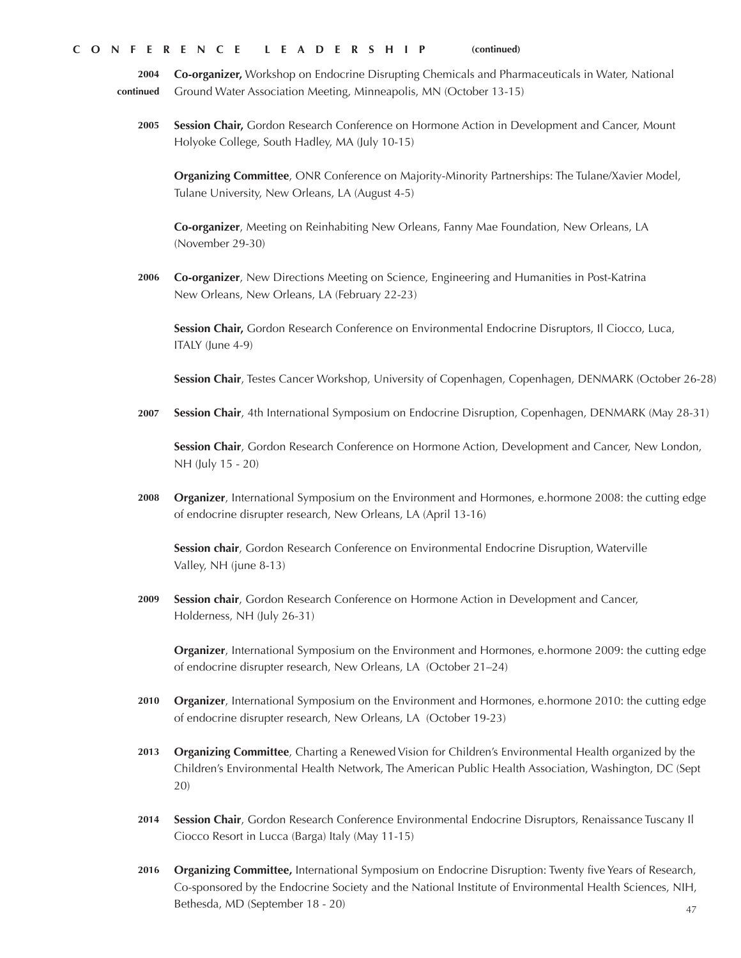**2004 continued Co-organizer,** Workshop on Endocrine Disrupting Chemicals and Pharmaceuticals in Water, National Ground Water Association Meeting, Minneapolis, MN (October 13-15)

**2005 Session Chair,** Gordon Research Conference on Hormone Action in Development and Cancer, Mount Holyoke College, South Hadley, MA (July 10-15)

**Organizing Committee**, ONR Conference on Majority-Minority Partnerships: The Tulane/Xavier Model, Tulane University, New Orleans, LA (August 4-5)

**Co-organizer**, Meeting on Reinhabiting New Orleans, Fanny Mae Foundation, New Orleans, LA (November 29-30)

**2006 Co-organizer**, New Directions Meeting on Science, Engineering and Humanities in Post-Katrina New Orleans, New Orleans, LA (February 22-23)

**Session Chair,** Gordon Research Conference on Environmental Endocrine Disruptors, Il Ciocco, Luca, ITALY (June 4-9)

**Session Chair**, Testes Cancer Workshop, University of Copenhagen, Copenhagen, DENMARK (October 26-28)

**2007 Session Chair**, 4th International Symposium on Endocrine Disruption, Copenhagen, DENMARK (May 28-31)

**Session Chair**, Gordon Research Conference on Hormone Action, Development and Cancer, New London, NH (July 15 - 20)

**2008 Organizer**, International Symposium on the Environment and Hormones, e.hormone 2008: the cutting edge of endocrine disrupter research, New Orleans, LA (April 13-16)

**Session chair**, Gordon Research Conference on Environmental Endocrine Disruption, Waterville Valley, NH (june 8-13)

**2009 Session chair**, Gordon Research Conference on Hormone Action in Development and Cancer, Holderness, NH (July 26-31)

**Organizer**, International Symposium on the Environment and Hormones, e.hormone 2009: the cutting edge of endocrine disrupter research, New Orleans, LA (October 21–24)

- **2010 Organizer**, International Symposium on the Environment and Hormones, e.hormone 2010: the cutting edge of endocrine disrupter research, New Orleans, LA (October 19-23)
- **2013 Organizing Committee**, Charting a Renewed Vision for Children's Environmental Health organized by the Children's Environmental Health Network, The American Public Health Association, Washington, DC (Sept 20)
- **2014 Session Chair**, Gordon Research Conference Environmental Endocrine Disruptors, Renaissance Tuscany Il Ciocco Resort in Lucca (Barga) Italy (May 11-15)
- **2016 Organizing Committee,** International Symposium on Endocrine Disruption: Twenty five Years of Research, Co-sponsored by the Endocrine Society and the National Institute of Environmental Health Sciences, NIH, Bethesda, MD (September 18 - 20)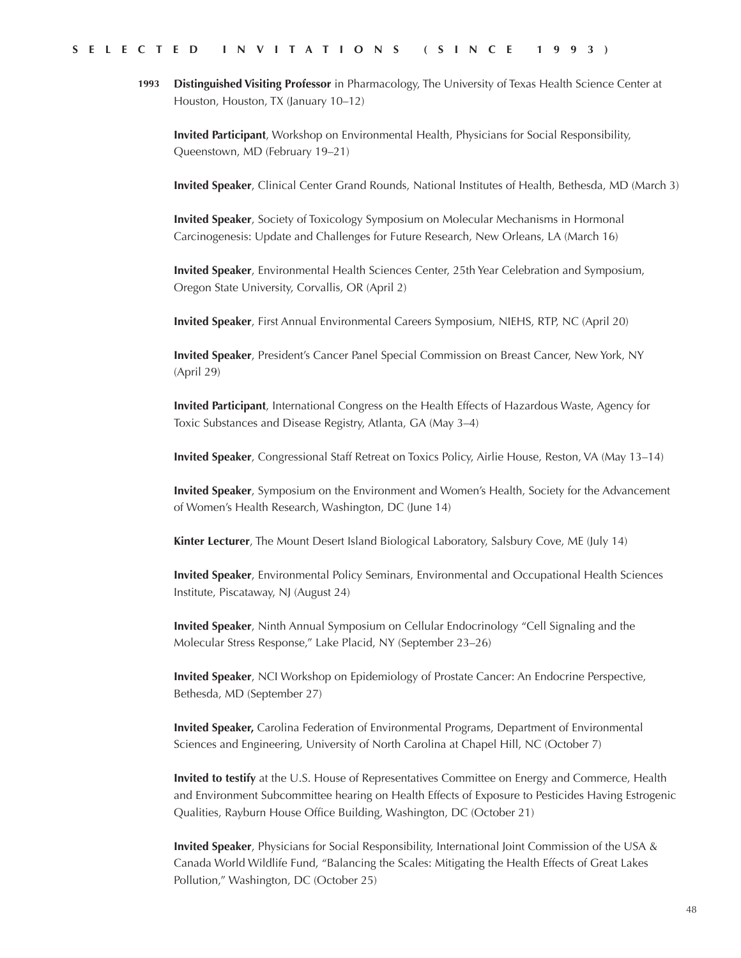**Distinguished Visiting Professor** in Pharmacology, The University of Texas Health Science Center at Houston, Houston, TX (January 10–12) **1993**

**Invited Participant**, Workshop on Environmental Health, Physicians for Social Responsibility, Queenstown, MD (February 19–21)

**Invited Speaker**, Clinical Center Grand Rounds, National Institutes of Health, Bethesda, MD (March 3)

**Invited Speaker**, Society of Toxicology Symposium on Molecular Mechanisms in Hormonal Carcinogenesis: Update and Challenges for Future Research, New Orleans, LA (March 16)

**Invited Speaker**, Environmental Health Sciences Center, 25th Year Celebration and Symposium, Oregon State University, Corvallis, OR (April 2)

**Invited Speaker**, First Annual Environmental Careers Symposium, NIEHS, RTP, NC (April 20)

**Invited Speaker**, President's Cancer Panel Special Commission on Breast Cancer, New York, NY (April 29)

**Invited Participant**, International Congress on the Health Effects of Hazardous Waste, Agency for Toxic Substances and Disease Registry, Atlanta, GA (May 3–4)

**Invited Speaker**, Congressional Staff Retreat on Toxics Policy, Airlie House, Reston, VA (May 13–14)

**Invited Speaker**, Symposium on the Environment and Women's Health, Society for the Advancement of Women's Health Research, Washington, DC (June 14)

**Kinter Lecturer**, The Mount Desert Island Biological Laboratory, Salsbury Cove, ME (July 14)

**Invited Speaker**, Environmental Policy Seminars, Environmental and Occupational Health Sciences Institute, Piscataway, NJ (August 24)

**Invited Speaker**, Ninth Annual Symposium on Cellular Endocrinology "Cell Signaling and the Molecular Stress Response," Lake Placid, NY (September 23–26)

**Invited Speaker**, NCI Workshop on Epidemiology of Prostate Cancer: An Endocrine Perspective, Bethesda, MD (September 27)

**Invited Speaker,** Carolina Federation of Environmental Programs, Department of Environmental Sciences and Engineering, University of North Carolina at Chapel Hill, NC (October 7)

**Invited to testify** at the U.S. House of Representatives Committee on Energy and Commerce, Health and Environment Subcommittee hearing on Health Effects of Exposure to Pesticides Having Estrogenic Qualities, Rayburn House Office Building, Washington, DC (October 21)

**Invited Speaker**, Physicians for Social Responsibility, International Joint Commission of the USA & Canada World Wildlife Fund, "Balancing the Scales: Mitigating the Health Effects of Great Lakes Pollution," Washington, DC (October 25)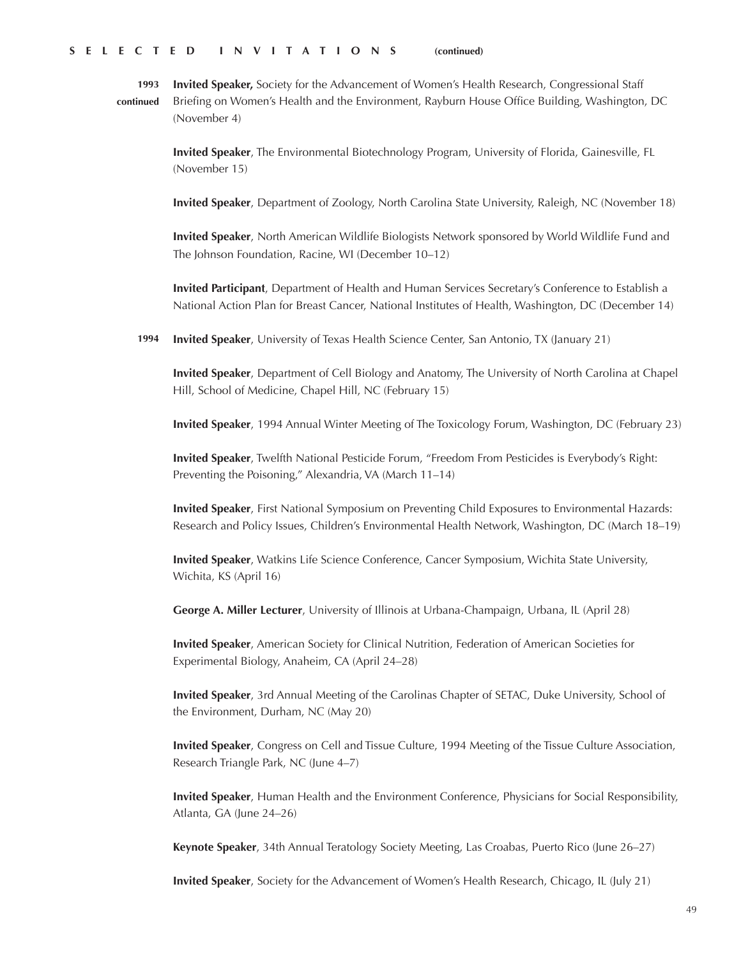**Invited Speaker,** Society for the Advancement of Women's Health Research, Congressional Staff Briefing on Women's Health and the Environment, Rayburn House Office Building, Washington, DC (November 4) **1993 continued**

> **Invited Speaker**, The Environmental Biotechnology Program, University of Florida, Gainesville, FL (November 15)

**Invited Speaker**, Department of Zoology, North Carolina State University, Raleigh, NC (November 18)

**Invited Speaker**, North American Wildlife Biologists Network sponsored by World Wildlife Fund and The Johnson Foundation, Racine, WI (December 10–12)

**Invited Participant**, Department of Health and Human Services Secretary's Conference to Establish a National Action Plan for Breast Cancer, National Institutes of Health, Washington, DC (December 14)

**Invited Speaker**, University of Texas Health Science Center, San Antonio, TX (January 21) **1994**

**Invited Speaker**, Department of Cell Biology and Anatomy, The University of North Carolina at Chapel Hill, School of Medicine, Chapel Hill, NC (February 15)

**Invited Speaker**, 1994 Annual Winter Meeting of The Toxicology Forum, Washington, DC (February 23)

**Invited Speaker**, Twelfth National Pesticide Forum, "Freedom From Pesticides is Everybody's Right: Preventing the Poisoning," Alexandria, VA (March 11–14)

**Invited Speaker**, First National Symposium on Preventing Child Exposures to Environmental Hazards: Research and Policy Issues, Children's Environmental Health Network, Washington, DC (March 18–19)

**Invited Speaker**, Watkins Life Science Conference, Cancer Symposium, Wichita State University, Wichita, KS (April 16)

**George A. Miller Lecturer**, University of Illinois at Urbana-Champaign, Urbana, IL (April 28)

**Invited Speaker**, American Society for Clinical Nutrition, Federation of American Societies for Experimental Biology, Anaheim, CA (April 24–28)

**Invited Speaker**, 3rd Annual Meeting of the Carolinas Chapter of SETAC, Duke University, School of the Environment, Durham, NC (May 20)

**Invited Speaker**, Congress on Cell and Tissue Culture, 1994 Meeting of the Tissue Culture Association, Research Triangle Park, NC (June 4–7)

**Invited Speaker**, Human Health and the Environment Conference, Physicians for Social Responsibility, Atlanta, GA (June 24–26)

**Keynote Speaker**, 34th Annual Teratology Society Meeting, Las Croabas, Puerto Rico (June 26–27)

**Invited Speaker**, Society for the Advancement of Women's Health Research, Chicago, IL (July 21)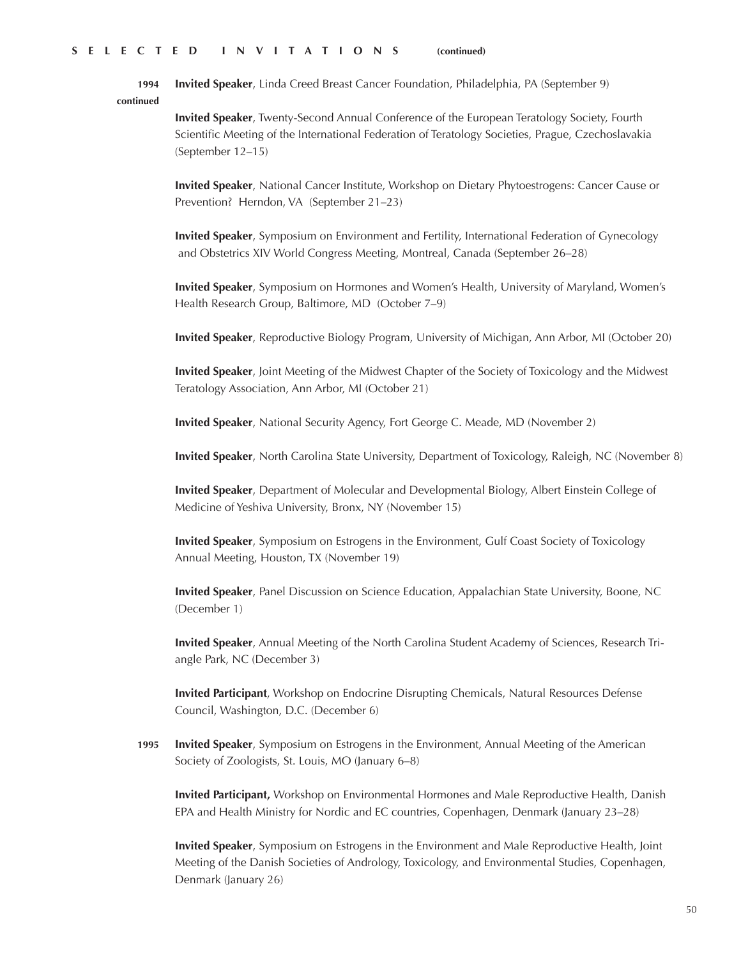**Invited Speaker**, Linda Creed Breast Cancer Foundation, Philadelphia, PA (September 9) **1994** 

**continued**

**Invited Speaker**, Twenty-Second Annual Conference of the European Teratology Society, Fourth Scientific Meeting of the International Federation of Teratology Societies, Prague, Czechoslavakia (September 12–15)

**Invited Speaker**, National Cancer Institute, Workshop on Dietary Phytoestrogens: Cancer Cause or Prevention? Herndon, VA (September 21–23)

**Invited Speaker**, Symposium on Environment and Fertility, International Federation of Gynecology and Obstetrics XIV World Congress Meeting, Montreal, Canada (September 26–28)

**Invited Speaker**, Symposium on Hormones and Women's Health, University of Maryland, Women's Health Research Group, Baltimore, MD (October 7–9)

**Invited Speaker**, Reproductive Biology Program, University of Michigan, Ann Arbor, MI (October 20)

**Invited Speaker**, Joint Meeting of the Midwest Chapter of the Society of Toxicology and the Midwest Teratology Association, Ann Arbor, MI (October 21)

**Invited Speaker**, National Security Agency, Fort George C. Meade, MD (November 2)

**Invited Speaker**, North Carolina State University, Department of Toxicology, Raleigh, NC (November 8)

**Invited Speaker**, Department of Molecular and Developmental Biology, Albert Einstein College of Medicine of Yeshiva University, Bronx, NY (November 15)

**Invited Speaker**, Symposium on Estrogens in the Environment, Gulf Coast Society of Toxicology Annual Meeting, Houston, TX (November 19)

**Invited Speaker**, Panel Discussion on Science Education, Appalachian State University, Boone, NC (December 1)

**Invited Speaker**, Annual Meeting of the North Carolina Student Academy of Sciences, Research Triangle Park, NC (December 3)

**Invited Participant**, Workshop on Endocrine Disrupting Chemicals, Natural Resources Defense Council, Washington, D.C. (December 6)

**Invited Speaker**, Symposium on Estrogens in the Environment, Annual Meeting of the American Society of Zoologists, St. Louis, MO (January 6–8) **1995**

**Invited Participant,** Workshop on Environmental Hormones and Male Reproductive Health, Danish EPA and Health Ministry for Nordic and EC countries, Copenhagen, Denmark (January 23–28)

**Invited Speaker**, Symposium on Estrogens in the Environment and Male Reproductive Health, Joint Meeting of the Danish Societies of Andrology, Toxicology, and Environmental Studies, Copenhagen, Denmark (January 26)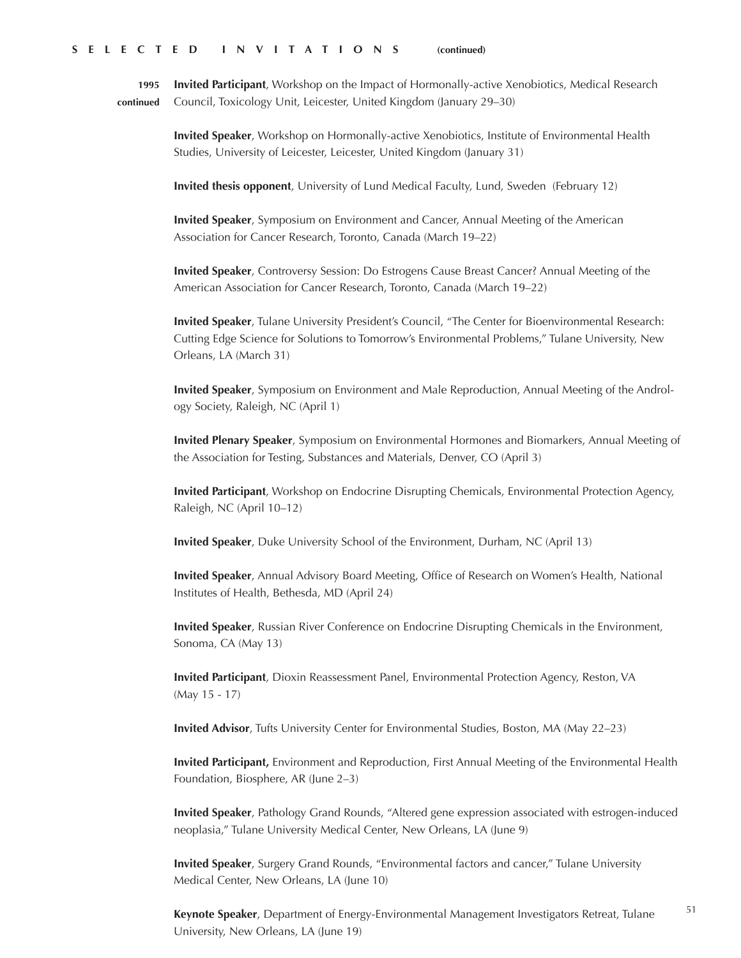**1995 continued Invited Participant**, Workshop on the Impact of Hormonally-active Xenobiotics, Medical Research Council, Toxicology Unit, Leicester, United Kingdom (January 29–30)

> **Invited Speaker**, Workshop on Hormonally-active Xenobiotics, Institute of Environmental Health Studies, University of Leicester, Leicester, United Kingdom (January 31)

**Invited thesis opponent**, University of Lund Medical Faculty, Lund, Sweden (February 12)

**Invited Speaker**, Symposium on Environment and Cancer, Annual Meeting of the American Association for Cancer Research, Toronto, Canada (March 19–22)

**Invited Speaker**, Controversy Session: Do Estrogens Cause Breast Cancer? Annual Meeting of the American Association for Cancer Research, Toronto, Canada (March 19–22)

**Invited Speaker**, Tulane University President's Council, "The Center for Bioenvironmental Research: Cutting Edge Science for Solutions to Tomorrow's Environmental Problems," Tulane University, New Orleans, LA (March 31)

**Invited Speaker**, Symposium on Environment and Male Reproduction, Annual Meeting of the Andrology Society, Raleigh, NC (April 1)

**Invited Plenary Speaker**, Symposium on Environmental Hormones and Biomarkers, Annual Meeting of the Association for Testing, Substances and Materials, Denver, CO (April 3)

**Invited Participant**, Workshop on Endocrine Disrupting Chemicals, Environmental Protection Agency, Raleigh, NC (April 10–12)

**Invited Speaker**, Duke University School of the Environment, Durham, NC (April 13)

**Invited Speaker**, Annual Advisory Board Meeting, Office of Research on Women's Health, National Institutes of Health, Bethesda, MD (April 24)

**Invited Speaker**, Russian River Conference on Endocrine Disrupting Chemicals in the Environment, Sonoma, CA (May 13)

**Invited Participant**, Dioxin Reassessment Panel, Environmental Protection Agency, Reston, VA (May 15 - 17)

**Invited Advisor**, Tufts University Center for Environmental Studies, Boston, MA (May 22–23)

**Invited Participant,** Environment and Reproduction, First Annual Meeting of the Environmental Health Foundation, Biosphere, AR (June 2–3)

**Invited Speaker**, Pathology Grand Rounds, "Altered gene expression associated with estrogen-induced neoplasia," Tulane University Medical Center, New Orleans, LA (June 9)

**Invited Speaker**, Surgery Grand Rounds, "Environmental factors and cancer," Tulane University Medical Center, New Orleans, LA (June 10)

51 **Keynote Speaker**, Department of Energy-Environmental Management Investigators Retreat, Tulane University, New Orleans, LA (June 19)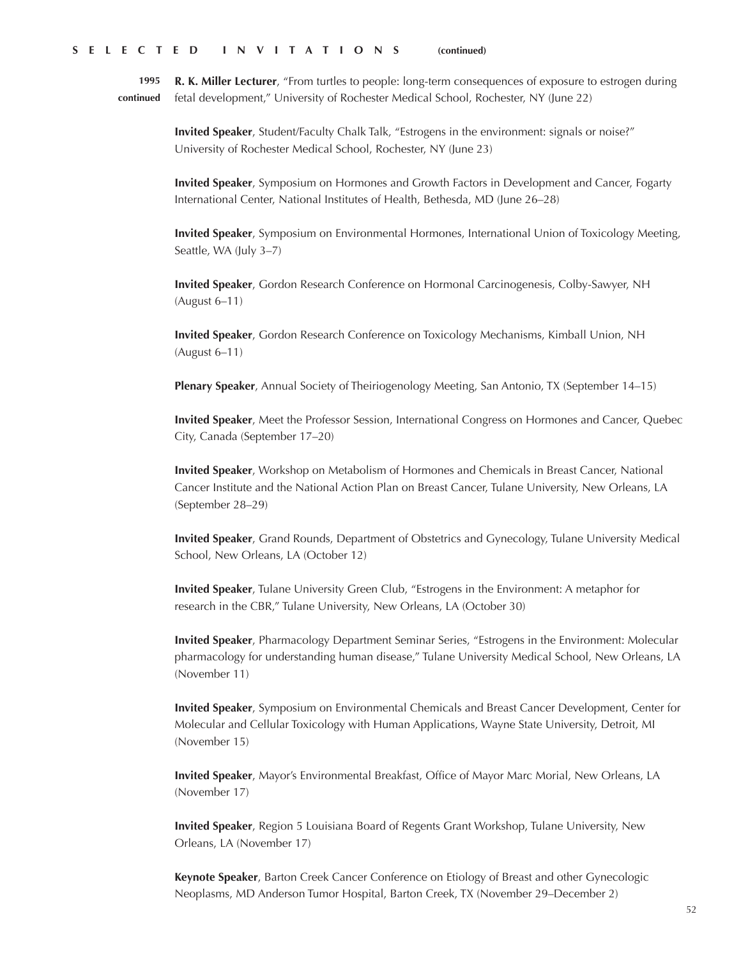**R. K. Miller Lecturer**, "From turtles to people: long-term consequences of exposure to estrogen during fetal development," University of Rochester Medical School, Rochester, NY (June 22) **1995 continued**

**Invited Speaker**, Student/Faculty Chalk Talk, "Estrogens in the environment: signals or noise?" University of Rochester Medical School, Rochester, NY (June 23)

**Invited Speaker**, Symposium on Hormones and Growth Factors in Development and Cancer, Fogarty International Center, National Institutes of Health, Bethesda, MD (June 26–28)

**Invited Speaker**, Symposium on Environmental Hormones, International Union of Toxicology Meeting, Seattle, WA (July 3–7)

**Invited Speaker**, Gordon Research Conference on Hormonal Carcinogenesis, Colby-Sawyer, NH (August 6–11)

**Invited Speaker**, Gordon Research Conference on Toxicology Mechanisms, Kimball Union, NH (August 6–11)

**Plenary Speaker**, Annual Society of Theiriogenology Meeting, San Antonio, TX (September 14–15)

**Invited Speaker**, Meet the Professor Session, International Congress on Hormones and Cancer, Quebec City, Canada (September 17–20)

**Invited Speaker**, Workshop on Metabolism of Hormones and Chemicals in Breast Cancer, National Cancer Institute and the National Action Plan on Breast Cancer, Tulane University, New Orleans, LA (September 28–29)

**Invited Speaker**, Grand Rounds, Department of Obstetrics and Gynecology, Tulane University Medical School, New Orleans, LA (October 12)

**Invited Speaker**, Tulane University Green Club, "Estrogens in the Environment: A metaphor for research in the CBR," Tulane University, New Orleans, LA (October 30)

**Invited Speaker**, Pharmacology Department Seminar Series, "Estrogens in the Environment: Molecular pharmacology for understanding human disease," Tulane University Medical School, New Orleans, LA (November 11)

**Invited Speaker**, Symposium on Environmental Chemicals and Breast Cancer Development, Center for Molecular and Cellular Toxicology with Human Applications, Wayne State University, Detroit, MI (November 15)

**Invited Speaker**, Mayor's Environmental Breakfast, Office of Mayor Marc Morial, New Orleans, LA (November 17)

**Invited Speaker**, Region 5 Louisiana Board of Regents Grant Workshop, Tulane University, New Orleans, LA (November 17)

**Keynote Speaker**, Barton Creek Cancer Conference on Etiology of Breast and other Gynecologic Neoplasms, MD Anderson Tumor Hospital, Barton Creek, TX (November 29–December 2)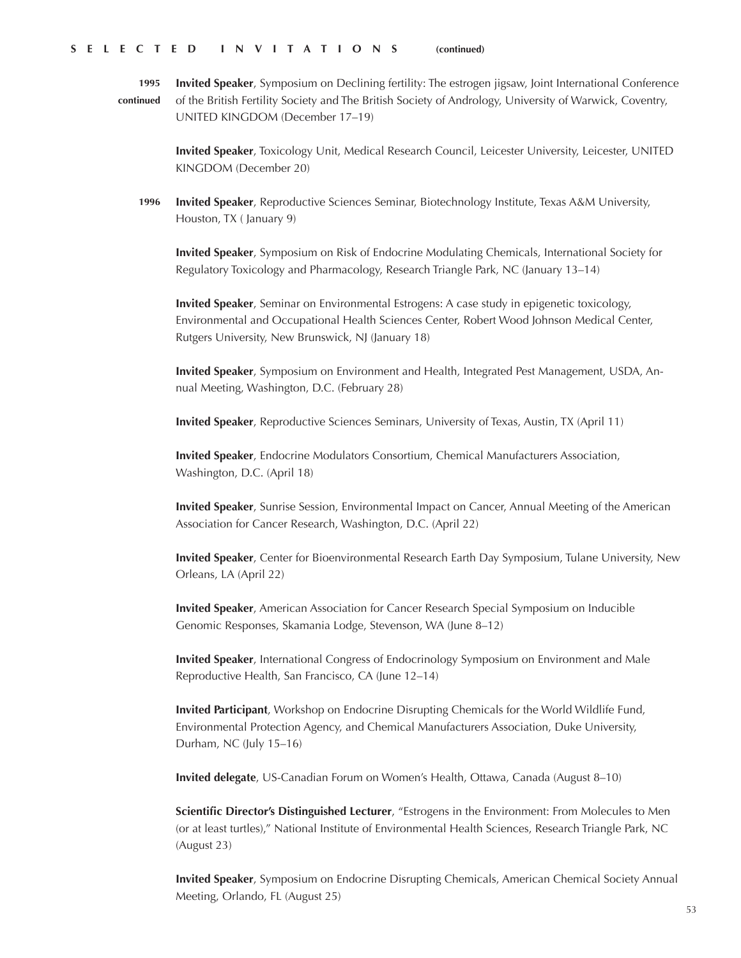**Invited Speaker**, Symposium on Declining fertility: The estrogen jigsaw, Joint International Conference of the British Fertility Society and The British Society of Andrology, University of Warwick, Coventry, UNITED KINGDOM (December 17–19) **1995 continued**

> **Invited Speaker**, Toxicology Unit, Medical Research Council, Leicester University, Leicester, UNITED KINGDOM (December 20)

**Invited Speaker**, Reproductive Sciences Seminar, Biotechnology Institute, Texas A&M University, Houston, TX ( January 9) **1996**

**Invited Speaker**, Symposium on Risk of Endocrine Modulating Chemicals, International Society for Regulatory Toxicology and Pharmacology, Research Triangle Park, NC (January 13–14)

**Invited Speaker**, Seminar on Environmental Estrogens: A case study in epigenetic toxicology, Environmental and Occupational Health Sciences Center, Robert Wood Johnson Medical Center, Rutgers University, New Brunswick, NJ (January 18)

**Invited Speaker**, Symposium on Environment and Health, Integrated Pest Management, USDA, Annual Meeting, Washington, D.C. (February 28)

**Invited Speaker**, Reproductive Sciences Seminars, University of Texas, Austin, TX (April 11)

**Invited Speaker**, Endocrine Modulators Consortium, Chemical Manufacturers Association, Washington, D.C. (April 18)

**Invited Speaker**, Sunrise Session, Environmental Impact on Cancer, Annual Meeting of the American Association for Cancer Research, Washington, D.C. (April 22)

**Invited Speaker**, Center for Bioenvironmental Research Earth Day Symposium, Tulane University, New Orleans, LA (April 22)

**Invited Speaker**, American Association for Cancer Research Special Symposium on Inducible Genomic Responses, Skamania Lodge, Stevenson, WA (June 8–12)

**Invited Speaker**, International Congress of Endocrinology Symposium on Environment and Male Reproductive Health, San Francisco, CA (June 12–14)

**Invited Participant**, Workshop on Endocrine Disrupting Chemicals for the World Wildlife Fund, Environmental Protection Agency, and Chemical Manufacturers Association, Duke University, Durham, NC (July 15–16)

**Invited delegate**, US-Canadian Forum on Women's Health, Ottawa, Canada (August 8–10)

**Scientific Director's Distinguished Lecturer**, "Estrogens in the Environment: From Molecules to Men (or at least turtles)," National Institute of Environmental Health Sciences, Research Triangle Park, NC (August 23)

**Invited Speaker**, Symposium on Endocrine Disrupting Chemicals, American Chemical Society Annual Meeting, Orlando, FL (August 25)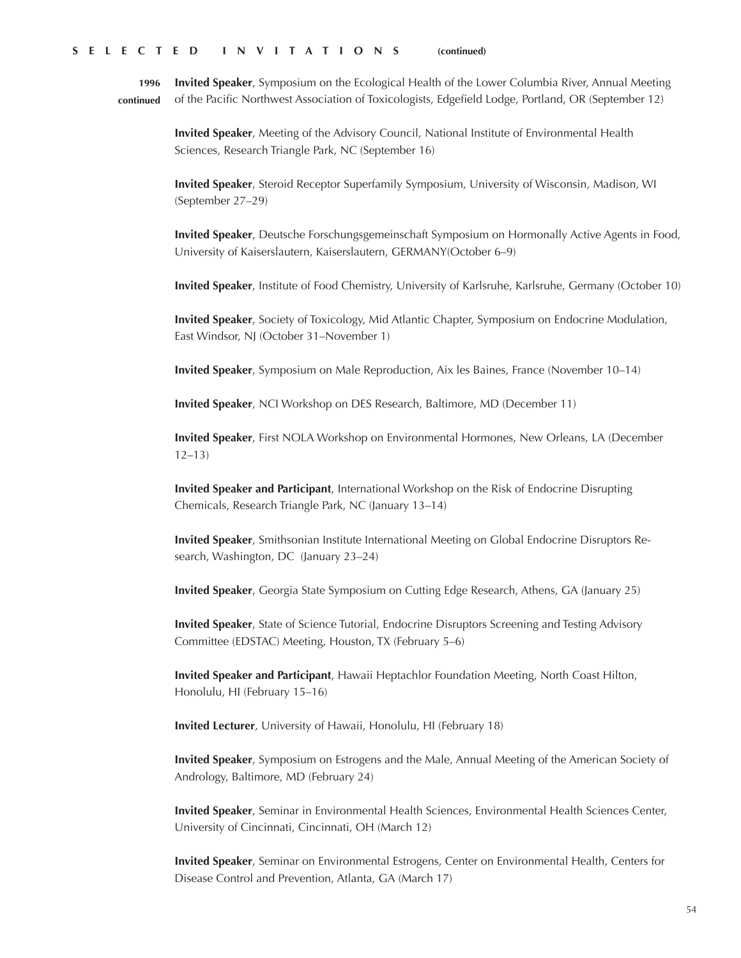**Invited Speaker**, Symposium on the Ecological Health of the Lower Columbia River, Annual Meeting of the Pacific Northwest Association of Toxicologists, Edgefield Lodge, Portland, OR (September 12) **1996 continued**

> **Invited Speaker**, Meeting of the Advisory Council, National Institute of Environmental Health Sciences, Research Triangle Park, NC (September 16)

**Invited Speaker**, Steroid Receptor Superfamily Symposium, University of Wisconsin, Madison, WI (September 27–29)

**Invited Speaker**, Deutsche Forschungsgemeinschaft Symposium on Hormonally Active Agents in Food, University of Kaiserslautern, Kaiserslautern, GERMANY(October 6–9)

**Invited Speaker**, Institute of Food Chemistry, University of Karlsruhe, Karlsruhe, Germany (October 10)

**Invited Speaker**, Society of Toxicology, Mid Atlantic Chapter, Symposium on Endocrine Modulation, East Windsor, NJ (October 31–November 1)

**Invited Speaker**, Symposium on Male Reproduction, Aix les Baines, France (November 10–14)

**Invited Speaker**, NCI Workshop on DES Research, Baltimore, MD (December 11)

**Invited Speaker**, First NOLA Workshop on Environmental Hormones, New Orleans, LA (December 12–13)

**Invited Speaker and Participant**, International Workshop on the Risk of Endocrine Disrupting Chemicals, Research Triangle Park, NC (January 13–14)

**Invited Speaker**, Smithsonian Institute International Meeting on Global Endocrine Disruptors Research, Washington, DC (January 23–24)

**Invited Speaker**, Georgia State Symposium on Cutting Edge Research, Athens, GA (January 25)

**Invited Speaker**, State of Science Tutorial, Endocrine Disruptors Screening and Testing Advisory Committee (EDSTAC) Meeting, Houston, TX (February 5–6)

**Invited Speaker and Participant**, Hawaii Heptachlor Foundation Meeting, North Coast Hilton, Honolulu, HI (February 15–16)

**Invited Lecturer**, University of Hawaii, Honolulu, HI (February 18)

**Invited Speaker**, Symposium on Estrogens and the Male, Annual Meeting of the American Society of Andrology, Baltimore, MD (February 24)

**Invited Speaker**, Seminar in Environmental Health Sciences, Environmental Health Sciences Center, University of Cincinnati, Cincinnati, OH (March 12)

**Invited Speaker**, Seminar on Environmental Estrogens, Center on Environmental Health, Centers for Disease Control and Prevention, Atlanta, GA (March 17)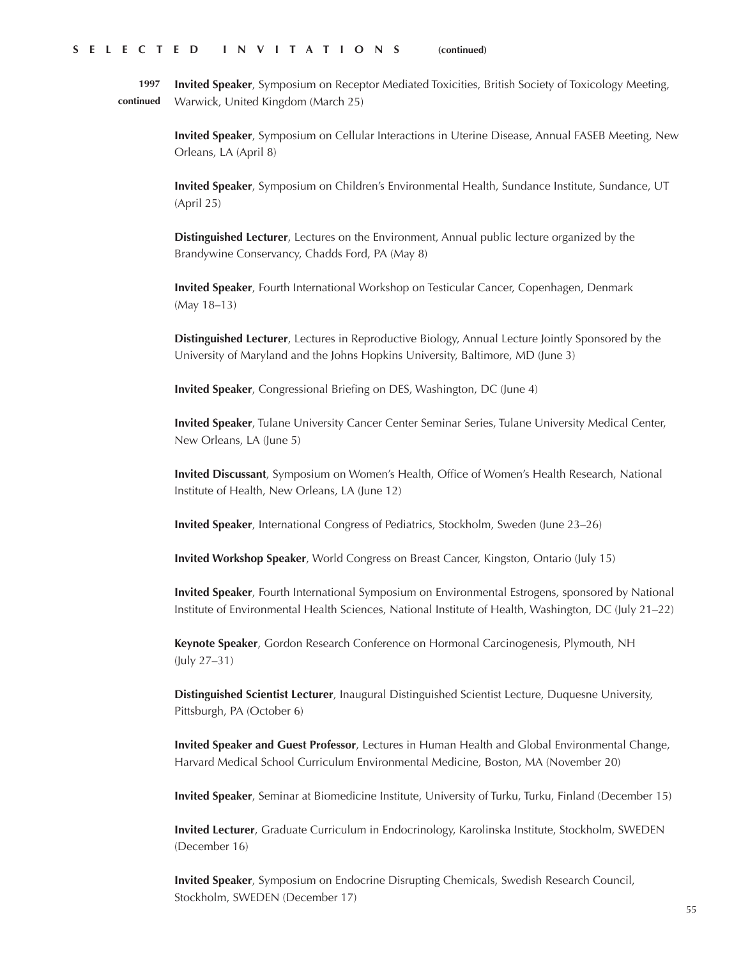**Invited Speaker**, Symposium on Receptor Mediated Toxicities, British Society of Toxicology Meeting, Warwick, United Kingdom (March 25) **1997 continued**

> **Invited Speaker**, Symposium on Cellular Interactions in Uterine Disease, Annual FASEB Meeting, New Orleans, LA (April 8)

**Invited Speaker**, Symposium on Children's Environmental Health, Sundance Institute, Sundance, UT (April 25)

**Distinguished Lecturer**, Lectures on the Environment, Annual public lecture organized by the Brandywine Conservancy, Chadds Ford, PA (May 8)

**Invited Speaker**, Fourth International Workshop on Testicular Cancer, Copenhagen, Denmark (May 18–13)

**Distinguished Lecturer**, Lectures in Reproductive Biology, Annual Lecture Jointly Sponsored by the University of Maryland and the Johns Hopkins University, Baltimore, MD (June 3)

**Invited Speaker**, Congressional Briefing on DES, Washington, DC (June 4)

**Invited Speaker**, Tulane University Cancer Center Seminar Series, Tulane University Medical Center, New Orleans, LA (June 5)

**Invited Discussant**, Symposium on Women's Health, Office of Women's Health Research, National Institute of Health, New Orleans, LA (June 12)

**Invited Speaker**, International Congress of Pediatrics, Stockholm, Sweden (June 23–26)

**Invited Workshop Speaker**, World Congress on Breast Cancer, Kingston, Ontario (July 15)

**Invited Speaker**, Fourth International Symposium on Environmental Estrogens, sponsored by National Institute of Environmental Health Sciences, National Institute of Health, Washington, DC (July 21–22)

**Keynote Speaker**, Gordon Research Conference on Hormonal Carcinogenesis, Plymouth, NH (July 27–31)

**Distinguished Scientist Lecturer**, Inaugural Distinguished Scientist Lecture, Duquesne University, Pittsburgh, PA (October 6)

**Invited Speaker and Guest Professor**, Lectures in Human Health and Global Environmental Change, Harvard Medical School Curriculum Environmental Medicine, Boston, MA (November 20)

**Invited Speaker**, Seminar at Biomedicine Institute, University of Turku, Turku, Finland (December 15)

**Invited Lecturer**, Graduate Curriculum in Endocrinology, Karolinska Institute, Stockholm, SWEDEN (December 16)

**Invited Speaker**, Symposium on Endocrine Disrupting Chemicals, Swedish Research Council, Stockholm, SWEDEN (December 17)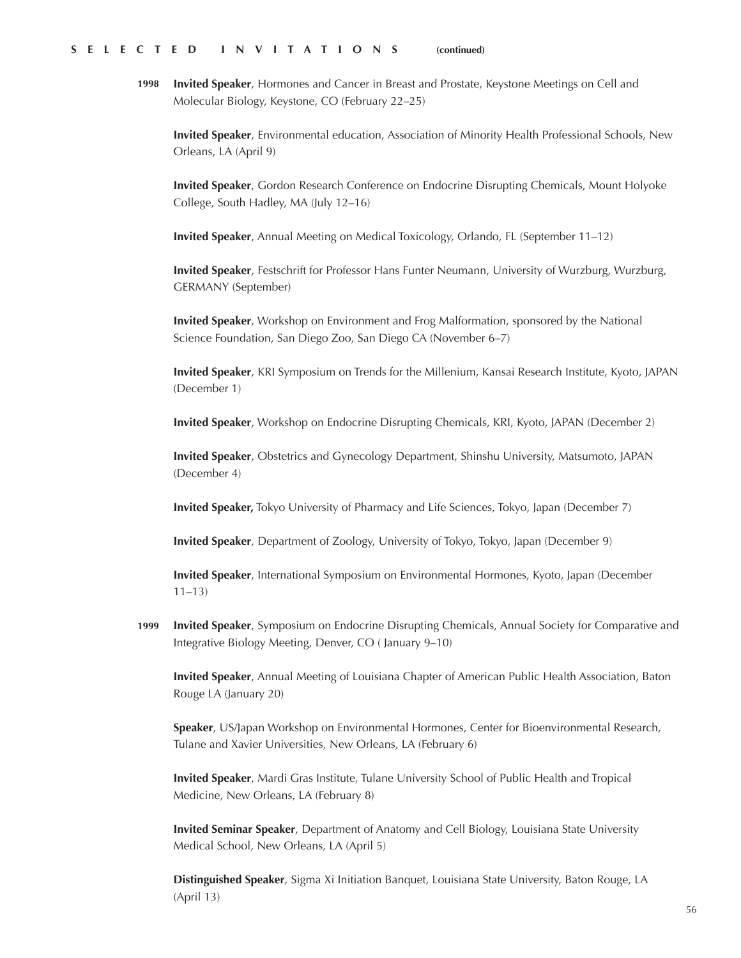**Invited Speaker**, Hormones and Cancer in Breast and Prostate, Keystone Meetings on Cell and Molecular Biology, Keystone, CO (February 22–25) **1998**

**Invited Speaker**, Environmental education, Association of Minority Health Professional Schools, New Orleans, LA (April 9)

**Invited Speaker**, Gordon Research Conference on Endocrine Disrupting Chemicals, Mount Holyoke College, South Hadley, MA (July 12–16)

**Invited Speaker**, Annual Meeting on Medical Toxicology, Orlando, FL (September 11–12)

**Invited Speaker**, Festschrift for Professor Hans Funter Neumann, University of Wurzburg, Wurzburg, GERMANY (September)

**Invited Speaker**, Workshop on Environment and Frog Malformation, sponsored by the National Science Foundation, San Diego Zoo, San Diego CA (November 6–7)

**Invited Speaker**, KRI Symposium on Trends for the Millenium, Kansai Research Institute, Kyoto, JAPAN (December 1)

**Invited Speaker**, Workshop on Endocrine Disrupting Chemicals, KRI, Kyoto, JAPAN (December 2)

**Invited Speaker**, Obstetrics and Gynecology Department, Shinshu University, Matsumoto, JAPAN (December 4)

**Invited Speaker,** Tokyo University of Pharmacy and Life Sciences, Tokyo, Japan (December 7)

**Invited Speaker**, Department of Zoology, University of Tokyo, Tokyo, Japan (December 9)

**Invited Speaker**, International Symposium on Environmental Hormones, Kyoto, Japan (December 11–13)

**Invited Speaker**, Symposium on Endocrine Disrupting Chemicals, Annual Society for Comparative and Integrative Biology Meeting, Denver, CO ( January 9–10) **1999**

**Invited Speaker**, Annual Meeting of Louisiana Chapter of American Public Health Association, Baton Rouge LA (January 20)

**Speaker**, US/Japan Workshop on Environmental Hormones, Center for Bioenvironmental Research, Tulane and Xavier Universities, New Orleans, LA (February 6)

**Invited Speaker**, Mardi Gras Institute, Tulane University School of Public Health and Tropical Medicine, New Orleans, LA (February 8)

**Invited Seminar Speaker**, Department of Anatomy and Cell Biology, Louisiana State University Medical School, New Orleans, LA (April 5)

**Distinguished Speaker**, Sigma Xi Initiation Banquet, Louisiana State University, Baton Rouge, LA (April 13)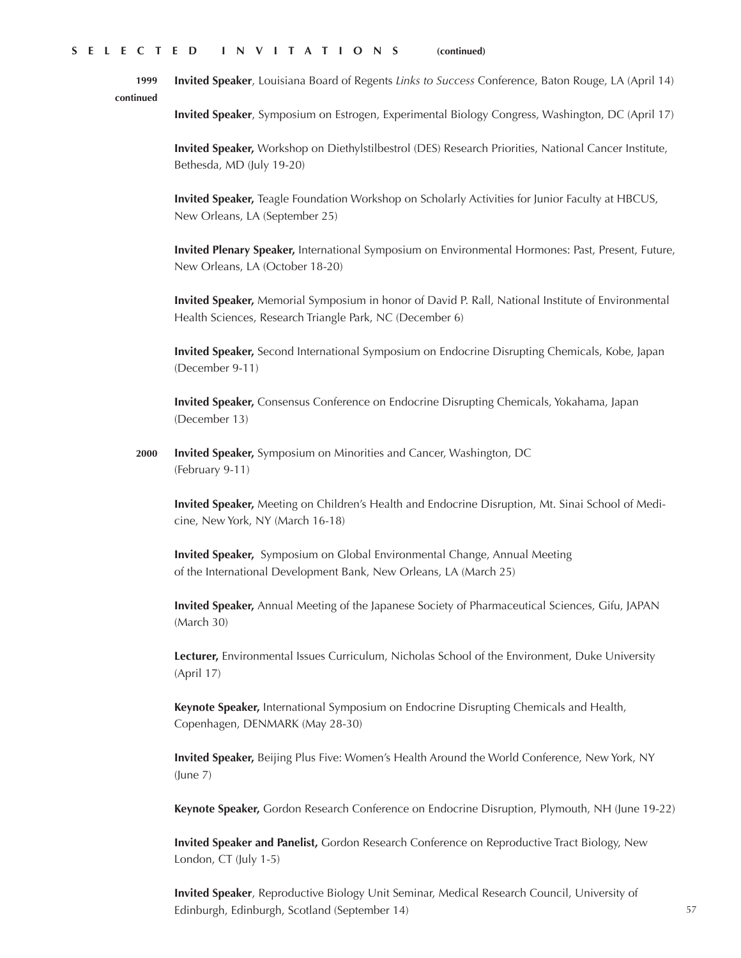**Invited Speaker**, Louisiana Board of Regents *Links to Success* Conference, Baton Rouge, LA (April 14) **1999 continued**

**Invited Speaker**, Symposium on Estrogen, Experimental Biology Congress, Washington, DC (April 17)

**Invited Speaker,** Workshop on Diethylstilbestrol (DES) Research Priorities, National Cancer Institute, Bethesda, MD (July 19-20)

**Invited Speaker,** Teagle Foundation Workshop on Scholarly Activities for Junior Faculty at HBCUS, New Orleans, LA (September 25)

**Invited Plenary Speaker,** International Symposium on Environmental Hormones: Past, Present, Future, New Orleans, LA (October 18-20)

**Invited Speaker,** Memorial Symposium in honor of David P. Rall, National Institute of Environmental Health Sciences, Research Triangle Park, NC (December 6)

**Invited Speaker,** Second International Symposium on Endocrine Disrupting Chemicals, Kobe, Japan (December 9-11)

**Invited Speaker,** Consensus Conference on Endocrine Disrupting Chemicals, Yokahama, Japan (December 13)

**Invited Speaker,** Symposium on Minorities and Cancer, Washington, DC (February 9-11) **2000**

**Invited Speaker,** Meeting on Children's Health and Endocrine Disruption, Mt. Sinai School of Medicine, New York, NY (March 16-18)

**Invited Speaker,** Symposium on Global Environmental Change, Annual Meeting of the International Development Bank, New Orleans, LA (March 25)

**Invited Speaker,** Annual Meeting of the Japanese Society of Pharmaceutical Sciences, Gifu, JAPAN (March 30)

**Lecturer,** Environmental Issues Curriculum, Nicholas School of the Environment, Duke University (April 17)

**Keynote Speaker,** International Symposium on Endocrine Disrupting Chemicals and Health, Copenhagen, DENMARK (May 28-30)

**Invited Speaker,** Beijing Plus Five: Women's Health Around the World Conference, New York, NY (June 7)

**Keynote Speaker,** Gordon Research Conference on Endocrine Disruption, Plymouth, NH (June 19-22)

**Invited Speaker and Panelist,** Gordon Research Conference on Reproductive Tract Biology, New London, CT (July 1-5)

**Invited Speaker**, Reproductive Biology Unit Seminar, Medical Research Council, University of Edinburgh, Edinburgh, Scotland (September 14)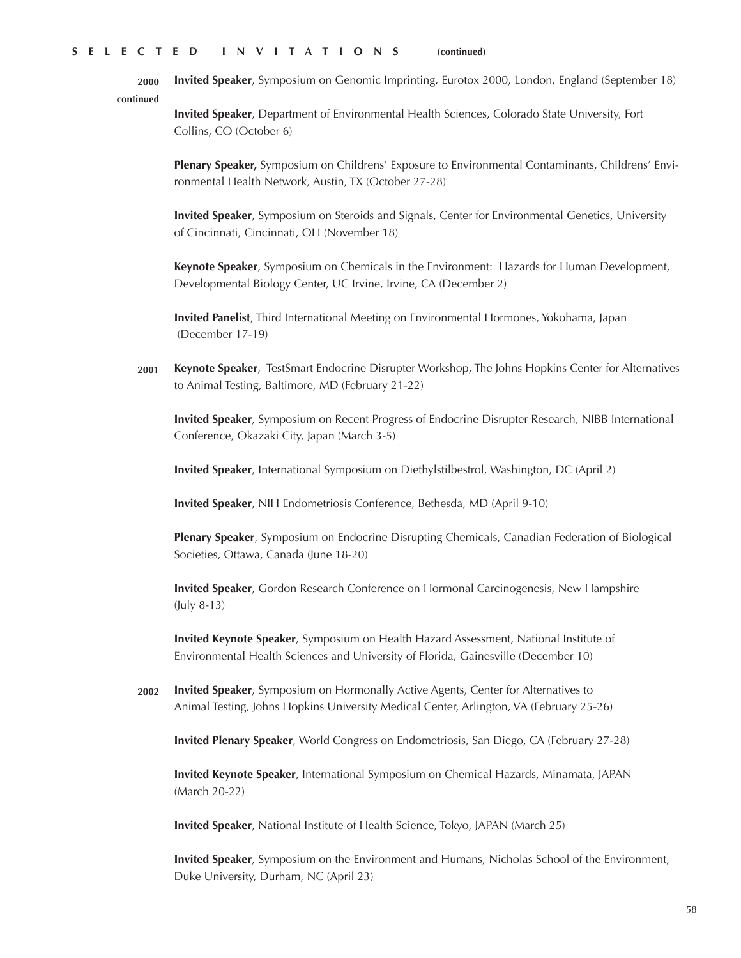**2000 continued Invited Speaker**, Symposium on Genomic Imprinting, Eurotox 2000, London, England (September 18)

> **Invited Speaker**, Department of Environmental Health Sciences, Colorado State University, Fort Collins, CO (October 6)

**Plenary Speaker,** Symposium on Childrens' Exposure to Environmental Contaminants, Childrens' Environmental Health Network, Austin, TX (October 27-28)

**Invited Speaker**, Symposium on Steroids and Signals, Center for Environmental Genetics, University of Cincinnati, Cincinnati, OH (November 18)

**Keynote Speaker**, Symposium on Chemicals in the Environment: Hazards for Human Development, Developmental Biology Center, UC Irvine, Irvine, CA (December 2)

**Invited Panelist**, Third International Meeting on Environmental Hormones, Yokohama, Japan (December 17-19)

**2001 Keynote Speaker**, TestSmart Endocrine Disrupter Workshop, The Johns Hopkins Center for Alternatives to Animal Testing, Baltimore, MD (February 21-22)

**Invited Speaker**, Symposium on Recent Progress of Endocrine Disrupter Research, NIBB International Conference, Okazaki City, Japan (March 3-5)

**Invited Speaker**, International Symposium on Diethylstilbestrol, Washington, DC (April 2)

**Invited Speaker**, NIH Endometriosis Conference, Bethesda, MD (April 9-10)

**Plenary Speaker**, Symposium on Endocrine Disrupting Chemicals, Canadian Federation of Biological Societies, Ottawa, Canada (June 18-20)

**Invited Speaker**, Gordon Research Conference on Hormonal Carcinogenesis, New Hampshire (July 8-13)

**Invited Keynote Speaker**, Symposium on Health Hazard Assessment, National Institute of Environmental Health Sciences and University of Florida, Gainesville (December 10)

**2002 Invited Speaker**, Symposium on Hormonally Active Agents, Center for Alternatives to Animal Testing, Johns Hopkins University Medical Center, Arlington, VA (February 25-26)

**Invited Plenary Speaker**, World Congress on Endometriosis, San Diego, CA (February 27-28)

**Invited Keynote Speaker**, International Symposium on Chemical Hazards, Minamata, JAPAN (March 20-22)

**Invited Speaker**, National Institute of Health Science, Tokyo, JAPAN (March 25)

**Invited Speaker**, Symposium on the Environment and Humans, Nicholas School of the Environment, Duke University, Durham, NC (April 23)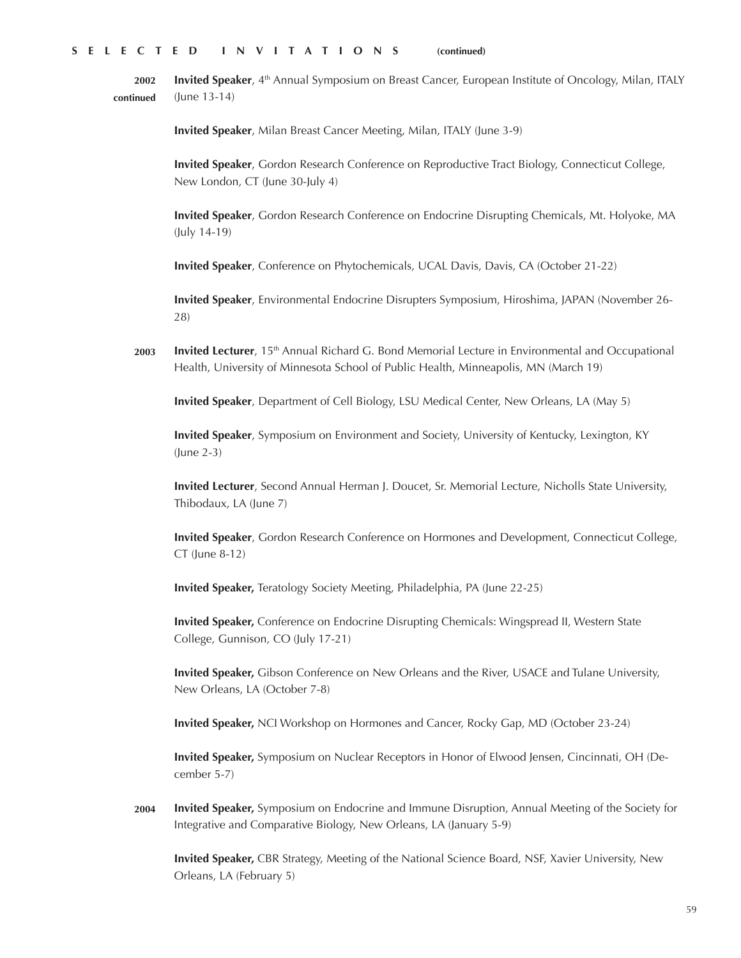**Invited Speaker**, 4<sup>th</sup> Annual Symposium on Breast Cancer, European Institute of Oncology, Milan, ITALY (June 13-14) **2002 continued**

**Invited Speaker**, Milan Breast Cancer Meeting, Milan, ITALY (June 3-9)

**Invited Speaker**, Gordon Research Conference on Reproductive Tract Biology, Connecticut College, New London, CT (June 30-July 4)

**Invited Speaker**, Gordon Research Conference on Endocrine Disrupting Chemicals, Mt. Holyoke, MA (July 14-19)

**Invited Speaker**, Conference on Phytochemicals, UCAL Davis, Davis, CA (October 21-22)

**Invited Speaker**, Environmental Endocrine Disrupters Symposium, Hiroshima, JAPAN (November 26- 28)

**Invited Lecturer**, 15<sup>th</sup> Annual Richard G. Bond Memorial Lecture in Environmental and Occupational Health, University of Minnesota School of Public Health, Minneapolis, MN (March 19) **2003**

**Invited Speaker**, Department of Cell Biology, LSU Medical Center, New Orleans, LA (May 5)

**Invited Speaker**, Symposium on Environment and Society, University of Kentucky, Lexington, KY (June 2-3)

**Invited Lecturer**, Second Annual Herman J. Doucet, Sr. Memorial Lecture, Nicholls State University, Thibodaux, LA (June 7)

**Invited Speaker**, Gordon Research Conference on Hormones and Development, Connecticut College, CT (June 8-12)

**Invited Speaker,** Teratology Society Meeting, Philadelphia, PA (June 22-25)

**Invited Speaker,** Conference on Endocrine Disrupting Chemicals: Wingspread II, Western State College, Gunnison, CO (July 17-21)

**Invited Speaker,** Gibson Conference on New Orleans and the River, USACE and Tulane University, New Orleans, LA (October 7-8)

**Invited Speaker,** NCI Workshop on Hormones and Cancer, Rocky Gap, MD (October 23-24)

**Invited Speaker,** Symposium on Nuclear Receptors in Honor of Elwood Jensen, Cincinnati, OH (December 5-7)

**Invited Speaker,** Symposium on Endocrine and Immune Disruption, Annual Meeting of the Society for Integrative and Comparative Biology, New Orleans, LA (January 5-9) **2004**

**Invited Speaker,** CBR Strategy, Meeting of the National Science Board, NSF, Xavier University, New Orleans, LA (February 5)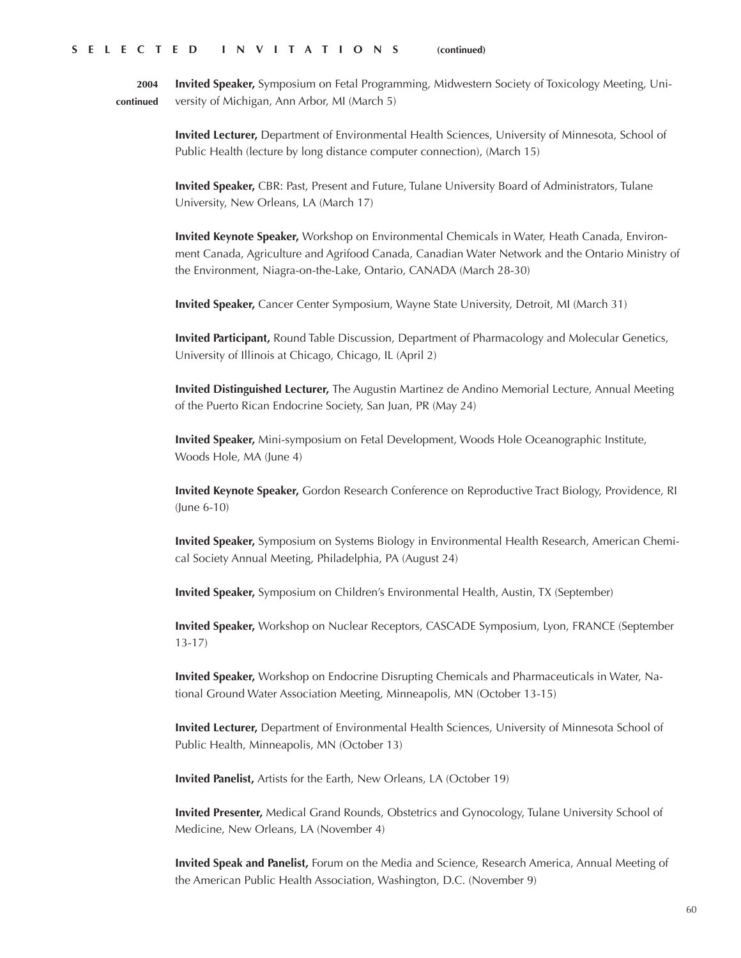**2004 continued**

**Invited Speaker,** Symposium on Fetal Programming, Midwestern Society of Toxicology Meeting, University of Michigan, Ann Arbor, MI (March 5)

**Invited Lecturer,** Department of Environmental Health Sciences, University of Minnesota, School of Public Health (lecture by long distance computer connection), (March 15)

**Invited Speaker,** CBR: Past, Present and Future, Tulane University Board of Administrators, Tulane University, New Orleans, LA (March 17)

**Invited Keynote Speaker,** Workshop on Environmental Chemicals in Water, Heath Canada, Environment Canada, Agriculture and Agrifood Canada, Canadian Water Network and the Ontario Ministry of the Environment, Niagra-on-the-Lake, Ontario, CANADA (March 28-30)

**Invited Speaker,** Cancer Center Symposium, Wayne State University, Detroit, MI (March 31)

**Invited Participant,** Round Table Discussion, Department of Pharmacology and Molecular Genetics, University of Illinois at Chicago, Chicago, IL (April 2)

**Invited Distinguished Lecturer,** The Augustin Martinez de Andino Memorial Lecture, Annual Meeting of the Puerto Rican Endocrine Society, San Juan, PR (May 24)

**Invited Speaker,** Mini-symposium on Fetal Development, Woods Hole Oceanographic Institute, Woods Hole, MA (June 4)

**Invited Keynote Speaker,** Gordon Research Conference on Reproductive Tract Biology, Providence, RI (June 6-10)

**Invited Speaker,** Symposium on Systems Biology in Environmental Health Research, American Chemical Society Annual Meeting, Philadelphia, PA (August 24)

**Invited Speaker,** Symposium on Children's Environmental Health, Austin, TX (September)

**Invited Speaker,** Workshop on Nuclear Receptors, CASCADE Symposium, Lyon, FRANCE (September 13-17)

**Invited Speaker,** Workshop on Endocrine Disrupting Chemicals and Pharmaceuticals in Water, National Ground Water Association Meeting, Minneapolis, MN (October 13-15)

**Invited Lecturer,** Department of Environmental Health Sciences, University of Minnesota School of Public Health, Minneapolis, MN (October 13)

**Invited Panelist,** Artists for the Earth, New Orleans, LA (October 19)

**Invited Presenter,** Medical Grand Rounds, Obstetrics and Gynocology, Tulane University School of Medicine, New Orleans, LA (November 4)

**Invited Speak and Panelist,** Forum on the Media and Science, Research America, Annual Meeting of the American Public Health Association, Washington, D.C. (November 9)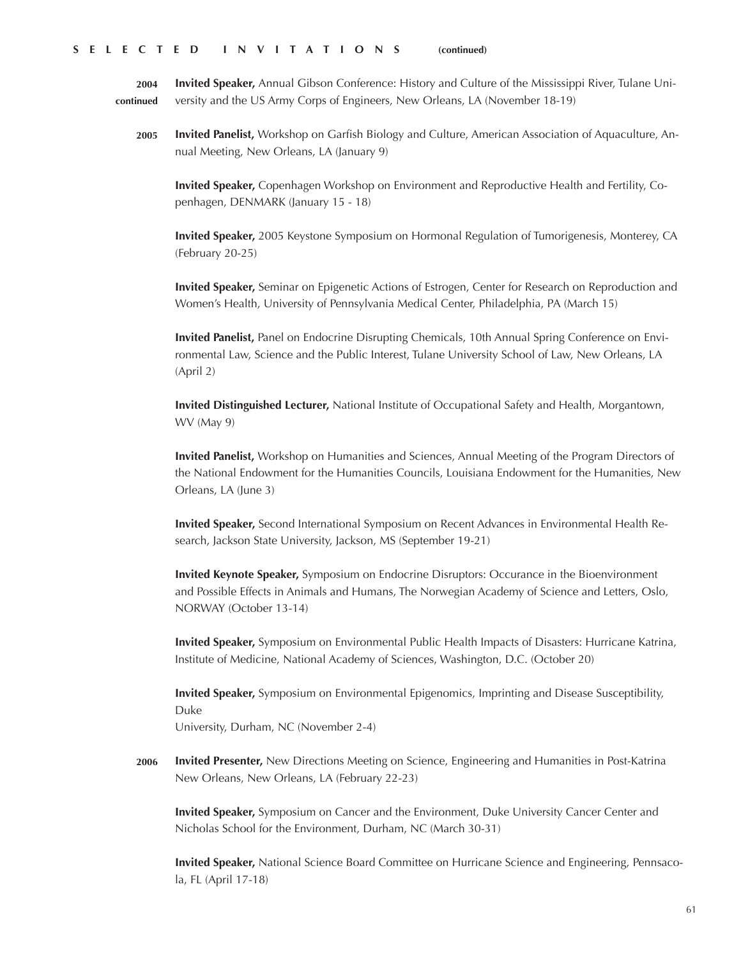**2004 continued Invited Speaker,** Annual Gibson Conference: History and Culture of the Mississippi River, Tulane University and the US Army Corps of Engineers, New Orleans, LA (November 18-19)

**2005 Invited Panelist,** Workshop on Garfish Biology and Culture, American Association of Aquaculture, Annual Meeting, New Orleans, LA (January 9)

**Invited Speaker,** Copenhagen Workshop on Environment and Reproductive Health and Fertility, Copenhagen, DENMARK (January 15 - 18)

**Invited Speaker,** 2005 Keystone Symposium on Hormonal Regulation of Tumorigenesis, Monterey, CA (February 20-25)

**Invited Speaker,** Seminar on Epigenetic Actions of Estrogen, Center for Research on Reproduction and Women's Health, University of Pennsylvania Medical Center, Philadelphia, PA (March 15)

**Invited Panelist,** Panel on Endocrine Disrupting Chemicals, 10th Annual Spring Conference on Environmental Law, Science and the Public Interest, Tulane University School of Law, New Orleans, LA (April 2)

**Invited Distinguished Lecturer,** National Institute of Occupational Safety and Health, Morgantown, WV (May 9)

**Invited Panelist,** Workshop on Humanities and Sciences, Annual Meeting of the Program Directors of the National Endowment for the Humanities Councils, Louisiana Endowment for the Humanities, New Orleans, LA (June 3)

**Invited Speaker,** Second International Symposium on Recent Advances in Environmental Health Research, Jackson State University, Jackson, MS (September 19-21)

**Invited Keynote Speaker,** Symposium on Endocrine Disruptors: Occurance in the Bioenvironment and Possible Effects in Animals and Humans, The Norwegian Academy of Science and Letters, Oslo, NORWAY (October 13-14)

**Invited Speaker,** Symposium on Environmental Public Health Impacts of Disasters: Hurricane Katrina, Institute of Medicine, National Academy of Sciences, Washington, D.C. (October 20)

**Invited Speaker,** Symposium on Environmental Epigenomics, Imprinting and Disease Susceptibility, Duke

University, Durham, NC (November 2-4)

**2006 Invited Presenter,** New Directions Meeting on Science, Engineering and Humanities in Post-Katrina New Orleans, New Orleans, LA (February 22-23)

**Invited Speaker,** Symposium on Cancer and the Environment, Duke University Cancer Center and Nicholas School for the Environment, Durham, NC (March 30-31)

**Invited Speaker,** National Science Board Committee on Hurricane Science and Engineering, Pennsacola, FL (April 17-18)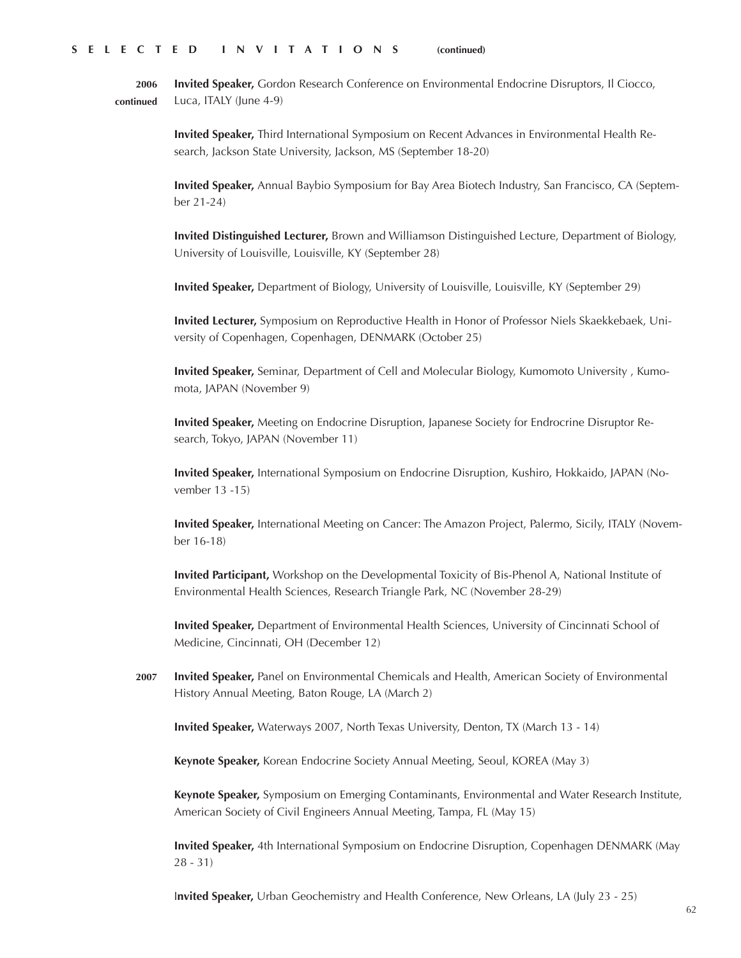**2006 continued Invited Speaker,** Gordon Research Conference on Environmental Endocrine Disruptors, Il Ciocco, Luca, ITALY (June 4-9)

> **Invited Speaker,** Third International Symposium on Recent Advances in Environmental Health Research, Jackson State University, Jackson, MS (September 18-20)

**Invited Speaker,** Annual Baybio Symposium for Bay Area Biotech Industry, San Francisco, CA (September 21-24)

**Invited Distinguished Lecturer,** Brown and Williamson Distinguished Lecture, Department of Biology, University of Louisville, Louisville, KY (September 28)

**Invited Speaker,** Department of Biology, University of Louisville, Louisville, KY (September 29)

**Invited Lecturer,** Symposium on Reproductive Health in Honor of Professor Niels Skaekkebaek, University of Copenhagen, Copenhagen, DENMARK (October 25)

**Invited Speaker,** Seminar, Department of Cell and Molecular Biology, Kumomoto University , Kumomota, JAPAN (November 9)

**Invited Speaker,** Meeting on Endocrine Disruption, Japanese Society for Endrocrine Disruptor Research, Tokyo, JAPAN (November 11)

**Invited Speaker,** International Symposium on Endocrine Disruption, Kushiro, Hokkaido, JAPAN (November 13 -15)

**Invited Speaker,** International Meeting on Cancer: The Amazon Project, Palermo, Sicily, ITALY (November 16-18)

**Invited Participant,** Workshop on the Developmental Toxicity of Bis-Phenol A, National Institute of Environmental Health Sciences, Research Triangle Park, NC (November 28-29)

**Invited Speaker,** Department of Environmental Health Sciences, University of Cincinnati School of Medicine, Cincinnati, OH (December 12)

**2007 Invited Speaker,** Panel on Environmental Chemicals and Health, American Society of Environmental History Annual Meeting, Baton Rouge, LA (March 2)

**Invited Speaker,** Waterways 2007, North Texas University, Denton, TX (March 13 - 14)

**Keynote Speaker,** Korean Endocrine Society Annual Meeting, Seoul, KOREA (May 3)

**Keynote Speaker,** Symposium on Emerging Contaminants, Environmental and Water Research Institute, American Society of Civil Engineers Annual Meeting, Tampa, FL (May 15)

**Invited Speaker,** 4th International Symposium on Endocrine Disruption, Copenhagen DENMARK (May 28 - 31)

I**nvited Speaker,** Urban Geochemistry and Health Conference, New Orleans, LA (July 23 - 25)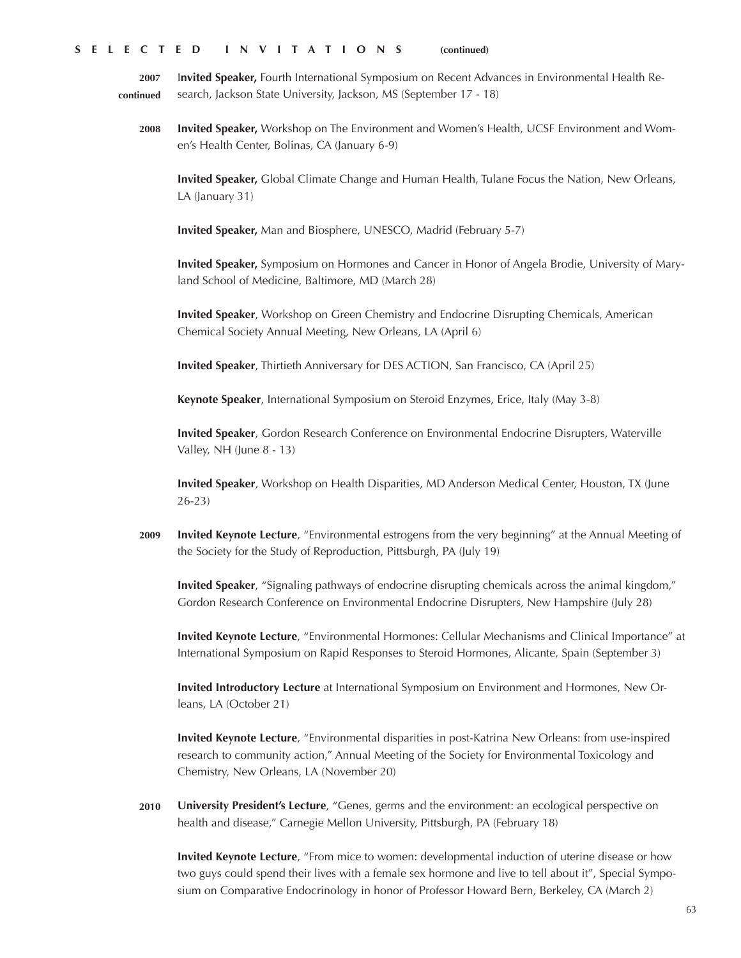**2007 continued** I**nvited Speaker,** Fourth International Symposium on Recent Advances in Environmental Health Research, Jackson State University, Jackson, MS (September 17 - 18)

**2008 Invited Speaker,** Workshop on The Environment and Women's Health, UCSF Environment and Women's Health Center, Bolinas, CA (January 6-9)

**Invited Speaker,** Global Climate Change and Human Health, Tulane Focus the Nation, New Orleans, LA (January 31)

**Invited Speaker,** Man and Biosphere, UNESCO, Madrid (February 5-7)

**Invited Speaker,** Symposium on Hormones and Cancer in Honor of Angela Brodie, University of Maryland School of Medicine, Baltimore, MD (March 28)

**Invited Speaker**, Workshop on Green Chemistry and Endocrine Disrupting Chemicals, American Chemical Society Annual Meeting, New Orleans, LA (April 6)

**Invited Speaker**, Thirtieth Anniversary for DES ACTION, San Francisco, CA (April 25)

**Keynote Speaker**, International Symposium on Steroid Enzymes, Erice, Italy (May 3-8)

**Invited Speaker**, Gordon Research Conference on Environmental Endocrine Disrupters, Waterville Valley, NH (June 8 - 13)

**Invited Speaker**, Workshop on Health Disparities, MD Anderson Medical Center, Houston, TX (June 26-23)

**2009 Invited Keynote Lecture**, "Environmental estrogens from the very beginning" at the Annual Meeting of the Society for the Study of Reproduction, Pittsburgh, PA (July 19)

**Invited Speaker**, "Signaling pathways of endocrine disrupting chemicals across the animal kingdom," Gordon Research Conference on Environmental Endocrine Disrupters, New Hampshire (July 28)

**Invited Keynote Lecture**, "Environmental Hormones: Cellular Mechanisms and Clinical Importance" at International Symposium on Rapid Responses to Steroid Hormones, Alicante, Spain (September 3)

**Invited Introductory Lecture** at International Symposium on Environment and Hormones, New Orleans, LA (October 21)

**Invited Keynote Lecture**, "Environmental disparities in post-Katrina New Orleans: from use-inspired research to community action," Annual Meeting of the Society for Environmental Toxicology and Chemistry, New Orleans, LA (November 20)

**2010 University President's Lecture**, "Genes, germs and the environment: an ecological perspective on health and disease," Carnegie Mellon University, Pittsburgh, PA (February 18)

**Invited Keynote Lecture**, "From mice to women: developmental induction of uterine disease or how two guys could spend their lives with a female sex hormone and live to tell about it", Special Symposium on Comparative Endocrinology in honor of Professor Howard Bern, Berkeley, CA (March 2)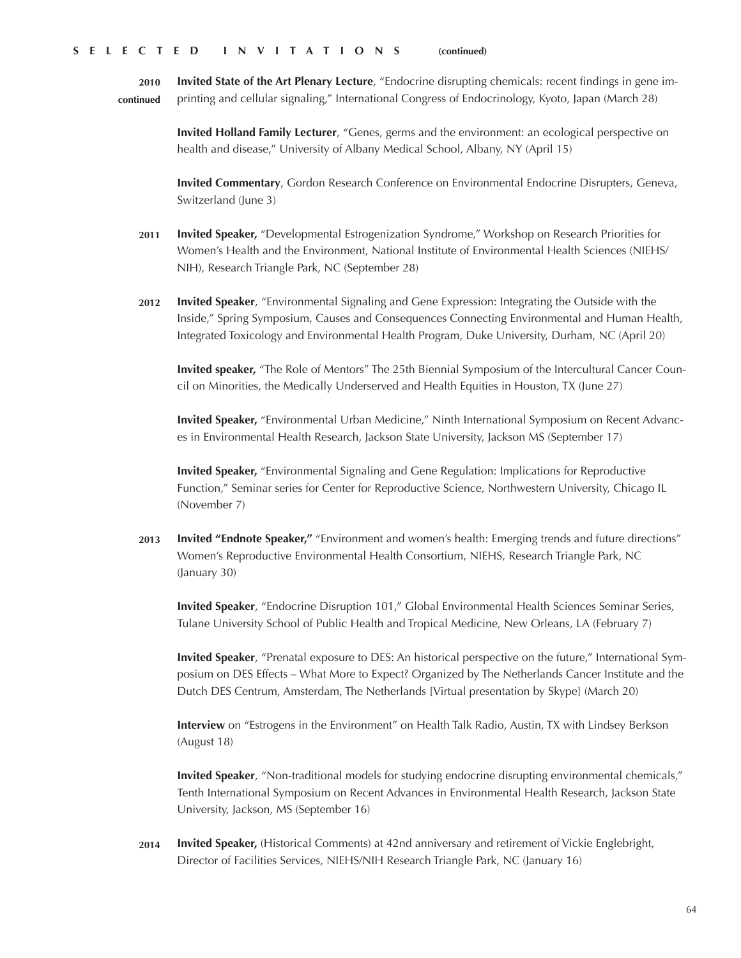**2010 continued Invited State of the Art Plenary Lecture**, "Endocrine disrupting chemicals: recent findings in gene imprinting and cellular signaling," International Congress of Endocrinology, Kyoto, Japan (March 28)

> **Invited Holland Family Lecturer**, "Genes, germs and the environment: an ecological perspective on health and disease," University of Albany Medical School, Albany, NY (April 15)

**Invited Commentary**, Gordon Research Conference on Environmental Endocrine Disrupters, Geneva, Switzerland (June 3)

- **2011 Invited Speaker,** "Developmental Estrogenization Syndrome," Workshop on Research Priorities for Women's Health and the Environment, National Institute of Environmental Health Sciences (NIEHS/ NIH), Research Triangle Park, NC (September 28)
- **2012 Invited Speaker**, "Environmental Signaling and Gene Expression: Integrating the Outside with the Inside," Spring Symposium, Causes and Consequences Connecting Environmental and Human Health, Integrated Toxicology and Environmental Health Program, Duke University, Durham, NC (April 20)

**Invited speaker,** "The Role of Mentors" The 25th Biennial Symposium of the Intercultural Cancer Council on Minorities, the Medically Underserved and Health Equities in Houston, TX (June 27)

**Invited Speaker,** "Environmental Urban Medicine," Ninth International Symposium on Recent Advances in Environmental Health Research, Jackson State University, Jackson MS (September 17)

**Invited Speaker,** "Environmental Signaling and Gene Regulation: Implications for Reproductive Function," Seminar series for Center for Reproductive Science, Northwestern University, Chicago IL (November 7)

**2013 Invited "Endnote Speaker,"** "Environment and women's health: Emerging trends and future directions" Women's Reproductive Environmental Health Consortium, NIEHS, Research Triangle Park, NC (January 30)

**Invited Speaker**, "Endocrine Disruption 101," Global Environmental Health Sciences Seminar Series, Tulane University School of Public Health and Tropical Medicine, New Orleans, LA (February 7)

**Invited Speaker**, "Prenatal exposure to DES: An historical perspective on the future," International Symposium on DES Effects – What More to Expect? Organized by The Netherlands Cancer Institute and the Dutch DES Centrum, Amsterdam, The Netherlands [Virtual presentation by Skype] (March 20)

**Interview** on "Estrogens in the Environment" on Health Talk Radio, Austin, TX with Lindsey Berkson (August 18)

**Invited Speaker**, "Non-traditional models for studying endocrine disrupting environmental chemicals," Tenth International Symposium on Recent Advances in Environmental Health Research, Jackson State University, Jackson, MS (September 16)

**2014 Invited Speaker,** (Historical Comments) at 42nd anniversary and retirement of Vickie Englebright, Director of Facilities Services, NIEHS/NIH Research Triangle Park, NC (January 16)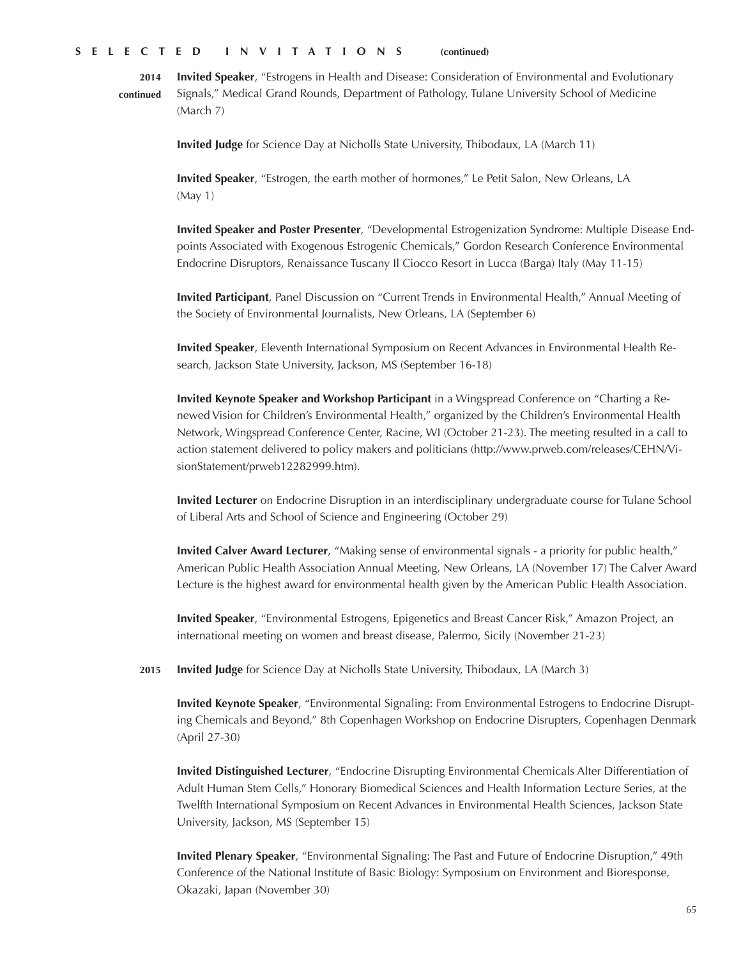**Invited Speaker**, "Estrogens in Health and Disease: Consideration of Environmental and Evolutionary Signals," Medical Grand Rounds, Department of Pathology, Tulane University School of Medicine (March 7) **2014 continued**

**Invited Judge** for Science Day at Nicholls State University, Thibodaux, LA (March 11)

**Invited Speaker**, "Estrogen, the earth mother of hormones," Le Petit Salon, New Orleans, LA (May 1)

**Invited Speaker and Poster Presenter**, "Developmental Estrogenization Syndrome: Multiple Disease Endpoints Associated with Exogenous Estrogenic Chemicals," Gordon Research Conference Environmental Endocrine Disruptors, Renaissance Tuscany Il Ciocco Resort in Lucca (Barga) Italy (May 11-15)

**Invited Participant**, Panel Discussion on "Current Trends in Environmental Health," Annual Meeting of the Society of Environmental Journalists, New Orleans, LA (September 6)

**Invited Speaker**, Eleventh International Symposium on Recent Advances in Environmental Health Research, Jackson State University, Jackson, MS (September 16-18)

**Invited Keynote Speaker and Workshop Participant** in a Wingspread Conference on "Charting a Renewed Vision for Children's Environmental Health," organized by the Children's Environmental Health Network, Wingspread Conference Center, Racine, WI (October 21-23). The meeting resulted in a call to action statement delivered to policy makers and politicians (http://www.prweb.com/releases/CEHN/VisionStatement/prweb12282999.htm).

**Invited Lecturer** on Endocrine Disruption in an interdisciplinary undergraduate course for Tulane School of Liberal Arts and School of Science and Engineering (October 29)

**Invited Calver Award Lecturer**, "Making sense of environmental signals - a priority for public health," American Public Health Association Annual Meeting, New Orleans, LA (November 17) The Calver Award Lecture is the highest award for environmental health given by the American Public Health Association.

**Invited Speaker**, "Environmental Estrogens, Epigenetics and Breast Cancer Risk," Amazon Project, an international meeting on women and breast disease, Palermo, Sicily (November 21-23)

**Invited Judge** for Science Day at Nicholls State University, Thibodaux, LA (March 3) **2015**

**Invited Keynote Speaker**, "Environmental Signaling: From Environmental Estrogens to Endocrine Disrupting Chemicals and Beyond," 8th Copenhagen Workshop on Endocrine Disrupters, Copenhagen Denmark (April 27-30)

**Invited Distinguished Lecturer**, "Endocrine Disrupting Environmental Chemicals Alter Differentiation of Adult Human Stem Cells," Honorary Biomedical Sciences and Health Information Lecture Series, at the Twelfth International Symposium on Recent Advances in Environmental Health Sciences, Jackson State University, Jackson, MS (September 15)

**Invited Plenary Speaker**, "Environmental Signaling: The Past and Future of Endocrine Disruption," 49th Conference of the National Institute of Basic Biology: Symposium on Environment and Bioresponse, Okazaki, Japan (November 30)